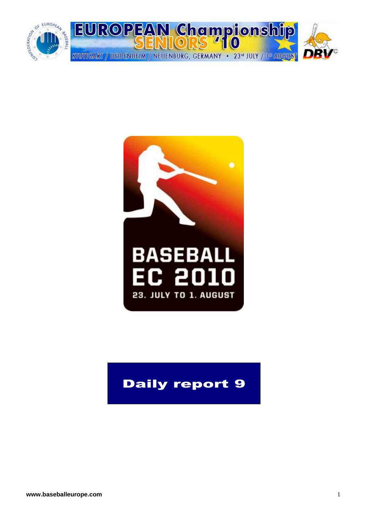



## Daily report 9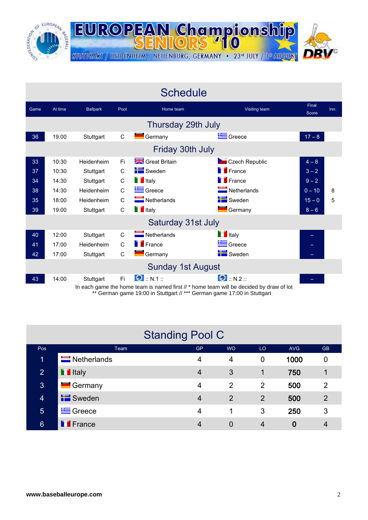

**Schedule** Game At time Ballpark Pool Home team Communication Visiting team Final Score Inn. Thursday 29th July 36 19:00 Stuttgart C Germany Germany Greece 17 – 8 Friday 30th July 33 10:30 Heidenheim Fi Great Britain Czech Republic 4 – 8 37 10:30 Stuttgart C I Sweden **I** France 3 – 2 34 14:30 Stuttgart C II Italy **B** France 9-2 38 14:30 Heidenheim C Greece Netherlands 0-10 8 35 18:00 Heidenheim C Netherlands Netherlands Sweden 15 – 0 5 39 19:00 Stuttgart C III taly **Germany 6 19:00 Stuttgart** Saturday 31st July 40 12:00 Stuttgart C Netherlands **Italy** Italy 41 17:00 Heidenheim C **Fr**ance **Greece – Greece – Greece – Greece – Greece – Greece – Greece – Greece – Greece – Greece – Greece – Greece – Greece – Greece – Greece – Greece – Greece – Greece – Greece – Greece – Greece – G** 42 17:00 Stuttgart C Germany **Sweden** Sweden – Sweden – Sweden – Sweden – Sweden – Sweden – Sweden – Sweden – Sweden – Sweden – Sweden – Sweden – Sweden – Sweden – Sweden – Sweden – Sweden – Sweden – Sweden – Sweden – Swed Sunday 1st August 43 14:00 Stuttgart Fi **O** :: N.1 :: 6 :: N.2 ::

**EUROPEAN Championship** 

STUTTGART / HEIDENHEIM / NEUENBURG, GERMANY · 23rd JULY / 1st AUGUS

10

In each game the home team is named first // \* home team will be decided by draw of lot \*\* German game 19:00 in Stuttgart // \*\*\* German game 17:00 in Stuttgart

|                | <b>Standing Pool C</b>     |           |           |                |            |                |
|----------------|----------------------------|-----------|-----------|----------------|------------|----------------|
| Pos            | Team                       | <b>GP</b> | <b>WO</b> | LO             | <b>AVG</b> | <b>GB</b>      |
| 1              | $\blacksquare$ Netherlands | 4         | 4         | 0              | 1000       | 0              |
| 2              | <b>T</b> Italy             | 4         | 3         | 1              | 750        |                |
| 3              | Germany                    | 4         | 2         | 2              | 500        | $\overline{2}$ |
| $\overline{4}$ | <b>E</b> Sweden            | 4         | 2         | $\overline{2}$ | 500        | $\overline{2}$ |
| $5\phantom{.}$ | Greece                     | 4         | 1         | 3              | 250        | 3              |
| $6\phantom{1}$ | <b>France</b>              | 4         | 0         | 4              |            | 4              |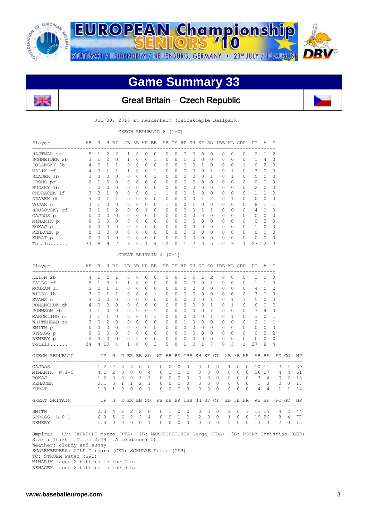

**EUROPEAN Championship** STUTTGART / HEIDENHEIM / NEUENBURG, GERMANY · 23<sup>rd</sup> JULY / 1st AUGUST



 $\mathsf{I}$ 

# **Game Summary 33**



## Great Britain **–** Czech Republic

Jul 30, 2010 at Heidenheim (Heidekoepfe Ballpark)

CZECH REPUBLIC 8 (1-0)

| Player                                                                                                                                                                                          | AВ                                                     | R                                                              |               | H BI              |              |                                | 2B 3B HR BB                             |                |                                                                             |                                                         |                    |                |                       |                                                                            |                 |                | SB CS HP SH SF SO IBB KL GDP   |                         |                          | PO                                                                          | Α                        | Е                             |                             |    |
|-------------------------------------------------------------------------------------------------------------------------------------------------------------------------------------------------|--------------------------------------------------------|----------------------------------------------------------------|---------------|-------------------|--------------|--------------------------------|-----------------------------------------|----------------|-----------------------------------------------------------------------------|---------------------------------------------------------|--------------------|----------------|-----------------------|----------------------------------------------------------------------------|-----------------|----------------|--------------------------------|-------------------------|--------------------------|-----------------------------------------------------------------------------|--------------------------|-------------------------------|-----------------------------|----|
| HAJTMAR SS                                                                                                                                                                                      | 5                                                      | $\mathbf{1}$                                                   | 2             | 2                 |              | $\mathbf{1}$                   | $\circ$                                 | 0              | $\circ$                                                                     | 0                                                       | $\circ$            | 0              | $\circ$               | 0                                                                          | $\circ$         |                | 0                              | $\Omega$                | $\Omega$                 | $\mathcal{L}$                                                               | 1                        | $\overline{c}$                |                             |    |
| SCHNEIDER 2b                                                                                                                                                                                    | 3 <sup>7</sup>                                         | 1                                                              | 2             | $\Omega$          |              | $\mathbf{1}$                   | $\Omega$                                | $\Omega$       | $\mathbf{1}$                                                                | $\Omega$                                                | $\Omega$           | $\mathbf{1}$   | $\Omega$              | $\Omega$                                                                   | $\Omega$        |                | $\Omega$                       | $\Omega$                | $\Omega$                 | $\mathbf{1}$                                                                | $4 \quad$                | $\Omega$                      |                             |    |
| POLANSKY 3b                                                                                                                                                                                     |                                                        | 4 0 1 1                                                        |               |                   |              | $\circ$                        | $\mathbf{0}$                            | $\circ$        | $\overline{0}$                                                              | $\mathbf 0$                                             | $\circ$            | $\circ$        | $\circ$               | $\overline{1}$                                                             | $\circ$         |                | 0                              | 0                       | $\mathbf{1}$             | $\overline{0}$                                                              | $\overline{2}$           | $\circ$                       |                             |    |
| MALIK rf                                                                                                                                                                                        |                                                        | 4 0 1 1                                                        |               |                   |              | 1                              | $\circ$                                 | $\overline{0}$ | $\overline{1}$                                                              | $\circ$                                                 | $\overline{0}$     | $\bigcirc$     |                       | $0\quad 0$                                                                 | $\overline{1}$  |                | $0\quad1$                      |                         | $\circ$                  | $3 \quad 0$                                                                 |                          | $\mathbf 0$                   |                             |    |
| SLADEK 1b                                                                                                                                                                                       |                                                        | 3 0 0 0                                                        |               |                   |              | $\Omega$                       | $0 \quad 0$                             |                | $\mathbf{1}$                                                                |                                                         | $0 \quad 0$        | $\Omega$       |                       | $0 \quad 0$                                                                |                 | $\mathbf{1}$   | $0 \quad 1$                    |                         | $\Omega$                 | 5 0                                                                         |                          | $\Omega$                      |                             |    |
| DRONG pr                                                                                                                                                                                        |                                                        | 0 1 0 0                                                        |               |                   |              |                                | $0\quad 0\quad 0$                       |                | $\bigcirc$                                                                  | $0\quad 0$                                              |                    |                |                       | $\begin{matrix} 0 & 0 & 0 \end{matrix}$                                    | $\bigcirc$      |                | $0 \quad 0$                    |                         | $\circ$                  | $0\quad 0$                                                                  |                          | $\circ$                       |                             |    |
| BUDSKY 1b                                                                                                                                                                                       | $\mathbf{1}$                                           | $\begin{matrix} 0 & 0 & 0 \end{matrix}$                        |               |                   |              | $\circ$                        | $\overline{0}$                          | $\bigcirc$     | $\bigcirc$                                                                  |                                                         | $0\qquad 0$        | $\bigcirc$     |                       | $0\quad 0$                                                                 | $\Omega$        |                | $0 \quad 0$                    |                         | 0                        |                                                                             | $2 \quad 0$              | $\Omega$                      |                             |    |
| ONDRACEK 1f                                                                                                                                                                                     | $\mathbf{3}$                                           |                                                                |               | $3\quad 1\quad 0$ |              | $\overline{0}$                 |                                         | $0\quad 0$     | $\mathbf{1}$                                                                | 1 0                                                     |                    | $\circ$        |                       | 1 0                                                                        |                 | $\circ$        | $0\quad 0$                     |                         | 0                        |                                                                             | $1\quad 1$               | $\circ$                       |                             |    |
| DRABEK dh                                                                                                                                                                                       |                                                        | 4 0 1 1                                                        |               |                   |              | $0\quad 0$                     |                                         | $\overline{0}$ | $\overline{0}$                                                              |                                                         | $0\quad 0$         | $\overline{0}$ |                       | $0\quad 1$                                                                 | 2               |                | $0\quad 1$                     |                         | 0                        |                                                                             | $0\quad 0$               | $\mathbf{0}$                  |                             |    |
| VOJAK c                                                                                                                                                                                         |                                                        | 3 1 0 0<br>$3 \t1 \t1 \t2$                                     |               |                   |              | $\circ$                        | $\overline{0}$<br>$0 \quad 0 \quad 1$   | $\bigcirc$     | $\bigcirc$<br>$\circ$                                                       | $\mathbf{1}$<br>$\begin{matrix} 0 & 0 & 0 \end{matrix}$ | $\bigcirc$         | $\bigcirc$     |                       | $1 \quad 0 \quad 0$<br>$0\quad 1$                                          |                 | $\mathbf{1}$   | $0 \quad 0$<br>$0\quad 0$      |                         | 0<br>$\circ$             | $4\quad 0$                                                                  | 8 1                      | $\mathbf{1}$<br>$\mathbf{0}$  |                             |    |
| HRUSOVSKY cf                                                                                                                                                                                    |                                                        | $0\quad 0\quad 0\quad 0$                                       |               |                   |              | $0\quad 0$                     |                                         | $\overline{0}$ | $\overline{0}$                                                              |                                                         |                    |                |                       |                                                                            |                 |                | $0\quad 0$                     |                         | $\circ$                  | $0\quad 0$                                                                  |                          | $\mathbf{0}$                  |                             |    |
| GAJDOS p<br>MINARIK p                                                                                                                                                                           | $\begin{matrix} 0 & 0 & 0 & 0 \end{matrix}$            |                                                                |               |                   |              |                                |                                         |                | $\begin{matrix} 0 & 0 & 0 & 0 \end{matrix}$                                 |                                                         | $0\quad 0\quad 0$  |                |                       | $0 \quad 0 \quad 0$                                                        |                 |                | $0 \quad 0$                    |                         | $\circ$                  | 0 <sup>3</sup>                                                              |                          | $\Omega$                      |                             |    |
| BOKAJ p                                                                                                                                                                                         |                                                        | $\begin{array}{ccccccccccccc}\n0 & 0 & 0 & 0 & 0\n\end{array}$ |               |                   |              |                                |                                         |                | $\begin{array}{ccccccccc}\n0 & 0 & 0 & 0\n\end{array}$                      |                                                         |                    |                |                       | $0 \t0 \t0 \t0 \t0 \t0$                                                    |                 |                |                                |                         |                          | 0 0 0 1 0                                                                   |                          | $\mathbf{0}$                  |                             |    |
| REHACEK p                                                                                                                                                                                       | $\begin{array}{ccccccccc}\n0 & 0 & 0 & 0\n\end{array}$ |                                                                |               |                   |              | $\circ$                        | $\circ$                                 | $\overline{0}$ | $\overline{0}$                                                              | $\circ$                                                 |                    |                |                       | $\begin{array}{ccccccccccccccccc} & 0 & 0 & 0 & 0 & 0 & 0 \end{array}$     |                 |                |                                |                         |                          | $0\quad 0\quad 0\quad 0\quad 0$                                             |                          | 0                             |                             |    |
| KUBAT p                                                                                                                                                                                         | $\mathbf{0}$                                           | $\begin{matrix} 0 & 0 & 0 \end{matrix}$                        |               |                   |              | $\circ$                        | $\circ$                                 | $\circ$        | $\overline{0}$                                                              | $\circ$                                                 | $\overline{0}$     | $\overline{0}$ | $\overline{0}$        | $\overline{0}$                                                             | $\overline{0}$  |                | $0\quad 0$                     |                         | $\overline{0}$           | $0\quad 0$                                                                  |                          | 0                             |                             |    |
| Totals                                                                                                                                                                                          | 33                                                     | 8                                                              | - 9           | 7                 |              | 3                              | 0                                       | $\mathbf{1}$   | 4                                                                           | 2                                                       | $\bigcirc$         | $\mathbf{1}$   | $\mathbf{2}^{\prime}$ |                                                                            | 3               | 5              | $\Omega$                       | $\overline{\mathbf{3}}$ | 1                        | 27 12                                                                       |                          | 3                             |                             |    |
|                                                                                                                                                                                                 |                                                        |                                                                |               |                   |              |                                |                                         |                |                                                                             |                                                         |                    |                |                       |                                                                            |                 |                |                                |                         |                          |                                                                             |                          |                               |                             |    |
|                                                                                                                                                                                                 |                                                        |                                                                |               |                   |              |                                |                                         |                | GREAT BRITAIN 4 (0-1)                                                       |                                                         |                    |                |                       |                                                                            |                 |                |                                |                         |                          |                                                                             |                          |                               |                             |    |
| Player                                                                                                                                                                                          | AB                                                     | R                                                              |               | H BI              |              |                                | 2B 3B HR BB                             |                |                                                                             |                                                         |                    |                |                       |                                                                            |                 |                | SB CS HP SH SF SO IBB KL GDP   |                         |                          | PO A                                                                        |                          | – E                           |                             |    |
| KLIJN 2b                                                                                                                                                                                        | 4 1                                                    |                                                                | 2             | 1                 |              | $\circ$                        | $\mathbf{0}$                            | 0              | $\circ$                                                                     | 0                                                       | $\circ$            | $\circ$        | $\circ$               | $\mathbf{1}$                                                               | 2               |                | 0                              | 0                       | 0                        | 2                                                                           | $\circ$                  | 0                             |                             |    |
| FALLS rf                                                                                                                                                                                        |                                                        | $5 \quad 1$                                                    | 3             | <sup>1</sup>      |              | 1                              | $\Omega$                                | $\Omega$       | $\Omega$                                                                    | $\mathbf{0}$                                            | $\bigcirc$         | $\Omega$       |                       | $0 \quad 0$                                                                | $\mathbf{1}$    |                | $\Omega$                       | $\Omega$                | $\Omega$                 |                                                                             | $1\quad1$                | $\Omega$                      |                             |    |
| MCGRAW 1f                                                                                                                                                                                       |                                                        | $5 \quad 0 \quad 1$                                            |               | $\overline{1}$    |              |                                | $0\quad 0\quad 0$                       |                | $\overline{0}$                                                              |                                                         |                    |                |                       | $\begin{array}{ccccccccccccccccc} & 0 & 0 & 0 & 0 & 0 & 0 \end{array}$     | $\overline{0}$  |                | $0\quad 0$                     |                         | $\circ$                  | 4 0 0                                                                       |                          |                               |                             |    |
| WILEY 1b                                                                                                                                                                                        |                                                        | 3 0 1 1                                                        |               |                   |              |                                |                                         |                | 0 0 0 1                                                                     |                                                         |                    |                |                       |                                                                            | $\overline{0}$  |                |                                |                         |                          | 0 0 0 7 0                                                                   |                          | $\circ$                       |                             |    |
| EVANS c                                                                                                                                                                                         |                                                        | 4 0 0 0                                                        |               |                   |              |                                |                                         |                | $0\quad 0\quad 0\quad 0$                                                    |                                                         |                    |                |                       |                                                                            |                 | $\mathbf{1}$   | $0\quad 1$                     |                         |                          | 1 5 0                                                                       |                          | $\Omega$                      |                             |    |
| ROMANCHUK dh                                                                                                                                                                                    |                                                        | 4 0 0 0                                                        |               |                   |              |                                |                                         |                | $0\quad 0\quad 0\quad 0$                                                    |                                                         |                    |                |                       | 0 0 0 0 0 1                                                                |                 |                | $0\quad 1\quad 0$              |                         |                          | $0\quad 0$                                                                  |                          | 0                             |                             |    |
| JOHNSON 3b                                                                                                                                                                                      |                                                        | 3 1 0 0                                                        |               |                   |              |                                |                                         |                | $0 \t 0 \t 0 \t 1$                                                          |                                                         |                    |                |                       | 0 0 0 0 0 1                                                                |                 |                |                                |                         |                          | 0 0 0 3 4                                                                   |                          | $\circ$                       |                             |    |
| MARCELINO cf                                                                                                                                                                                    |                                                        | 3 1 1 0                                                        |               |                   |              |                                | $\begin{matrix} 0 & 0 & 0 \end{matrix}$ |                | $\mathbf{1}$                                                                |                                                         |                    |                |                       | $\begin{array}{ccccccccccccccccc} & 0 & 0 & 0 & 0 & 0 & 0 & \end{array}$   | $\mathbf{1}$    |                | $0\quad 1$                     |                         |                          | $0 \qquad 3 \qquad 0$                                                       |                          | $\mathbf{1}$                  |                             |    |
| WHITEHEAD SS                                                                                                                                                                                    |                                                        | 3 0 2 0                                                        |               |                   |              |                                | $\begin{matrix} 0 & 0 & 0 \end{matrix}$ |                | $\overline{0}$                                                              |                                                         |                    |                |                       | 0 0 1 0 0 0                                                                |                 |                |                                |                         |                          | 0 0 0 2 1                                                                   |                          | $\mathbf{1}$                  |                             |    |
| SMITH p                                                                                                                                                                                         |                                                        | $0\quad 0\quad 0\quad 0$<br>$0\quad 0\quad 0\quad 0$           |               |                   |              |                                |                                         |                | $\begin{array}{ccccccccc}\n0 & 0 & 0 & 0\n\end{array}$<br>$0\quad 0\quad 0$ |                                                         |                    |                |                       | $\begin{array}{ccccccccccccccccc} & 0 & 0 & 0 & 0 & 0 & 0 & 0 \end{array}$ |                 | $\circ$        |                                |                         |                          | $\begin{matrix} 0 & 0 & 0 & 0 & 0 \end{matrix}$<br>$0\quad 0\quad 0\quad 0$ | 2                        | $\mathbf 0$<br>$\overline{c}$ |                             |    |
| SPRAGG p                                                                                                                                                                                        | $\circ$                                                | $\begin{matrix}0&0\end{matrix}$                                |               | $\overline{0}$    |              | $\overline{0}$<br>$\mathbf{0}$ | $\mathbf{0}$                            | 0              | $\overline{0}$                                                              | $\mathbf{0}$                                            | $\circ$            | $\mathbf{0}$   | $\circ$               | $0\quad 0\quad 0\quad 0\quad 0$<br>$\circ$                                 | $\mathbf 0$     |                | 0                              | $\circ$                 | $\mathbf{0}$             | $\circ$                                                                     | $\circ$                  | 0                             |                             |    |
| RENERY p<br>$\texttt{Totals} \dots \dots$                                                                                                                                                       | 34                                                     | 4 10                                                           |               | $\overline{4}$    |              | $\mathbf{1}$                   | $\circ$                                 | $\Omega$       | 3                                                                           | $\Omega$                                                | $\Omega$           | $\mathbf{1}$   | $\circ$               | $\mathbf{1}$                                                               | $7\phantom{.0}$ |                | $\Omega$                       | 3                       | $\mathbf{1}$             | 27                                                                          | 8                        | 4                             |                             |    |
|                                                                                                                                                                                                 |                                                        |                                                                |               |                   |              |                                |                                         |                |                                                                             |                                                         |                    |                |                       |                                                                            |                 |                |                                |                         |                          |                                                                             |                          |                               |                             |    |
| CZECH REPUBLIC<br>--------------------------------------                                                                                                                                        |                                                        |                                                                |               | IP H R ER BB SO   |              |                                |                                         |                |                                                                             |                                                         |                    |                |                       |                                                                            |                 |                | WP HB BK IBB SH SF CI 2B 3B HR |                         |                          |                                                                             | AB BF                    |                               | FO GO                       | ΝP |
| GAJDOS                                                                                                                                                                                          |                                                        |                                                                | $1.2 \quad 7$ |                   | 3            | $\mathbf{3}$                   | $\circ$                                 | $\overline{0}$ | 0                                                                           |                                                         | $\circ$<br>$\circ$ |                | 0                     | 0                                                                          | $\mathbf{1}$    | 0              |                                | 0<br>$\mathbf{1}$       | $\overline{0}$           |                                                                             | 10 11                    |                               | 3 1                         | 39 |
| MINARIK $W, 1-0$                                                                                                                                                                                |                                                        | 4.1                                                            |               | $\overline{2}$    | $\circ$      | 0                              | 0                                       | $\overline{4}$ | 0                                                                           | $\mathbf{1}$                                            | 0                  |                | 0                     | 0                                                                          | $\circ$         | 0              | 0                              | 0                       | $\overline{\phantom{0}}$ |                                                                             | 16 17                    | 4                             | $4\phantom{.0}\phantom{.0}$ | 61 |
| BOKAJ                                                                                                                                                                                           |                                                        |                                                                |               | $1.2 \t 0 \t 0$   |              |                                | $0 \quad 1 \quad 1$                     |                | 0                                                                           | $\overline{0}$                                          | $\overline{0}$     | $\overline{0}$ |                       | 0                                                                          | $\circ$         | $\overline{0}$ | 0                              |                         | $0\quad 0$               | 3                                                                           | 4                        |                               | $0\quad 2$                  | 15 |
| REHACEK                                                                                                                                                                                         |                                                        | 0.1                                                            |               | $\overline{0}$    | $\mathbf{1}$ | $\mathbf{1}$                   | 2                                       | $\overline{1}$ | 0                                                                           | $\circ$                                                 | 0                  |                | $\circ$               | 0                                                                          | $\mathbf{0}$    | $\circ$        | 0                              | 0                       | $\overline{\phantom{0}}$ | $\mathbf{1}$                                                                | 3                        |                               | $0\quad 0$                  | 17 |
| KUBAT                                                                                                                                                                                           |                                                        | 1.0                                                            |               | $\mathbf{1}$      | $\circ$      | $\mathbf{0}$                   | $\Omega$                                | 1              | $\Omega$                                                                    | $\circ$                                                 | $\circ$            |                | 0                     | $\Omega$                                                                   | $\Omega$        | $\Omega$       | $\circ$                        | $\Omega$                | $\bigcirc$               | 4                                                                           | $\overline{4}$           | $\mathbf{1}$                  | $\overline{1}$              | 14 |
| GREAT BRITAIN<br>-----------------------------------                                                                                                                                            | IP H R ER BB SO                                        |                                                                |               |                   |              |                                |                                         |                |                                                                             |                                                         |                    |                |                       | WP HB BK IBB SH SF CI                                                      |                 |                |                                |                         |                          | 2B 3B HR AB BF                                                              |                          | --------------------          | FOGO NP                     |    |
| SMITH                                                                                                                                                                                           |                                                        | 2.0                                                            |               | $\frac{4}{3}$     | 2            | $\overline{c}$                 | 2                                       | 0              | 0                                                                           | 1                                                       | 0                  |                | 0                     | 0                                                                          | $\mathbb O$     | 0              | 2                              | 0                       | 1                        |                                                                             | 11 14                    | 4                             | $\overline{2}$              | 44 |
| SPRAGG $L, 0-1$                                                                                                                                                                                 |                                                        | 6.0                                                            |               | 5                 | 6            | $\mathbf{2}$                   | $\overline{c}$                          | $\overline{4}$ | $\mathbf{0}$                                                                | 0                                                       | $\mathbf{1}$       |                | 0                     | $\mathbf{2}$                                                               | 3               | $\circ$        | $1\,$                          | 0                       | $\circ$                  |                                                                             | 19 26                    | 8                             | $\sim$ 4                    | 77 |
| RENERY                                                                                                                                                                                          |                                                        |                                                                |               | $1.0 \quad 0$     |              |                                | $0 \t 0 \t 1$                           |                | $\circ$                                                                     |                                                         | $0\quad 0$         |                | $\circ$               | 0                                                                          | $\circ$         | $\circ$        |                                | $\circ$<br>$\circ$      | $\overline{0}$           | 3                                                                           | $\overline{\phantom{a}}$ |                               | $\mathbf{2}$<br>$\Omega$    | 15 |
| Umpires - HP: TAURELLI Marco (ITA) 1B: MAKOUCHETCHEV Serge (FRA) 3B: POSNY Christian (GER)<br>Start: 10:30<br>Weather: cloudy and sunny<br>SCOREKEEPERS: GILK Gerhard (GER) SCHULZE Peter (GER) | Time: 2:49                                             |                                                                |               |                   |              |                                | Attendance: 50                          |                |                                                                             |                                                         |                    |                |                       |                                                                            |                 |                |                                |                         |                          |                                                                             |                          |                               |                             |    |
| TC: STROEM Peter (SWE)                                                                                                                                                                          |                                                        |                                                                |               |                   |              |                                |                                         |                |                                                                             |                                                         |                    |                |                       |                                                                            |                 |                |                                |                         |                          |                                                                             |                          |                               |                             |    |

MINARIK faced 2 batters in the 7th.

REHACEK faced 2 batters in the 9th.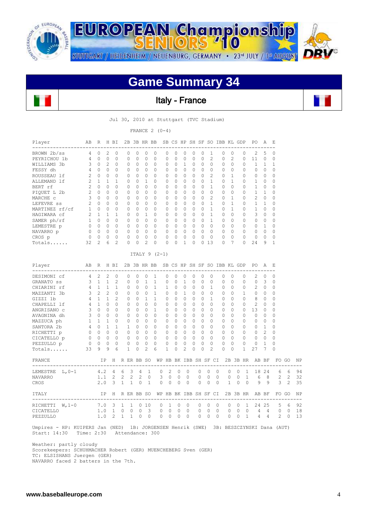

## **Game Summary 34**



Jul 30, 2010 at Stuttgart (TVC Stadium)

FRANCE  $2 (0-4)$ 

| $\circ$<br>0<br>$\Omega$<br>$\mathbf{0}$<br>$\circ$<br>$\mathbf{1}$<br>$\mathbf{0}$<br>$\circ$<br>$\Omega$<br>$\circ$<br>$\Omega$<br>$\mathbf{1}$<br>0<br>$\circ$<br>$\circ$<br>$\mathbf{0}$<br>$\overline{2}$<br>H BI<br>$\circ$<br>$\overline{c}$<br>1<br>$\circ$<br>$\overline{c}$<br>$\circ$<br>$\circ$<br>$\circ$ | 0<br>0<br>$\Omega$<br>0<br>0<br>$\Omega$<br>0<br>$\circ$<br>0<br>0<br>$\Omega$<br>$\circ$<br>0<br>$\Omega$<br>$\mathbf{0}$<br>0<br>$\Omega$<br>0<br>$\mathbf{0}$<br>0<br>$\circ$<br>$\Omega$<br>$\circ$<br>$\mathbf{0}$<br>$\circ$ | $\mathbf{0}$<br>0<br>$\Omega$<br>0<br>$\Omega$<br>$\mathbf{0}$<br>$\mathbf{0}$<br>0<br>$\Omega$<br>$\Omega$<br>$\Omega$<br>$\circ$<br>$\circ$<br>$\Omega$<br>$\circ$<br>$\mathbf{0}$<br>$\Omega$<br>0<br>$\mathbf{0}$<br>0<br>$\Omega$<br>$\Omega$<br>$\circ$<br>$\circ$ | $\circ$<br>0<br>$\Omega$<br>$\circ$<br>$\circ$<br>$\mathbf{1}$<br>$\circ$<br>$\circ$<br>$\circ$<br>0<br>$\Omega$<br>$\mathbf{1}$<br>0<br>$\Omega$<br>$\circ$<br>$\circ$<br>$\overline{c}$<br>$\circ$<br>$\mathbf{1}$<br>0<br>$\circ$<br>$\mathbf{1}$<br>$\circ$ | 0<br>0<br>$\Omega$<br>0<br>$\Omega$<br>$\Omega$<br>$\mathbf{0}$<br>0<br>$\Omega$<br>$\Omega$<br>$\Omega$<br>$\circ$<br>0<br>$\Omega$<br>0<br>0<br>$\Omega$<br>ITALY $9(2-1)$<br>2B 3B HR BB<br>$\mathbf{1}$<br>$\mathbf{1}$<br>$\mathbf{1}$<br>$\mathbf{1}$<br>$\mathbf{1}$<br>0 | $\Omega$<br>0<br>$\Omega$<br>$\mathbf{0}$<br>0<br>$\mathbf{0}$<br>$\mathbf{0}$<br>$\mathbf{0}$<br>$\mathbf{0}$<br>$\mathbf{0}$<br>$\Omega$<br>$\mathbf{0}$<br>0<br>$\Omega$<br>0<br>$\mathbf{0}$<br>$\Omega$<br>0<br>0<br>1<br>0<br>$\Omega$ | 0<br>0<br>$\Omega$<br>$\circ$<br>$\circ$<br>$\circ$<br>$\circ$<br>$\circ$<br>$\circ$<br>$\circ$<br>$\Omega$<br>$\circ$<br>$\circ$<br>$\Omega$<br>$\circ$<br>$\circ$<br>$\Omega$<br>$\circ$<br>$\circ$<br>$\mathbf{0}$<br>$\circ$ | 0<br>0<br>1<br>0<br>$\circ$<br>0<br>$\mathbf{0}$<br>0<br>0<br>$\Omega$<br>$\Omega$<br>0<br>0<br>$\Omega$<br>$\circ$<br>$\mathbf{0}$<br>$\mathbf{1}$<br>0<br>$\mathbf{1}$<br>0<br>$\mathbf{1}$ | $\circ$<br>0<br>$\Omega$<br>$\circ$<br>0<br>$\mathbf{0}$<br>$\circ$<br>0<br>$\Omega$<br>$\circ$<br>$\Omega$<br>0<br>$\circ$<br>$\Omega$<br>0<br>$\Omega$<br>$\mathbf{0}$<br>$\mathbf{0}$<br>$\mathbf{0}$<br>0 | 0<br>0<br>$\Omega$<br>$\circ$<br>$\circ$<br>$\Omega$<br>0<br>0<br>$\Omega$<br>0<br>$\Omega$<br>$\circ$<br>$\circ$<br>$\Omega$<br>$\circ$<br>$\Omega$<br>0<br>0<br>0 | 1<br>2<br>$\Omega$<br>$\circ$<br>2<br>$\mathbf{1}$<br>$\mathbf{1}$<br>$\circ$<br>$\overline{2}$<br>$\mathbf{1}$<br>$\mathbf{1}$<br>$\mathbf{1}$<br>$\mathbf{1}$<br>$\Omega$<br>0<br>$\circ$<br>013<br>0<br>0 | 0<br>0<br>$\Omega$<br>$\circ$<br>$\Omega$<br>$\circ$<br>$\mathbf{0}$<br>$\circ$<br>$\Omega$<br>$\circ$<br>$\Omega$<br>$\circ$<br>$\circ$<br>$\Omega$<br>$\circ$<br>$\Omega$<br>$\Omega$<br>SB CS HP SH SF SO IBB KL GDP<br>$\circ$<br>$\circ$ | $\circ$<br>$\overline{c}$<br>$\Omega$<br>$\circ$<br>1<br>$\mathbf{1}$<br>$\circ$<br>0<br>$\mathbf{1}$<br>$\mathbf{1}$<br>1<br>$\circ$<br>0<br>$\Omega$<br>$\Omega$<br>$\Omega$<br>7<br>$\Omega$<br>$\circ$ |                                                     | 0<br>0<br>$\Omega$<br>0<br>0<br>$\Omega$<br>0<br>0<br>$\Omega$<br>0<br>0<br>0<br>0<br>$\Omega$<br>0<br>0<br>$\Omega$<br>0<br>0<br>0 | 2<br>11<br>$\mathbf{1}$<br>0<br>0<br>$\mathbf{1}$<br>$\mathbf{1}$<br>$\mathbf{1}$<br>2<br>1<br>$\mathbf{1}$<br>3<br>0<br>$\Omega$<br>0<br>$\circ$<br>24<br>PO<br>2<br>$\circ$<br>2 | 5<br>0<br>$\mathbf{1}$<br>$\circ$<br>0<br>$\circ$<br>$\circ$<br>1<br>$\circ$<br>$\mathbf{1}$<br>$\Omega$<br>$\circ$<br>0<br>1<br>$\circ$<br>$\circ$<br>9<br>Α<br>$\circ$<br>3<br>0 | 0<br>0<br>1<br>$\mathbf 0$<br>0<br>0<br>0<br>0<br>0<br>0<br>0<br>0<br>0<br>0<br>0<br>0<br>1<br>Е<br>$\mathbf 0$<br>0<br>0 |                     |                                        |
|------------------------------------------------------------------------------------------------------------------------------------------------------------------------------------------------------------------------------------------------------------------------------------------------------------------------|------------------------------------------------------------------------------------------------------------------------------------------------------------------------------------------------------------------------------------|--------------------------------------------------------------------------------------------------------------------------------------------------------------------------------------------------------------------------------------------------------------------------|-----------------------------------------------------------------------------------------------------------------------------------------------------------------------------------------------------------------------------------------------------------------|----------------------------------------------------------------------------------------------------------------------------------------------------------------------------------------------------------------------------------------------------------------------------------|----------------------------------------------------------------------------------------------------------------------------------------------------------------------------------------------------------------------------------------------|----------------------------------------------------------------------------------------------------------------------------------------------------------------------------------------------------------------------------------|-----------------------------------------------------------------------------------------------------------------------------------------------------------------------------------------------|---------------------------------------------------------------------------------------------------------------------------------------------------------------------------------------------------------------|---------------------------------------------------------------------------------------------------------------------------------------------------------------------|--------------------------------------------------------------------------------------------------------------------------------------------------------------------------------------------------------------|-----------------------------------------------------------------------------------------------------------------------------------------------------------------------------------------------------------------------------------------------|------------------------------------------------------------------------------------------------------------------------------------------------------------------------------------------------------------|-----------------------------------------------------|-------------------------------------------------------------------------------------------------------------------------------------|------------------------------------------------------------------------------------------------------------------------------------------------------------------------------------|------------------------------------------------------------------------------------------------------------------------------------------------------------------------------------|---------------------------------------------------------------------------------------------------------------------------|---------------------|----------------------------------------|
|                                                                                                                                                                                                                                                                                                                        |                                                                                                                                                                                                                                    |                                                                                                                                                                                                                                                                          |                                                                                                                                                                                                                                                                 |                                                                                                                                                                                                                                                                                  |                                                                                                                                                                                                                                              |                                                                                                                                                                                                                                  |                                                                                                                                                                                               |                                                                                                                                                                                                               |                                                                                                                                                                     |                                                                                                                                                                                                              |                                                                                                                                                                                                                                               |                                                                                                                                                                                                            |                                                     |                                                                                                                                     |                                                                                                                                                                                    |                                                                                                                                                                                    |                                                                                                                           |                     |                                        |
|                                                                                                                                                                                                                                                                                                                        |                                                                                                                                                                                                                                    |                                                                                                                                                                                                                                                                          |                                                                                                                                                                                                                                                                 |                                                                                                                                                                                                                                                                                  |                                                                                                                                                                                                                                              |                                                                                                                                                                                                                                  |                                                                                                                                                                                               |                                                                                                                                                                                                               |                                                                                                                                                                     |                                                                                                                                                                                                              |                                                                                                                                                                                                                                               |                                                                                                                                                                                                            |                                                     |                                                                                                                                     |                                                                                                                                                                                    |                                                                                                                                                                                    |                                                                                                                           |                     |                                        |
|                                                                                                                                                                                                                                                                                                                        |                                                                                                                                                                                                                                    |                                                                                                                                                                                                                                                                          |                                                                                                                                                                                                                                                                 |                                                                                                                                                                                                                                                                                  |                                                                                                                                                                                                                                              |                                                                                                                                                                                                                                  |                                                                                                                                                                                               |                                                                                                                                                                                                               |                                                                                                                                                                     |                                                                                                                                                                                                              |                                                                                                                                                                                                                                               |                                                                                                                                                                                                            |                                                     |                                                                                                                                     |                                                                                                                                                                                    |                                                                                                                                                                                    |                                                                                                                           |                     |                                        |
|                                                                                                                                                                                                                                                                                                                        |                                                                                                                                                                                                                                    |                                                                                                                                                                                                                                                                          |                                                                                                                                                                                                                                                                 |                                                                                                                                                                                                                                                                                  |                                                                                                                                                                                                                                              |                                                                                                                                                                                                                                  |                                                                                                                                                                                               |                                                                                                                                                                                                               |                                                                                                                                                                     |                                                                                                                                                                                                              |                                                                                                                                                                                                                                               |                                                                                                                                                                                                            |                                                     |                                                                                                                                     |                                                                                                                                                                                    |                                                                                                                                                                                    |                                                                                                                           |                     |                                        |
|                                                                                                                                                                                                                                                                                                                        |                                                                                                                                                                                                                                    |                                                                                                                                                                                                                                                                          |                                                                                                                                                                                                                                                                 |                                                                                                                                                                                                                                                                                  |                                                                                                                                                                                                                                              |                                                                                                                                                                                                                                  |                                                                                                                                                                                               |                                                                                                                                                                                                               |                                                                                                                                                                     |                                                                                                                                                                                                              |                                                                                                                                                                                                                                               |                                                                                                                                                                                                            |                                                     |                                                                                                                                     |                                                                                                                                                                                    |                                                                                                                                                                                    |                                                                                                                           |                     |                                        |
|                                                                                                                                                                                                                                                                                                                        |                                                                                                                                                                                                                                    |                                                                                                                                                                                                                                                                          |                                                                                                                                                                                                                                                                 |                                                                                                                                                                                                                                                                                  |                                                                                                                                                                                                                                              |                                                                                                                                                                                                                                  |                                                                                                                                                                                               |                                                                                                                                                                                                               |                                                                                                                                                                     |                                                                                                                                                                                                              |                                                                                                                                                                                                                                               |                                                                                                                                                                                                            |                                                     |                                                                                                                                     |                                                                                                                                                                                    |                                                                                                                                                                                    |                                                                                                                           |                     |                                        |
|                                                                                                                                                                                                                                                                                                                        |                                                                                                                                                                                                                                    |                                                                                                                                                                                                                                                                          |                                                                                                                                                                                                                                                                 |                                                                                                                                                                                                                                                                                  |                                                                                                                                                                                                                                              |                                                                                                                                                                                                                                  |                                                                                                                                                                                               |                                                                                                                                                                                                               |                                                                                                                                                                     |                                                                                                                                                                                                              |                                                                                                                                                                                                                                               |                                                                                                                                                                                                            |                                                     |                                                                                                                                     |                                                                                                                                                                                    |                                                                                                                                                                                    |                                                                                                                           |                     |                                        |
|                                                                                                                                                                                                                                                                                                                        |                                                                                                                                                                                                                                    |                                                                                                                                                                                                                                                                          |                                                                                                                                                                                                                                                                 |                                                                                                                                                                                                                                                                                  |                                                                                                                                                                                                                                              |                                                                                                                                                                                                                                  |                                                                                                                                                                                               |                                                                                                                                                                                                               |                                                                                                                                                                     |                                                                                                                                                                                                              |                                                                                                                                                                                                                                               |                                                                                                                                                                                                            |                                                     |                                                                                                                                     |                                                                                                                                                                                    |                                                                                                                                                                                    |                                                                                                                           |                     |                                        |
|                                                                                                                                                                                                                                                                                                                        |                                                                                                                                                                                                                                    |                                                                                                                                                                                                                                                                          |                                                                                                                                                                                                                                                                 |                                                                                                                                                                                                                                                                                  |                                                                                                                                                                                                                                              |                                                                                                                                                                                                                                  |                                                                                                                                                                                               |                                                                                                                                                                                                               |                                                                                                                                                                     |                                                                                                                                                                                                              |                                                                                                                                                                                                                                               |                                                                                                                                                                                                            |                                                     |                                                                                                                                     |                                                                                                                                                                                    |                                                                                                                                                                                    |                                                                                                                           |                     |                                        |
|                                                                                                                                                                                                                                                                                                                        |                                                                                                                                                                                                                                    |                                                                                                                                                                                                                                                                          |                                                                                                                                                                                                                                                                 |                                                                                                                                                                                                                                                                                  |                                                                                                                                                                                                                                              |                                                                                                                                                                                                                                  |                                                                                                                                                                                               |                                                                                                                                                                                                               |                                                                                                                                                                     |                                                                                                                                                                                                              |                                                                                                                                                                                                                                               |                                                                                                                                                                                                            |                                                     |                                                                                                                                     |                                                                                                                                                                                    |                                                                                                                                                                                    |                                                                                                                           |                     |                                        |
|                                                                                                                                                                                                                                                                                                                        |                                                                                                                                                                                                                                    |                                                                                                                                                                                                                                                                          |                                                                                                                                                                                                                                                                 |                                                                                                                                                                                                                                                                                  |                                                                                                                                                                                                                                              |                                                                                                                                                                                                                                  |                                                                                                                                                                                               |                                                                                                                                                                                                               |                                                                                                                                                                     |                                                                                                                                                                                                              |                                                                                                                                                                                                                                               |                                                                                                                                                                                                            |                                                     |                                                                                                                                     |                                                                                                                                                                                    |                                                                                                                                                                                    |                                                                                                                           |                     |                                        |
|                                                                                                                                                                                                                                                                                                                        |                                                                                                                                                                                                                                    |                                                                                                                                                                                                                                                                          |                                                                                                                                                                                                                                                                 |                                                                                                                                                                                                                                                                                  |                                                                                                                                                                                                                                              |                                                                                                                                                                                                                                  |                                                                                                                                                                                               |                                                                                                                                                                                                               |                                                                                                                                                                     |                                                                                                                                                                                                              |                                                                                                                                                                                                                                               |                                                                                                                                                                                                            |                                                     |                                                                                                                                     |                                                                                                                                                                                    |                                                                                                                                                                                    |                                                                                                                           |                     |                                        |
|                                                                                                                                                                                                                                                                                                                        |                                                                                                                                                                                                                                    |                                                                                                                                                                                                                                                                          |                                                                                                                                                                                                                                                                 |                                                                                                                                                                                                                                                                                  |                                                                                                                                                                                                                                              |                                                                                                                                                                                                                                  |                                                                                                                                                                                               |                                                                                                                                                                                                               |                                                                                                                                                                     |                                                                                                                                                                                                              |                                                                                                                                                                                                                                               |                                                                                                                                                                                                            |                                                     |                                                                                                                                     |                                                                                                                                                                                    |                                                                                                                                                                                    |                                                                                                                           |                     |                                        |
|                                                                                                                                                                                                                                                                                                                        |                                                                                                                                                                                                                                    |                                                                                                                                                                                                                                                                          |                                                                                                                                                                                                                                                                 |                                                                                                                                                                                                                                                                                  |                                                                                                                                                                                                                                              |                                                                                                                                                                                                                                  |                                                                                                                                                                                               |                                                                                                                                                                                                               |                                                                                                                                                                     |                                                                                                                                                                                                              |                                                                                                                                                                                                                                               |                                                                                                                                                                                                            |                                                     |                                                                                                                                     |                                                                                                                                                                                    |                                                                                                                                                                                    |                                                                                                                           |                     |                                        |
|                                                                                                                                                                                                                                                                                                                        |                                                                                                                                                                                                                                    |                                                                                                                                                                                                                                                                          |                                                                                                                                                                                                                                                                 |                                                                                                                                                                                                                                                                                  |                                                                                                                                                                                                                                              |                                                                                                                                                                                                                                  |                                                                                                                                                                                               |                                                                                                                                                                                                               |                                                                                                                                                                     |                                                                                                                                                                                                              |                                                                                                                                                                                                                                               |                                                                                                                                                                                                            |                                                     |                                                                                                                                     |                                                                                                                                                                                    |                                                                                                                                                                                    |                                                                                                                           |                     |                                        |
|                                                                                                                                                                                                                                                                                                                        |                                                                                                                                                                                                                                    |                                                                                                                                                                                                                                                                          |                                                                                                                                                                                                                                                                 |                                                                                                                                                                                                                                                                                  |                                                                                                                                                                                                                                              |                                                                                                                                                                                                                                  |                                                                                                                                                                                               |                                                                                                                                                                                                               |                                                                                                                                                                     |                                                                                                                                                                                                              |                                                                                                                                                                                                                                               |                                                                                                                                                                                                            |                                                     |                                                                                                                                     |                                                                                                                                                                                    |                                                                                                                                                                                    |                                                                                                                           |                     |                                        |
|                                                                                                                                                                                                                                                                                                                        |                                                                                                                                                                                                                                    |                                                                                                                                                                                                                                                                          |                                                                                                                                                                                                                                                                 |                                                                                                                                                                                                                                                                                  |                                                                                                                                                                                                                                              |                                                                                                                                                                                                                                  |                                                                                                                                                                                               |                                                                                                                                                                                                               |                                                                                                                                                                     |                                                                                                                                                                                                              |                                                                                                                                                                                                                                               |                                                                                                                                                                                                            |                                                     |                                                                                                                                     |                                                                                                                                                                                    |                                                                                                                                                                                    |                                                                                                                           |                     |                                        |
|                                                                                                                                                                                                                                                                                                                        |                                                                                                                                                                                                                                    |                                                                                                                                                                                                                                                                          |                                                                                                                                                                                                                                                                 |                                                                                                                                                                                                                                                                                  |                                                                                                                                                                                                                                              |                                                                                                                                                                                                                                  |                                                                                                                                                                                               |                                                                                                                                                                                                               |                                                                                                                                                                     |                                                                                                                                                                                                              |                                                                                                                                                                                                                                               |                                                                                                                                                                                                            |                                                     |                                                                                                                                     |                                                                                                                                                                                    |                                                                                                                                                                                    |                                                                                                                           |                     |                                        |
|                                                                                                                                                                                                                                                                                                                        |                                                                                                                                                                                                                                    |                                                                                                                                                                                                                                                                          |                                                                                                                                                                                                                                                                 |                                                                                                                                                                                                                                                                                  |                                                                                                                                                                                                                                              |                                                                                                                                                                                                                                  |                                                                                                                                                                                               |                                                                                                                                                                                                               |                                                                                                                                                                     |                                                                                                                                                                                                              |                                                                                                                                                                                                                                               |                                                                                                                                                                                                            |                                                     |                                                                                                                                     |                                                                                                                                                                                    |                                                                                                                                                                                    |                                                                                                                           |                     |                                        |
|                                                                                                                                                                                                                                                                                                                        |                                                                                                                                                                                                                                    |                                                                                                                                                                                                                                                                          |                                                                                                                                                                                                                                                                 |                                                                                                                                                                                                                                                                                  |                                                                                                                                                                                                                                              |                                                                                                                                                                                                                                  |                                                                                                                                                                                               |                                                                                                                                                                                                               |                                                                                                                                                                     |                                                                                                                                                                                                              |                                                                                                                                                                                                                                               |                                                                                                                                                                                                            |                                                     |                                                                                                                                     |                                                                                                                                                                                    |                                                                                                                                                                                    |                                                                                                                           |                     |                                        |
|                                                                                                                                                                                                                                                                                                                        |                                                                                                                                                                                                                                    |                                                                                                                                                                                                                                                                          |                                                                                                                                                                                                                                                                 |                                                                                                                                                                                                                                                                                  |                                                                                                                                                                                                                                              |                                                                                                                                                                                                                                  |                                                                                                                                                                                               |                                                                                                                                                                                                               |                                                                                                                                                                     |                                                                                                                                                                                                              |                                                                                                                                                                                                                                               |                                                                                                                                                                                                            |                                                     |                                                                                                                                     |                                                                                                                                                                                    |                                                                                                                                                                                    |                                                                                                                           |                     |                                        |
|                                                                                                                                                                                                                                                                                                                        |                                                                                                                                                                                                                                    |                                                                                                                                                                                                                                                                          |                                                                                                                                                                                                                                                                 |                                                                                                                                                                                                                                                                                  |                                                                                                                                                                                                                                              |                                                                                                                                                                                                                                  |                                                                                                                                                                                               |                                                                                                                                                                                                               |                                                                                                                                                                     | $\mathbf{1}$                                                                                                                                                                                                 | 0                                                                                                                                                                                                                                             | 0                                                                                                                                                                                                          |                                                     |                                                                                                                                     |                                                                                                                                                                                    |                                                                                                                                                                                    |                                                                                                                           |                     |                                        |
|                                                                                                                                                                                                                                                                                                                        |                                                                                                                                                                                                                                    |                                                                                                                                                                                                                                                                          |                                                                                                                                                                                                                                                                 |                                                                                                                                                                                                                                                                                  |                                                                                                                                                                                                                                              |                                                                                                                                                                                                                                  |                                                                                                                                                                                               | 0                                                                                                                                                                                                             | $\Omega$                                                                                                                                                            | $\Omega$                                                                                                                                                                                                     | $\Omega$                                                                                                                                                                                                                                      | $\Omega$                                                                                                                                                                                                   |                                                     | $\mathbf{1}$                                                                                                                        | $\Omega$                                                                                                                                                                           | $\mathbf{0}$                                                                                                                                                                       | $\mathbf 0$                                                                                                               |                     |                                        |
|                                                                                                                                                                                                                                                                                                                        |                                                                                                                                                                                                                                    |                                                                                                                                                                                                                                                                          |                                                                                                                                                                                                                                                                 |                                                                                                                                                                                                                                                                                  |                                                                                                                                                                                                                                              | $\circ$                                                                                                                                                                                                                          | $\Omega$                                                                                                                                                                                      | $\Omega$                                                                                                                                                                                                      | $\Omega$                                                                                                                                                            | $\mathbf{1}$                                                                                                                                                                                                 | $\Omega$                                                                                                                                                                                                                                      | $\Omega$                                                                                                                                                                                                   |                                                     | $\Omega$                                                                                                                            | 8                                                                                                                                                                                  | $\circ$                                                                                                                                                                            | $\Omega$                                                                                                                  |                     |                                        |
|                                                                                                                                                                                                                                                                                                                        |                                                                                                                                                                                                                                    |                                                                                                                                                                                                                                                                          |                                                                                                                                                                                                                                                                 |                                                                                                                                                                                                                                                                                  | 0                                                                                                                                                                                                                                            | $\circ$                                                                                                                                                                                                                          | 0                                                                                                                                                                                             | 0                                                                                                                                                                                                             | $\circ$                                                                                                                                                             | 0                                                                                                                                                                                                            | $\circ$                                                                                                                                                                                                                                       | 0                                                                                                                                                                                                          |                                                     | 0                                                                                                                                   | 2                                                                                                                                                                                  | $\mathbf{0}$                                                                                                                                                                       | 0                                                                                                                         |                     |                                        |
|                                                                                                                                                                                                                                                                                                                        |                                                                                                                                                                                                                                    |                                                                                                                                                                                                                                                                          | $\circ$                                                                                                                                                                                                                                                         | $\mathbf{1}$                                                                                                                                                                                                                                                                     | 0                                                                                                                                                                                                                                            | $\circ$                                                                                                                                                                                                                          | $\circ$                                                                                                                                                                                       | 0                                                                                                                                                                                                             | 0                                                                                                                                                                   | $\Omega$                                                                                                                                                                                                     | $\Omega$                                                                                                                                                                                                                                      | 0                                                                                                                                                                                                          |                                                     | 0                                                                                                                                   | 13                                                                                                                                                                                 | $\circ$                                                                                                                                                                            | 0                                                                                                                         |                     |                                        |
|                                                                                                                                                                                                                                                                                                                        |                                                                                                                                                                                                                                    | $\Omega$                                                                                                                                                                                                                                                                 | $\circ$                                                                                                                                                                                                                                                         | $\Omega$                                                                                                                                                                                                                                                                         | 0                                                                                                                                                                                                                                            | $\mathbf{0}$                                                                                                                                                                                                                     | 0                                                                                                                                                                                             | $\Omega$                                                                                                                                                                                                      | $\Omega$                                                                                                                                                            | $\Omega$                                                                                                                                                                                                     | $\Omega$                                                                                                                                                                                                                                      | $\Omega$                                                                                                                                                                                                   |                                                     | 0                                                                                                                                   | 0                                                                                                                                                                                  | $\circ$                                                                                                                                                                            | 0                                                                                                                         |                     |                                        |
| 0                                                                                                                                                                                                                                                                                                                      | $\mathbf{0}$                                                                                                                                                                                                                       | $\circ$                                                                                                                                                                                                                                                                  | $\circ$                                                                                                                                                                                                                                                         | 0                                                                                                                                                                                                                                                                                | $\mathbf{0}$                                                                                                                                                                                                                                 | $\mathbf{0}$                                                                                                                                                                                                                     | 0                                                                                                                                                                                             | 0                                                                                                                                                                                                             | $\circ$                                                                                                                                                             | 0                                                                                                                                                                                                            | $\mathbf{0}$                                                                                                                                                                                                                                  | 0                                                                                                                                                                                                          |                                                     | 0                                                                                                                                   | $\mathbf{0}$                                                                                                                                                                       | 0                                                                                                                                                                                  | 0                                                                                                                         |                     |                                        |
| $\mathbf{1}$                                                                                                                                                                                                                                                                                                           | 1                                                                                                                                                                                                                                  | $\Omega$                                                                                                                                                                                                                                                                 | $\circ$                                                                                                                                                                                                                                                         | $\Omega$                                                                                                                                                                                                                                                                         | 0                                                                                                                                                                                                                                            | $\Omega$                                                                                                                                                                                                                         | $\Omega$                                                                                                                                                                                      | $\Omega$                                                                                                                                                                                                      | $\Omega$                                                                                                                                                            | $\Omega$                                                                                                                                                                                                     | $\Omega$                                                                                                                                                                                                                                      | $\Omega$                                                                                                                                                                                                   |                                                     | $\Omega$                                                                                                                            | $\Omega$                                                                                                                                                                           | <sup>1</sup>                                                                                                                                                                       | $\Omega$                                                                                                                  |                     |                                        |
| $\circ$                                                                                                                                                                                                                                                                                                                | $\circ$                                                                                                                                                                                                                            | $\mathbf{0}$                                                                                                                                                                                                                                                             | $\circ$                                                                                                                                                                                                                                                         | 0                                                                                                                                                                                                                                                                                | 0                                                                                                                                                                                                                                            | $\circ$                                                                                                                                                                                                                          | 0                                                                                                                                                                                             | 0                                                                                                                                                                                                             | $\circ$                                                                                                                                                             | $\circ$                                                                                                                                                                                                      | $\circ$                                                                                                                                                                                                                                       | $\circ$                                                                                                                                                                                                    |                                                     | 0                                                                                                                                   | 0                                                                                                                                                                                  | $\overline{2}$                                                                                                                                                                     | 0                                                                                                                         |                     |                                        |
| 0                                                                                                                                                                                                                                                                                                                      | 0                                                                                                                                                                                                                                  | 0                                                                                                                                                                                                                                                                        | 0                                                                                                                                                                                                                                                               | 0                                                                                                                                                                                                                                                                                | 0                                                                                                                                                                                                                                            | 0                                                                                                                                                                                                                                | 0                                                                                                                                                                                             | 0                                                                                                                                                                                                             | 0                                                                                                                                                                   | $\Omega$                                                                                                                                                                                                     | 0                                                                                                                                                                                                                                             | $\Omega$                                                                                                                                                                                                   |                                                     | $\Omega$                                                                                                                            | 0                                                                                                                                                                                  | 0                                                                                                                                                                                  | 0                                                                                                                         |                     |                                        |
| $\circ$                                                                                                                                                                                                                                                                                                                | 0                                                                                                                                                                                                                                  | 0                                                                                                                                                                                                                                                                        | $\circ$                                                                                                                                                                                                                                                         | $\Omega$                                                                                                                                                                                                                                                                         | $\mathbf{0}$                                                                                                                                                                                                                                 | $\circ$                                                                                                                                                                                                                          | 0                                                                                                                                                                                             | $\mathbf{0}$                                                                                                                                                                                                  | 0                                                                                                                                                                   | $\Omega$                                                                                                                                                                                                     | $\Omega$                                                                                                                                                                                                                                      | $\Omega$                                                                                                                                                                                                   |                                                     | 0                                                                                                                                   | 0                                                                                                                                                                                  | 1                                                                                                                                                                                  | 0                                                                                                                         |                     |                                        |
| 6                                                                                                                                                                                                                                                                                                                      | 1                                                                                                                                                                                                                                  | 0                                                                                                                                                                                                                                                                        | $\overline{c}$                                                                                                                                                                                                                                                  | 6                                                                                                                                                                                                                                                                                | 1                                                                                                                                                                                                                                            | 0                                                                                                                                                                                                                                | $\overline{c}$                                                                                                                                                                                | 0                                                                                                                                                                                                             | 0                                                                                                                                                                   | $\overline{c}$                                                                                                                                                                                               | 0                                                                                                                                                                                                                                             | 0                                                                                                                                                                                                          |                                                     | 1                                                                                                                                   | 27                                                                                                                                                                                 | 7                                                                                                                                                                                  | $\Omega$                                                                                                                  |                     |                                        |
|                                                                                                                                                                                                                                                                                                                        |                                                                                                                                                                                                                                    |                                                                                                                                                                                                                                                                          |                                                                                                                                                                                                                                                                 |                                                                                                                                                                                                                                                                                  |                                                                                                                                                                                                                                              |                                                                                                                                                                                                                                  |                                                                                                                                                                                               |                                                                                                                                                                                                               |                                                                                                                                                                     |                                                                                                                                                                                                              |                                                                                                                                                                                                                                               |                                                                                                                                                                                                            |                                                     |                                                                                                                                     |                                                                                                                                                                                    |                                                                                                                                                                                    |                                                                                                                           |                     |                                        |
|                                                                                                                                                                                                                                                                                                                        |                                                                                                                                                                                                                                    |                                                                                                                                                                                                                                                                          |                                                                                                                                                                                                                                                                 |                                                                                                                                                                                                                                                                                  |                                                                                                                                                                                                                                              |                                                                                                                                                                                                                                  |                                                                                                                                                                                               |                                                                                                                                                                                                               |                                                                                                                                                                     |                                                                                                                                                                                                              |                                                                                                                                                                                                                                               |                                                                                                                                                                                                            |                                                     |                                                                                                                                     |                                                                                                                                                                                    |                                                                                                                                                                                    |                                                                                                                           |                     | ΝP                                     |
| 6                                                                                                                                                                                                                                                                                                                      | 3                                                                                                                                                                                                                                  |                                                                                                                                                                                                                                                                          |                                                                                                                                                                                                                                                                 |                                                                                                                                                                                                                                                                                  |                                                                                                                                                                                                                                              |                                                                                                                                                                                                                                  |                                                                                                                                                                                               |                                                                                                                                                                                                               | 0                                                                                                                                                                   | 0                                                                                                                                                                                                            | 0                                                                                                                                                                                                                                             | 0                                                                                                                                                                                                          | $\Omega$                                            | $\mathbf{1}$                                                                                                                        | 18                                                                                                                                                                                 | 24                                                                                                                                                                                 | 6                                                                                                                         | 6                   | 94                                     |
|                                                                                                                                                                                                                                                                                                                        |                                                                                                                                                                                                                                    |                                                                                                                                                                                                                                                                          |                                                                                                                                                                                                                                                                 |                                                                                                                                                                                                                                                                                  |                                                                                                                                                                                                                                              |                                                                                                                                                                                                                                  |                                                                                                                                                                                               |                                                                                                                                                                                                               |                                                                                                                                                                     |                                                                                                                                                                                                              |                                                                                                                                                                                                                                               |                                                                                                                                                                                                            |                                                     |                                                                                                                                     |                                                                                                                                                                                    |                                                                                                                                                                                    |                                                                                                                           |                     | 32                                     |
|                                                                                                                                                                                                                                                                                                                        |                                                                                                                                                                                                                                    |                                                                                                                                                                                                                                                                          |                                                                                                                                                                                                                                                                 |                                                                                                                                                                                                                                                                                  |                                                                                                                                                                                                                                              |                                                                                                                                                                                                                                  |                                                                                                                                                                                               |                                                                                                                                                                                                               |                                                                                                                                                                     |                                                                                                                                                                                                              |                                                                                                                                                                                                                                               |                                                                                                                                                                                                            |                                                     |                                                                                                                                     |                                                                                                                                                                                    |                                                                                                                                                                                    |                                                                                                                           |                     | 35                                     |
|                                                                                                                                                                                                                                                                                                                        |                                                                                                                                                                                                                                    |                                                                                                                                                                                                                                                                          |                                                                                                                                                                                                                                                                 |                                                                                                                                                                                                                                                                                  |                                                                                                                                                                                                                                              |                                                                                                                                                                                                                                  |                                                                                                                                                                                               |                                                                                                                                                                                                               |                                                                                                                                                                     |                                                                                                                                                                                                              |                                                                                                                                                                                                                                               |                                                                                                                                                                                                            |                                                     |                                                                                                                                     |                                                                                                                                                                                    |                                                                                                                                                                                    |                                                                                                                           |                     | ΝP                                     |
| $\mathbf{1}$                                                                                                                                                                                                                                                                                                           | 1                                                                                                                                                                                                                                  |                                                                                                                                                                                                                                                                          |                                                                                                                                                                                                                                                                 |                                                                                                                                                                                                                                                                                  |                                                                                                                                                                                                                                              |                                                                                                                                                                                                                                  |                                                                                                                                                                                               |                                                                                                                                                                                                               | $\circ$                                                                                                                                                             | $\circ$                                                                                                                                                                                                      | 0                                                                                                                                                                                                                                             | $\mathbf{0}$                                                                                                                                                                                               | $\circ$                                             | $\mathbf{1}$                                                                                                                        |                                                                                                                                                                                    |                                                                                                                                                                                    | 5                                                                                                                         | 6                   | 92                                     |
| 0                                                                                                                                                                                                                                                                                                                      | 0                                                                                                                                                                                                                                  |                                                                                                                                                                                                                                                                          |                                                                                                                                                                                                                                                                 |                                                                                                                                                                                                                                                                                  | 0                                                                                                                                                                                                                                            |                                                                                                                                                                                                                                  |                                                                                                                                                                                               |                                                                                                                                                                                                               | 0                                                                                                                                                                   | 0                                                                                                                                                                                                            | 0                                                                                                                                                                                                                                             | $\circ$                                                                                                                                                                                                    | $\circ$                                             | $\mathbf 0$                                                                                                                         | 4                                                                                                                                                                                  | 4                                                                                                                                                                                  | 0                                                                                                                         | 0                   | 18                                     |
| $\mathbf{1}$                                                                                                                                                                                                                                                                                                           | $\mathbf{1}$                                                                                                                                                                                                                       |                                                                                                                                                                                                                                                                          |                                                                                                                                                                                                                                                                 |                                                                                                                                                                                                                                                                                  | 0                                                                                                                                                                                                                                            |                                                                                                                                                                                                                                  |                                                                                                                                                                                               |                                                                                                                                                                                                               |                                                                                                                                                                     |                                                                                                                                                                                                              |                                                                                                                                                                                                                                               |                                                                                                                                                                                                            |                                                     | 1                                                                                                                                   | 4                                                                                                                                                                                  | 4                                                                                                                                                                                  | 2                                                                                                                         | 0                   | 13                                     |
|                                                                                                                                                                                                                                                                                                                        | $\overline{c}$<br>$\mathbf{1}$                                                                                                                                                                                                     | $\overline{c}$                                                                                                                                                                                                                                                           | $\mathbf{1}$                                                                                                                                                                                                                                                    | $\overline{4}$<br>$\overline{2}$<br>$\circ$<br>0<br>0                                                                                                                                                                                                                            | H R ER BB SO<br>$\mathbf{1}$<br>0<br>$\mathbf{1}$<br>R ER BB SO<br>010<br>3<br>$\circ$                                                                                                                                                       | $\circ$<br>3<br>0<br>$\circ$                                                                                                                                                                                                     | $\overline{2}$<br>$\mathbf 0$<br>0<br>$\mathbf{1}$<br>0                                                                                                                                       | 0<br>0<br>0<br>0<br>0                                                                                                                                                                                         | $\Omega$<br>0<br>0<br>$\Omega$<br>0                                                                                                                                 | $\mathbf 0$<br>$\circ$                                                                                                                                                                                       | 0<br>0                                                                                                                                                                                                                                        | WP HB BK IBB SH SF CI<br>0<br>$\circ$<br>WP HB BK IBB SH SF CI                                                                                                                                             | --------------------<br>$\mathbf 0$<br>$\mathbf{1}$ | 0<br>0<br>0<br>0<br>0<br>0<br>0<br>$\overline{\phantom{0}}$<br>0<br>0                                                               | 2B 3B HR<br>$\mathbf{1}$<br>0<br>2B 3B HR                                                                                                                                          | $- - - - - -$<br>6<br>9                                                                                                                                                            | AB BF<br>8<br>9<br>AB BF<br>24 25                                                                                         | $\overline{c}$<br>3 | FO GO<br>----------<br>2<br>2<br>FO GO |

 Weather: partly cloudy Scorekeepers: SCHUHMACHER Robert (GER) MUENCHEBERG Sven (GER) TC: ELSISHANS Juergen (GER) NAVARRO faced 2 batters in the 7th.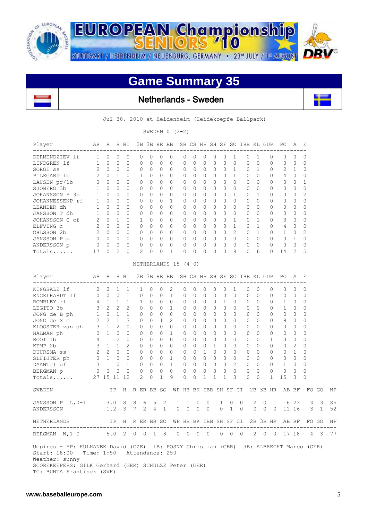

 $\mathbf{L}$ 

**EUROPEAN Championship** STUTTGART / HEIDENHEIM / NEUENBURG, GERMANY · 23<sup>rd</sup> JULY / 1st AUGUST

## **Game Summary 35**

 $710$ 

Netherlands - Sweden

Jul 30, 2010 at Heidenheim (Heidekoepfe Ballpark)

SWEDEN  $0 (2-2)$ 

| Player<br>---------------                                                                                                                                                                                                               | AВ           | R              |                | H BI           |   |                | 2B 3B HR BB |              |                                          |          |              |             |              | SB CS HP SH SF SO IBB KL GDP |              |   |              |              |         |                | PO.                                                           | А              | E              |              |    |
|-----------------------------------------------------------------------------------------------------------------------------------------------------------------------------------------------------------------------------------------|--------------|----------------|----------------|----------------|---|----------------|-------------|--------------|------------------------------------------|----------|--------------|-------------|--------------|------------------------------|--------------|---|--------------|--------------|---------|----------------|---------------------------------------------------------------|----------------|----------------|--------------|----|
| DERMENDZIEV lf                                                                                                                                                                                                                          | $\mathbf{1}$ | 0              | 0              | 0              |   | 0              | 0           | 0            | 0                                        | 0        | 0            | 0           | 0            | 0                            | 1            |   | 0            | 1            |         | 0              | 0                                                             | 0              | 0              |              |    |
| LINDGREN 1f                                                                                                                                                                                                                             | $\mathbf{1}$ | $\circ$        | 0              | 0              |   | 0              | 0           | 0            | 0                                        | 0        | 0            | 0           | 0            | 0                            | $\mathbf{0}$ |   | $\mathbf{0}$ | 0            |         | 0              | 0                                                             | 0              | 0              |              |    |
| SORGI ss                                                                                                                                                                                                                                | 2            | 0              | 0              | 0              |   | 0              | 0           | 0            | 0                                        | 0        | 0            | 0           | 0            | 0                            | 1            |   | 0            | 1            |         | 0              | 2                                                             | 1              | 0              |              |    |
| PILEGARD 1b                                                                                                                                                                                                                             | 2            | $\Omega$       | 1              | $\Omega$       |   | 1              | 0           | $\Omega$     | 0                                        | 0        | $\Omega$     | 0           | 0            | 0                            | 1            |   | $\Omega$     | $\Omega$     |         | 0              | 4                                                             | $\circ$        | 0              |              |    |
| LAUSEN pr/1b                                                                                                                                                                                                                            | $\mathbf 0$  | $\Omega$       | $\Omega$       | $\Omega$       |   | 0              | $\Omega$    | $\Omega$     | $\Omega$                                 | 0        | $\Omega$     | 0           | $\Omega$     | $\Omega$                     | $\Omega$     |   | $\Omega$     | $\Omega$     |         | $\Omega$       | 0                                                             | 0              | 1              |              |    |
| SJOBERG 3b                                                                                                                                                                                                                              | 1            | $\mathbf{0}$   | 0              | 0              |   | 0              | 0           | $\circ$      | $\Omega$                                 | 0        | $\Omega$     | 0           | 0            | 0                            | $\circ$      |   | 0            | $\Omega$     |         | 0              | 0                                                             | $\circ$        | $\Omega$       |              |    |
| JOHANSSON H 3b                                                                                                                                                                                                                          | 1            | $\Omega$       | $\Omega$       | 0              |   | $\mathbf{0}$   | $\Omega$    | $\circ$      | 0                                        | 0        | $\circ$      | 0           | 0            | 0                            | 1            |   | 0            | 1            |         | 0              | 0                                                             | 0              | $\overline{2}$ |              |    |
| JOHANNESSENP rf                                                                                                                                                                                                                         | $\mathbf{1}$ | $\Omega$       | $\Omega$       | $\Omega$       |   | 0              | 0           | $\Omega$     | 1                                        | 0        | $\Omega$     | 0           | $\Omega$     | 0                            | $\Omega$     |   | $\Omega$     | $\Omega$     |         | 0              | 0                                                             | 0              | 0              |              |    |
| LEANDER dh                                                                                                                                                                                                                              | 1            | $\Omega$       | 0              | $\Omega$       |   | $\Omega$       | 0           | $\Omega$     | $\Omega$                                 | 0        | $\Omega$     | $\Omega$    | 0            | $\Omega$                     | 0            |   | $\Omega$     | 0            |         | 0              | 0                                                             | 0              | 0              |              |    |
| JANSSON T dh                                                                                                                                                                                                                            | $\mathbf{1}$ | 0              | 0              | 0              |   | 0              | 0           | 0            | $\circ$                                  | 0        | 0            | $\mathbf 0$ | 0            | 0                            | 0            |   | 0            | $\Omega$     |         | 0              | 0                                                             | 0              | 0              |              |    |
| JOHANSSON C cf                                                                                                                                                                                                                          | 2            | $\Omega$       | $\mathbf{1}$   | $\Omega$       |   | $\mathbf{1}$   | 0           | $\Omega$     | $\circ$                                  | 0        | $\Omega$     | 0           | $\Omega$     | 0                            | $\mathbf{1}$ |   | $\Omega$     | 1            |         | $\mathbf{0}$   | 3                                                             | $\circ$        | 0              |              |    |
| ELFVING C                                                                                                                                                                                                                               | 2            | $\bigcirc$     | $\Omega$       | 0              |   | $\Omega$       | $\Omega$    | 0            | $\Omega$                                 | 0        | $\Omega$     | 0           | 0            | $\Omega$                     | $\mathbf{1}$ |   | $\Omega$     | 1            |         | $\Omega$       | 4                                                             | 0              | 0              |              |    |
| OHLSSON 2b                                                                                                                                                                                                                              |              | $2\quad 0$     | $\Omega$       | 0              |   | 0              | 0           | $\mathbf{0}$ | $\Omega$                                 | 0        | $\mathbf{0}$ | 0           | 0            | 0                            | 2            |   | $\mathbf{0}$ | $\mathbf{1}$ |         | 0              | 1                                                             | 0              | 2              |              |    |
| JANSSON P p                                                                                                                                                                                                                             | $\circ$      | $\bigcirc$     | $\Omega$       | $\Omega$       |   | $\mathbf{0}$   | $\Omega$    | $\Omega$     | $\Omega$                                 | 0        | $\Omega$     | $\Omega$    | $\Omega$     | $\Omega$                     | $\Omega$     |   | $\Omega$     | $\Omega$     |         | $\Omega$       | $\Omega$                                                      | $\overline{1}$ | 0              |              |    |
| ANDERSSON p                                                                                                                                                                                                                             | 0            | 0              | 0              | 0              |   | 0              | 0           | 0            | $\circ$                                  | 0        | $\Omega$     | 0           | 0            | 0                            | 0            |   | $\circ$      | 0            |         | 0              | 0                                                             | 0              | 0              |              |    |
| Totals                                                                                                                                                                                                                                  | 17           | $\circ$        | $\overline{c}$ | 0              |   | $\overline{2}$ | 0           | $\mathbf{0}$ | 1                                        | 0        | $\Omega$     | 0           | 0            | 0                            | 8            |   | $\mathbf{0}$ | 6            |         | $\Omega$       | 14                                                            | $\mathbf{2}$   | 5              |              |    |
|                                                                                                                                                                                                                                         |              |                |                |                |   |                |             |              | NETHERLANDS $15$ (4-0)                   |          |              |             |              |                              |              |   |              |              |         |                |                                                               |                |                |              |    |
| Player                                                                                                                                                                                                                                  | AВ           |                |                | R H BI         |   |                |             |              | 2B 3B HR BB SB CS HP SH SF SO IBB KL GDP |          |              |             |              |                              |              |   |              |              |         |                | PO.                                                           | A              | Е              |              |    |
| ---------------------<br>KINGSALE 1f                                                                                                                                                                                                    | 2            | 2              | 1              | 1              |   | 1              | 0           | 0            | 2                                        | 0        | 0            | 0           | 0            | 0                            | 1            |   | 0            | 0            |         | 0              | 0                                                             | 0              | $\mathbf{0}$   |              |    |
|                                                                                                                                                                                                                                         |              |                | $\Omega$       | $\mathbf{1}$   |   | $\circ$        | 0           | 0            | $\mathbf{1}$                             | 0        | 0            | 0           | $\mathbf{0}$ | 0                            | $\Omega$     |   | $\circ$      | $\Omega$     |         | 0              | 0                                                             | $\mathbf 0$    | $\mathbf 0$    |              |    |
|                                                                                                                                                                                                                                         |              |                | $\mathbf{1}$   | $\mathbf{1}$   |   | $\mathbf{1}$   | $\Omega$    | $\Omega$     | $\circ$                                  | $\Omega$ | $\circ$      | 0           | $\Omega$     | $\mathbf{1}$                 | $\Omega$     |   | $\mathbf{0}$ | $\Omega$     |         | $\Omega$       | 1                                                             | $\circ$        | $\Omega$       |              |    |
| ENGELHARDT 1f 0 0<br>ROMBLEY rf 4 1<br>LEGITO 3b 3 2                                                                                                                                                                                    |              |                | $\overline{2}$ | 2              |   | $\Omega$       | $\Omega$    | $\Omega$     | 1                                        | 0        | $\Omega$     | 0           | $\Omega$     | $\Omega$                     | $\Omega$     |   | $\Omega$     | $\Omega$     |         | $\Omega$       | 1                                                             | 0              | $\mathbf{0}$   |              |    |
| JONG de B ph 1 0                                                                                                                                                                                                                        |              |                | $\mathbf{1}$   | $\mathbf{1}$   |   | 0              | 0           | 0            | $\Omega$                                 | 0        | $\Omega$     | 0           | $\Omega$     | 0                            | $\Omega$     |   | 0            | $\Omega$     |         | 0              | 0                                                             | 0              | $\Omega$       |              |    |
| JONG de S c                                                                                                                                                                                                                             | $\mathbf{2}$ | 2              | $\mathbf{1}$   | 3              |   | 0              | 0           | 1            | 2                                        | 0        | $\circ$      | 0           | 0            | 0                            | $\Omega$     |   | 0            | $\Omega$     |         | 0              | 9                                                             | 0              | 0              |              |    |
| KLOOSTER van dh                                                                                                                                                                                                                         |              | 3 1            | $\overline{2}$ | $\Omega$       |   | 0              | $\Omega$    | $\Omega$     | $\Omega$                                 | 0        | $\Omega$     | 0           | $\Omega$     | 0                            | $\Omega$     |   | $\Omega$     | $\Omega$     |         | 0              | 0                                                             | 0              | 0              |              |    |
| HALMAN ph                                                                                                                                                                                                                               | $\mathbb O$  | 1              | $\Omega$       | $\circ$        |   | $\Omega$       | 0           | $\circ$      | 1                                        | 0        | $\Omega$     | $\Omega$    | $\Omega$     | $\Omega$                     | $\Omega$     |   | $\Omega$     | $\Omega$     |         | $\Omega$       | 0                                                             | 0              | $\Omega$       |              |    |
| ROOI 1b                                                                                                                                                                                                                                 |              | $4 \quad 1$    | $\overline{2}$ | $\circ$        |   | 0              | 0           | 0            | $\Omega$                                 | 0        | 0            | $\mathbf 0$ | 0            | 0                            | 0            |   | 0            | $\Omega$     |         | 1              | 3                                                             | 0              | 0              |              |    |
| KEMP 2b                                                                                                                                                                                                                                 | 3            | $\overline{1}$ | $\mathbf{1}$   | $\overline{2}$ |   | $\circ$        | 0           | $\Omega$     | $\circ$                                  | 0        | $\Omega$     | $\mathbf 0$ | $\mathbf{1}$ | 0                            | $\Omega$     |   | $\Omega$     | $\Omega$     |         | $\Omega$       | 0                                                             | 2              | 0              |              |    |
| DUURSMA ss                                                                                                                                                                                                                              |              | $2 \quad 2$    | $\Omega$       | $\circ$        |   | 0              | 0           | 0            | $\circ$                                  | 0        | $\Omega$     | 1           | $\circ$      | 0                            | $\Omega$     |   | 0            | $\Omega$     |         | 0              | 0                                                             | $\overline{1}$ | 0              |              |    |
| SLUIJTER ph                                                                                                                                                                                                                             | $0\quad 1$   |                | $\circ$        | $\circ$        |   | 0              | 0           | 0            | $\mathbf{1}$                             | 0        | $\mathbf{0}$ | $\circ$     | 0            | 0                            | 0            |   | 0            | 0            |         | 0              | 0                                                             | $\overline{0}$ | 0              |              |    |
| DAANTJI cf                                                                                                                                                                                                                              | 3            | 1              | $\Omega$       | $\mathbf 1$    |   | $\mathbf{0}$   | 0           | 0            | $\mathbf{1}$                             | 0        | $\Omega$     | $\Omega$    | $\Omega$     | 0                            | 2            |   | $\circ$      | $\Omega$     |         | 0              | $\mathbf 1$                                                   | $\circ$        | 0              |              |    |
| BERGMAN p                                                                                                                                                                                                                               | $\circ$      | 0              | 0              | $\Omega$       |   | $\mathbf{0}$   | 0           | 0            | $\circ$                                  | 0        | 0            | 0           | 0            | 0                            | 0            |   | $\mathbf{0}$ | 0            |         | $\mathbf{0}$   | 0                                                             | 0              | 0              |              |    |
| Totals                                                                                                                                                                                                                                  |              | 27 15 11 12    |                |                |   | $\overline{2}$ | $\Omega$    | $\mathbf{1}$ | 9                                        | 0        | 0            | 1           | 1            | 1                            | 3            |   | $\mathbf{0}$ | $\Omega$     |         | $\mathbf{1}$   | 15                                                            | 3              | $\Omega$       |              |    |
| SWEDEN                                                                                                                                                                                                                                  |              |                | IP             |                |   |                |             |              |                                          |          |              |             |              |                              |              |   |              |              |         |                | H R ER BB SO WP HB BK IBB SH SF CI 2B 3B HR AB BF             |                |                | FO GO        | ΝF |
| JANSSON P L, 0-1                                                                                                                                                                                                                        |              | 3.0            |                | 8              | 8 | 6              | 5           | 2            |                                          | 1        | 1            | 0           | 0            | 1                            | 0            | 0 |              | 2            | 0       | 1              | 16                                                            | 23             | 3              | 3            | 85 |
| ANDERSSON                                                                                                                                                                                                                               |              | 1.2            |                | 3              | 7 | 2              | 4           | $\mathbf{1}$ |                                          | 0        | $\mathbf{0}$ | 0           | $\mathbf{0}$ | 0                            | $\mathbf{1}$ | 0 |              | $\circ$      | $\circ$ | $\overline{0}$ |                                                               | 11 16          | 3              | $\mathbf{1}$ | 52 |
| NETHERLANDS                                                                                                                                                                                                                             |              |                |                |                |   |                |             |              |                                          |          |              |             |              |                              |              |   |              |              |         |                | IP H R ER BB SO WP HB BK IBB SH SF CI 2B 3B HR AB BF FO GO NP |                |                |              |    |
| BERGMAN W, 1-0 5.0 2 0 0 1 8 0 0 0 0 0 0 0 0 2 0 0 17 18 4 3 77                                                                                                                                                                         |              |                |                |                |   |                |             |              |                                          |          |              |             |              |                              |              |   |              |              |         |                |                                                               |                |                |              |    |
| Umpires - HP: KULHANEK David (CZE) 1B: POSNY Christian (GER) 3B: ALBRECHT Marco (GER)<br>Start: 18:00 Time: 1:50 Attendance: 250<br>Weather: sunny<br>SCOREKEEPERS: GILK Gerhard (GER) SCHULZE Peter (GER)<br>TC: BUNTA Frantisek (SVK) |              |                |                |                |   |                |             |              |                                          |          |              |             |              |                              |              |   |              |              |         |                |                                                               |                |                |              |    |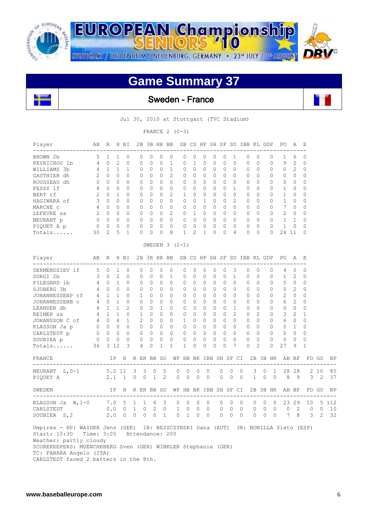

**EUROPEAN Championship** STUTTGART / HEIDENHEIM / NEUENBURG, GERMANY · 23rd JULY / 1st AUGUST

## **Game Summary 37**

S 710

## Sweden - France

Jul 30, 2010 at Stuttgart (TVC Stadium)

FRANCE  $2 (0-3)$ 

| Player                      | AB             | R              | H              | <b>BI</b>      | 2B             |                | 3B HR BB     |                |                 |                |              |          |          |                | SB CS HP SH SF SO IBB KL GDP |              |               | PO             | Α              | E              |
|-----------------------------|----------------|----------------|----------------|----------------|----------------|----------------|--------------|----------------|-----------------|----------------|--------------|----------|----------|----------------|------------------------------|--------------|---------------|----------------|----------------|----------------|
| BROWN 2b                    | 5              | $\mathbf{1}$   | 1              | $\Omega$       | $\Omega$       | $\Omega$       | $\Omega$     | $\Omega$       | $\Omega$        | $\Omega$       | $\Omega$     | $\Omega$ | $\Omega$ | 1              | $\Omega$                     | $\Omega$     | $\Omega$      | 1              | 6              | 0              |
| PEYRICHOU 1b                | 4              | $\Omega$       | $\overline{c}$ | $\mathbf{0}$   | 0              | $\overline{0}$ | $\Omega$     | $\mathbf{1}$   | $\Omega$        | $\mathbf{1}$   | $\Omega$     | $\Omega$ | $\Omega$ | $\Omega$       | $\Omega$                     | $\Omega$     | $\Omega$      | 9              | $\overline{2}$ | $\overline{0}$ |
| WILLIAMS 3b                 | 4              | 1              | 1              | $\mathbf{1}$   | $\Omega$       | $\Omega$       | $\mathbf{0}$ | $\mathbf{1}$   | 0               | $\Omega$       | $\Omega$     | $\Omega$ | $\Omega$ | $\Omega$       | $\Omega$                     | $\Omega$     | $\Omega$      | $\mathbf{0}$   | $\overline{2}$ | 0              |
| GAUTHIER dh                 | $\overline{2}$ | $\Omega$       | 0              | $\Omega$       | $\Omega$       | $\Omega$       | $\Omega$     | $\overline{2}$ | $\Omega$        | $\Omega$       | 0            | $\Omega$ | $\Omega$ | $\Omega$       | $\Omega$                     | $\Omega$     | $\Omega$      | 0              | $\Omega$       | $\Omega$       |
| ROUSSEAU dh                 | $\Omega$       | $\Omega$       | 0              | $\Omega$       | $\Omega$       | O              | $\Omega$     | $\cap$         | $\Omega$        | $\Omega$       | $\Omega$     | $\Omega$ | $\Omega$ | $\Omega$       | $\Omega$                     | $\Omega$     | $\Omega$      | 0              | $\Omega$       | 0              |
| FESSY 1f                    | 4              | $\Omega$       | 0              | $\Omega$       | $\Omega$       | $\Omega$       | $\Omega$     | $\Omega$       | 0               | $\Omega$       | $\Omega$     | $\Omega$ | $\Omega$ | $\mathbf{1}$   | $\Omega$                     | $\Omega$     | $\Omega$      | $\mathbf 1$    | $\Omega$       | 0              |
| BERT rf                     | $\overline{2}$ | $\Omega$       | 1              | $\Omega$       | $\Omega$       | $\Omega$       | $\Omega$     | $\overline{2}$ | $\mathbf{1}$    | $\cap$         | $\Omega$     | 0        | $\Omega$ | $\Omega$       | $\Omega$                     | <sup>n</sup> | $\Omega$      | 1              | $\Omega$       | 0              |
| HAGIWARA cf                 | 3              | $\Omega$       | $\Omega$       | $\Omega$       | $\Omega$       | 0              | $\Omega$     | $\cap$         | $\Omega$        | $\Omega$       | $\mathbf{1}$ | $\Omega$ | $\Omega$ | $\mathfrak{D}$ | $\Omega$                     | $\Omega$     | $\Omega$      | $\mathbf 1$    | $\Omega$       | 0              |
| MARCHE C                    | 4              | $\Omega$       | $\Omega$       | $\Omega$       | $\Omega$       | $\Omega$       | $\Omega$     | $\Omega$       | $\Omega$        | $\Omega$       | $\Omega$     | $\Omega$ | $\Omega$ | $\Omega$       | $\Omega$                     | $\Omega$     | $\Omega$      | 7              | $\Omega$       | 0              |
| LEFEVRE SS                  | $\overline{2}$ | $\Omega$       | $\Omega$       | $\Omega$       | $\Omega$       | $\Omega$       | $\Omega$     | $\overline{2}$ | $\mathbf{0}$    | $\mathbf{1}$   | $\Omega$     | $\Omega$ | $\Omega$ | $\Omega$       | $\Omega$                     | $\Omega$     | $\Omega$      | $\overline{2}$ | $\Omega$       | 0              |
| MEURANT p                   | $\Omega$       | $\Omega$       | 0              | $\Omega$       | $\Omega$       | 0              | $\Omega$     | $\cap$         | 0               | $\Omega$       | $\Omega$     | $\Omega$ | $\Omega$ | $\Omega$       | $\Omega$                     | $\Omega$     | $\Omega$      | $\mathbf 1$    | $\mathbf{1}$   | 0              |
| PIQUET A p                  | 0              | $\Omega$       | $\Omega$       | 0              | 0              | $\Omega$       | $\mathbf 0$  | $\Omega$       | $\mathbf{0}$    | $\Omega$       | 0            | $\Omega$ | $\Omega$ | $\Omega$       | $\Omega$                     | $\Omega$     | $\Omega$      | $\overline{1}$ | $\Omega$       | 0              |
| Totals                      | 30             | $\overline{2}$ | 5              | $\mathbf{1}$   | 0              | 0              | $\Omega$     | 8              | $\mathbf{1}$    | $\overline{2}$ | 1            | $\Omega$ | $\Omega$ | 4              | $\Omega$                     | 0            | $\Omega$      | 24             | 11             | $\Omega$       |
|                             |                |                |                |                |                |                |              |                | SWEDEN $3(2-1)$ |                |              |          |          |                |                              |              |               |                |                |                |
| Player<br>----------------- | AB             | R              |                | H BI           | 2B             |                | 3B HR BB     |                | SB              | CS             | HP SH SF     |          |          |                | SO IBB KL GDP                |              | ------------- | PO.            | A              | E              |
| DERMENDZIEV 1f              | 5              | 0              | 1              | 0              | 0              | $\Omega$       | 0            | 0              | 0               | $\Omega$       | 0            | 0        | $\Omega$ | 3              | $\Omega$                     | $\Omega$     | 0             | 4              | $\Omega$       | 0              |
| SORGI 2b                    | 3              | $\circ$        | $\overline{2}$ | 0              | 0              | 0              | $\Omega$     | $\mathbf{1}$   | 0               | $\Omega$       | $\Omega$     | 0        | 0        | $\mathbf{1}$   | $\Omega$                     | $\Omega$     | 0             | 1              | 2              | 0              |
| PILEGARD 1b                 | 4              | $\Omega$       | 1              | $\Omega$       | $\Omega$       | $\Omega$       | $\Omega$     | $\Omega$       | $\Omega$        | $\Omega$       | $\Omega$     | $\Omega$ | $\Omega$ | $\Omega$       | $\Omega$                     | $\Omega$     | $\Omega$      | 5              | $\Omega$       | 0              |
| SJOBERG 3b                  | 4              | $\Omega$       | 0              | $\Omega$       | $\Omega$       | $\Omega$       | $\Omega$     | $\Omega$       | $\Omega$        | $\Omega$       | $\Omega$     | $\Omega$ | $\Omega$ | $\Omega$       | $\Omega$                     | $\Omega$     | $\Omega$      | 0              | $\mathfrak{D}$ | $\Omega$       |
| JOHANNESSENP rf             | 4              | $\mathbf{1}$   | 1              | $\Omega$       | 1              | $\Omega$       | $\Omega$     | $\cap$         | $\Omega$        | $\Omega$       | $\Omega$     | $\Omega$ | $\Omega$ | $\Omega$       | $\Omega$                     | $\Omega$     | $\Omega$      | $\overline{2}$ | $\Omega$       | 0              |
| JOHANNESSENB C              | 4              | $\Omega$       | $\mathbf{1}$   | $\Omega$       | $\Omega$       | $\Omega$       | $\Omega$     | $\Omega$       | $\Omega$        | $\Omega$       | $\Omega$     | $\Omega$ | $\Omega$ | $\Omega$       | $\Omega$                     | $\Omega$     | $\Omega$      | 6              | $\overline{2}$ | 0              |
| LEANDER dh                  | 4              | $\mathbf{1}$   | 1              | $\overline{2}$ | $\Omega$       | $\Omega$       | 1            | U              | $\Omega$        | $\Omega$       | 0            | $\Omega$ | $\Omega$ | 1              | $\Omega$                     | $\Omega$     | $\Omega$      | 0              | $\Omega$       | $\Omega$       |
| <b>REIMER</b> SS            | 4              | $\mathbf{1}$   | 1              | $\Omega$       | 1              | 0              | $\Omega$     | $\Omega$       | $\Omega$        | $\Omega$       | 0            | $\Omega$ | $\Omega$ | $\overline{2}$ | $\Omega$                     | 2            | $\Omega$      | 3              | $\overline{2}$ | 1              |
| JOHANSSON C cf              | 4              | $\Omega$       | 4              | $\mathbf{1}$   | $\mathfrak{D}$ | $\Omega$       | $\Omega$     | $\Omega$       | $\mathbf{1}$    | $\Omega$       | $\Omega$     | $\Omega$ | $\Omega$ | $\Omega$       | $\Omega$                     | $\Omega$     | $\Omega$      | 6              | $\Omega$       | $\Omega$       |
| KLASSON Ja p                | $\Omega$       | $\Omega$       | $\Omega$       | $\Omega$       | $\Omega$       | $\Omega$       | $\Omega$     | $\Omega$       | $\Omega$        | $\Omega$       | $\Omega$     | $\Omega$ | $\Omega$ | $\Omega$       | $\Omega$                     | $\Omega$     | $\Omega$      | 0              | $\mathbf{1}$   | $\Omega$       |
| CARLSTEDT p                 | 0              | $\Omega$       | 0              | 0              | $\Omega$       | 0              | 0            | $\Omega$       | 0               | $\Omega$       | 0            | $\Omega$ | $\Omega$ | $\Omega$       | $\Omega$                     | $\Omega$     | $\Omega$      | 0              | $\Omega$       | 0              |
| SOUBIEA p                   | $\Omega$       | $\Omega$       | $\Omega$       | $\Omega$       | $\Omega$       | $\Omega$       | $\Omega$     | $\Omega$       | $\Omega$        | $\Omega$       | 0            | 0        | $\Omega$ | $\Omega$       | $\Omega$                     | $\Omega$     | $\Omega$      | $\Omega$       | $\cap$         | 0              |
| Totals                      | 36             | 3              | 12             | 3              | 4              | 0              | $\mathbf{1}$ | $\mathbf{1}$   | $\mathbf{1}$    | 0              | $\Omega$     | 0        | $\Omega$ | 7              | $\Omega$                     | 2            | $\Omega$      | 27             | 9              | $\mathbf{1}$   |

| FRANCE                                           |                                   | IP H R ER BB SO |                                |                 |                                            |            |                                                       | WP HB BK IBB SH SF CI 2B 3B HR AB BF FO GO                    |                                 |                           |                                       |                              |                           |                              |              |                 |          |         | NP                     |
|--------------------------------------------------|-----------------------------------|-----------------|--------------------------------|-----------------|--------------------------------------------|------------|-------------------------------------------------------|---------------------------------------------------------------|---------------------------------|---------------------------|---------------------------------------|------------------------------|---------------------------|------------------------------|--------------|-----------------|----------|---------|------------------------|
| MEURANT $L, 0-1$<br>PIOUET A                     | 2.1 1 0 0 1 2                     | 5.2 11 3 3      |                                |                 | 0 <sub>5</sub>                             | $\bigcirc$ | $0\quad 0$<br>$\begin{matrix} 0 & 0 & 0 \end{matrix}$ | $\overline{0}$<br>$\begin{matrix} 0 & 0 & 0 \end{matrix}$     | $\begin{matrix}0&0\end{matrix}$ |                           | $\overline{0}$                        | 3 0 1<br>$0 \quad 1 \quad 0$ |                           | $\bigcirc$                   |              | 28 28<br>89     |          |         | 2 10 85<br>3 2 37      |
| SWEDEN                                           |                                   |                 |                                |                 |                                            |            |                                                       | IP H R ER BB SO WP HB BK IBB SH SF CI 2B 3B HR AB BF FO GO NP |                                 |                           |                                       |                              |                           |                              |              |                 |          |         |                        |
| KLASSON Ja $W, 1-0$<br>CARLSTEDT<br>SOUBIEA S, 2 | 7.0 5 1 1 6 3 0 0 0<br>0.0<br>2.0 |                 | $0\quad1$<br>$\Omega$ $\Omega$ | $\Omega$<br>- റ | 2 0<br>$\begin{matrix} 0 & 1 \end{matrix}$ | $\cap$     | 1 0 0<br>$\bigcap$                                    | $0\quad 0\quad 0$<br>$\bigcirc$<br>$\cap$                     |                                 | $0\quad 0$<br>$0 \quad 0$ | $\cdot$ 0<br>$\bigcirc$<br>$\bigcirc$ | $0\quad 0$                   | $0\quad 0$<br>$0 \quad 0$ | $\overline{0}$<br>$\bigcirc$ | 0 23 29<br>7 | $0\quad 2$<br>8 | $\Omega$ | $3 \t2$ | 10 5 112<br>10<br>- 32 |

 Umpires - HP: WAIDER Jens (GER) 1B: BESZCZYNSKI Dana (AUT) 3B: BONILLA Sixto (ESP) Start: 10:30 Time: 3:05 Attendance: 200 Weather: partly cloudy SCOREKEEPERS: MUENCHEBERG Sven (GER) WINKLER Stephanie (GER) TC: FANARA Angelo (ITA) CARLSTEDT faced 2 batters in the 8th.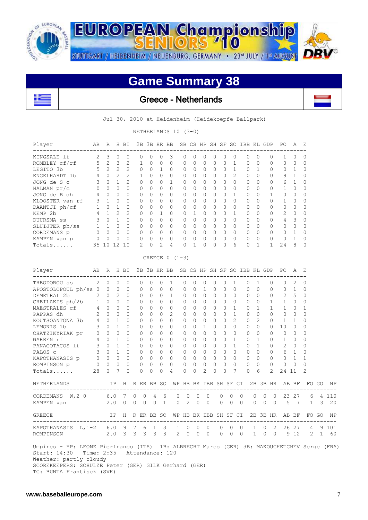

**EUROPEAN Championship** STUTTGART / HEIDENHEIM / NEUENBURG, GERMANY · 23<sup>rd</sup> JULY / 1ª AUGUST

 $\mathbf{r}$ 

## **Game Summary 38**

 $710$ 



Jul 30, 2010 at Heidenheim (Heidekoepfe Ballpark)

NETHERLANDS 10 (3-0)

| Player                                                                                                                                                                                                                                                |                  |                     |                            | AB R H BI            |   |                   |                     |                |                      | 2B 3B HR BB SB CS HP SH SF SO IBB KL GDP |                |                     |                         |               |                                |                      |            |                     |                   |                   | PO A E                                                        |                      |                          |       |       |
|-------------------------------------------------------------------------------------------------------------------------------------------------------------------------------------------------------------------------------------------------------|------------------|---------------------|----------------------------|----------------------|---|-------------------|---------------------|----------------|----------------------|------------------------------------------|----------------|---------------------|-------------------------|---------------|--------------------------------|----------------------|------------|---------------------|-------------------|-------------------|---------------------------------------------------------------|----------------------|--------------------------|-------|-------|
| KINGSALE lf<br>ROMBLEY cf/rf                                                                                                                                                                                                                          | 2<br>5           | 3<br>$\overline{c}$ | 0<br>3                     | 0<br>$\overline{c}$  |   | 0<br>$\mathbf{1}$ | 0<br>$\Omega$       | 0<br>0         | 3<br>$\Omega$        | 0<br>0                                   |                | 0<br>$\mathbf{0}$   | 0<br>0                  | 0<br>$\Omega$ | 0<br>0                         | 0<br>$\mathbf{1}$    |            | 0<br>0              | 0<br>$\mathbf{0}$ | 0<br>0            | 1<br>$\Omega$                                                 | 0<br>$\Omega$        | $\Omega$<br>$\mathbf{0}$ |       |       |
| LEGITO 3b                                                                                                                                                                                                                                             | 5                | 2                   | 2                          | $\overline{c}$       |   | 0                 | 0                   | 1              | 0                    | 0                                        |                | 0                   | $\circ$                 | $\mathbf{0}$  | 0                              | 1                    |            | 0                   | 1                 | 0                 | 0                                                             | 1                    | 0                        |       |       |
| ENGELHARDT 1b                                                                                                                                                                                                                                         | 4                | $\mathbf{0}$        | 2                          | $\overline{2}$       |   | 1                 | $\Omega$            | 0              | 0                    | 0                                        |                | 0                   | 0                       | 0             | 0                              | 2                    |            | 0                   | 0                 | 0                 | 9                                                             | 1                    | 0                        |       |       |
| JONG de S c                                                                                                                                                                                                                                           | 3                | $\Omega$            | $\mathbf{1}$               | $\overline{2}$       |   | $\Omega$          | $\Omega$            | $\Omega$       | $\mathbf{1}$         | $\Omega$                                 |                | $\Omega$            | $\Omega$                | $\Omega$      | $\Omega$                       | $\Omega$             |            | $\Omega$            | $\Omega$          | $\Omega$          | 6                                                             | $\mathbf{1}$         | $\Omega$                 |       |       |
| HALMAN pr/c                                                                                                                                                                                                                                           | $\Omega$         | $\Omega$            | $\Omega$                   | $\Omega$             |   | 0                 | $\Omega$            | $\Omega$       | $\Omega$             | $\Omega$                                 |                | $\Omega$            | $\Omega$                | $\Omega$      | $\Omega$                       | $\Omega$             |            | $\Omega$            | $\mathbf{0}$      | 0                 | $\mathbf{1}$                                                  | $\Omega$             | $\Omega$                 |       |       |
| JONG de B dh                                                                                                                                                                                                                                          | 4                | 0                   | $\Omega$                   | $\Omega$             |   | 0                 | $\Omega$            | 0              | $\Omega$             | 0                                        |                | $\circ$             | 0                       | $\Omega$      | $\Omega$                       | $\mathbf{1}$         |            | 0                   | $\mathbf{0}$      | 1                 | 0                                                             | $\Omega$             | 0                        |       |       |
| KLOOSTER van rf                                                                                                                                                                                                                                       | 3                | $\mathbf{1}$        | $\Omega$                   | $\Omega$             |   | $\Omega$          | $\Omega$            | $\Omega$       | $\Omega$             | 0                                        |                | $\circ$             | $\Omega$                | $\Omega$      | $\Omega$                       | $\Omega$             |            | $\Omega$            | $\circ$           | $\Omega$          | 1                                                             | $\Omega$             | 0                        |       |       |
| DAANTJI ph/cf                                                                                                                                                                                                                                         | 1                | $\Omega$            | $\overline{1}$             | $\Omega$             |   | 0                 | $\Omega$            | 0              | $\Omega$             | $\Omega$                                 |                | $\circ$             | $\Omega$                | $\Omega$      | 0                              | $\Omega$             |            | $\Omega$            | $\mathbf{0}$      | 0                 | $\circ$                                                       | $\Omega$             | 0                        |       |       |
| KEMP 2b                                                                                                                                                                                                                                               | 4                | $\mathbf{1}$        | $\mathfrak{D}$             | $\overline{2}$       |   | $\Omega$          | $\Omega$            | $\mathbf{1}$   | $\Omega$             | $\Omega$                                 |                | $\mathbf{1}$        | $\Omega$                | $\Omega$      | $\Omega$                       | $\mathbf{1}$         |            | $\Omega$            | $\Omega$          | $\Omega$          | 2                                                             | $\Omega$             | $\Omega$                 |       |       |
| DUURSMA ss                                                                                                                                                                                                                                            | $3 \quad 0$<br>1 | 1                   | $\overline{1}$<br>$\Omega$ | $\Omega$<br>$\Omega$ |   | 0                 | $\circ$<br>$\Omega$ | 0              | $\Omega$<br>$\Omega$ | $\mathbf{0}$<br>$\circ$                  | $\bigcirc$     | $\Omega$            | $\mathbf 0$             | 0<br>$\circ$  | $\mathbf{0}$<br>$\overline{0}$ | $\Omega$<br>$\Omega$ |            | 0<br>$\Omega$       | 0<br>$\mathbf{0}$ | 0<br>0            | $\overline{4}$<br>$\overline{0}$                              | 3<br>$\Omega$        | $\Omega$<br>0            |       |       |
| SLUIJTER ph/ss<br>CORDEMANS p                                                                                                                                                                                                                         | $\mathbf{0}$     | $\mathbf{0}$        | $\mathbf{0}$               | $\Omega$             |   | 0<br>0            | 0                   | 0<br>0         | $\Omega$             | $\Omega$                                 | $\bigcirc$     |                     | 0<br>$\Omega$           | 0             | $\overline{0}$                 | $\Omega$             |            | 0<br>$\overline{0}$ |                   | $\circ$           | $\overline{0}$                                                | 1                    | 0                        |       |       |
| KAMPEN van p<br>$\overline{\phantom{0}}$                                                                                                                                                                                                              |                  | 0                   | 0                          | 0                    |   | 0                 | 0                   | 0              | 0                    | 0                                        |                | $\circ$             | 0                       | 0             | 0                              | 0                    |            | 0                   | 0                 | 0                 | $\circ$                                                       | 1                    | 0                        |       |       |
| Totals                                                                                                                                                                                                                                                | 35 10            |                     | 12                         | 10                   |   | $\overline{2}$    | 0                   | 2              | 4                    | $\Omega$                                 |                | $\mathbf{1}$        | 0                       | $\Omega$      | $\Omega$                       | 6                    |            | 0                   | $\mathbf{1}$      | $\mathbf{1}$      | 24                                                            | 8                    | $\Omega$                 |       |       |
|                                                                                                                                                                                                                                                       |                  |                     |                            |                      |   |                   |                     |                |                      |                                          |                |                     |                         |               |                                |                      |            |                     |                   |                   |                                                               |                      |                          |       |       |
|                                                                                                                                                                                                                                                       |                  |                     |                            |                      |   |                   |                     |                |                      | GREECE $0(1-3)$                          |                |                     |                         |               |                                |                      |            |                     |                   |                   |                                                               |                      |                          |       |       |
| Player<br>AВ                                                                                                                                                                                                                                          |                  |                     |                            | R H BI               |   |                   |                     |                |                      | 2B 3B HR BB SB CS HP SH SF SO IBB KL GDP |                |                     |                         |               |                                |                      |            |                     |                   |                   | PO                                                            | A E                  |                          |       |       |
| THEODOROU SS                                                                                                                                                                                                                                          | 2                | $\mathbf{0}$        | 0                          | 0                    |   | 0                 | 0                   | 0              | 1                    | 0                                        |                | 0                   | 0                       | 0             | 0                              | 1                    |            | 0                   | 1                 | 0                 | 0                                                             | 2                    | 0                        |       |       |
| APOSTOLOPOUL ph/ss 0                                                                                                                                                                                                                                  |                  | $\mathbf{0}$        | 0                          | 0                    |   | 0                 | $\Omega$            | 0              | 0                    | 0                                        |                | $\mathbf{0}$        | 1                       | 0             | 0                              | $\Omega$             |            | 0                   | $\circ$           | 0                 | 0                                                             | $\mathbf{1}$         | 0                        |       |       |
| DEMETRAL 2b                                                                                                                                                                                                                                           | 2                | 0                   | 2                          | $\Omega$             |   | 0                 | 0                   | 0              | 1                    | 0                                        |                | $\circ$             | $\Omega$                | $\mathbf{0}$  | $\overline{\phantom{0}}$       | $\Omega$             |            | 0                   | 0                 | 0                 | $\overline{c}$                                                | 5                    | 0                        |       |       |
| CHEILAKIS ph/2b                                                                                                                                                                                                                                       | 1                | 0<br>$\Omega$       | $\Omega$<br>$\Omega$       | $\Omega$<br>$\Omega$ |   | 0                 | 0<br>$\Omega$       | 0<br>$\Omega$  | 0<br>$\Omega$        | $\mathbf{0}$<br>$\Omega$                 |                | $\circ$<br>$\Omega$ | $\mathbf 0$<br>$\Omega$ | 0<br>$\Omega$ | $\overline{0}$<br>$\Omega$     | 0<br>$\mathbf{1}$    |            | 0<br>$\Omega$       | 0<br>$\mathbf{1}$ | 1<br>$\mathbf{1}$ | $\mathbf{1}$<br>$\mathbf{1}$                                  | $\Omega$<br>$\Omega$ | $\Omega$<br>$\mathbf{1}$ |       |       |
| MAESTRALES cf<br>PAPPAS dh                                                                                                                                                                                                                            | 4<br>2           | $\Omega$            | $\Omega$                   | $\Omega$             |   | 0<br>0            | $\Omega$            | $\Omega$       | $\overline{2}$       | $\Omega$                                 |                | $\Omega$            | $\mathbf 0$             | $\Omega$      | $\Omega$                       | $\mathbf{1}$         |            | 0                   | $\circ$           | $\Omega$          | $\Omega$                                                      | $\Omega$             | $\Omega$                 |       |       |
| KOUTSOANTONA 3b                                                                                                                                                                                                                                       | 4                | $\Omega$            | $\mathbf{1}$               | $\Omega$             |   | 0                 | $\Omega$            | 0              | $\Omega$             | 0                                        |                | $\Omega$            | 0                       | 0             | $\Omega$                       | 2                    |            | 0                   | 2                 | $\Omega$          | 1                                                             | 1                    | 0                        |       |       |
| LEMONIS 1b                                                                                                                                                                                                                                            | 3                | $\Omega$            | $\mathbf{1}$               | $\Omega$             |   | 0                 | $\Omega$            | $\Omega$       | $\Omega$             | 0                                        |                | $\circ$             | 1                       | 0             | $\Omega$                       | $\Omega$             |            | 0                   | $\Omega$          | $\circ$           | 10                                                            | $\Omega$             | 0                        |       |       |
| CHATZIKYRIAK pr                                                                                                                                                                                                                                       | $\overline{0}$   | $\overline{0}$      | $\Omega$                   | $\Omega$             |   | 0                 | $\Omega$            | 0              | $\Omega$             | $\Omega$                                 |                | $\circ$             | 0                       | $\Omega$      | $\overline{0}$                 | $\Omega$             |            | 0                   | $\circ$           | 0                 | $\circ$                                                       | $\Omega$             | 0                        |       |       |
| WARREN rf                                                                                                                                                                                                                                             | 4                | $\Omega$            | $\mathbf{1}$               | $\Omega$             |   | 0                 | $\Omega$            | 0              | $\Omega$             | $\Omega$                                 |                | $\Omega$            | $\Omega$                | $\Omega$      | $\Omega$                       | $\mathbf{1}$         |            | $\Omega$            | $\mathbf{1}$      | $\mathbf 0$       | $\mathbf{1}$                                                  | $\Omega$             | $\Omega$                 |       |       |
| PANAGOTACOS 1f                                                                                                                                                                                                                                        | $3 \quad 0$      |                     | $\mathbf{1}$               | $\Omega$             |   | 0                 | 0                   | 0              | $\Omega$             | $\mathbf{0}$                             |                | 0                   | 0                       | 0             | $\overline{0}$                 | $\mathbf{1}$         |            | 1<br>0              |                   | 0                 | $\overline{2}$                                                | $\overline{0}$       | $\Omega$                 |       |       |
| PALOS c                                                                                                                                                                                                                                               | 3                | $\Omega$            | $\mathbf{1}$               | $\Omega$             |   | 0                 | $\Omega$            | 0              | $\Omega$             | $\mathbf{0}$                             | $\overline{0}$ |                     | 0                       | $\circ$       | $\overline{0}$                 | $\Omega$             |            | $\Omega$            | $\circ$           | $\circ$           | 6                                                             | $\overline{1}$       | 0                        |       |       |
| KAPOTHANASIS p                                                                                                                                                                                                                                        | $\mathbf{0}$     | 0                   | $\mathbf{0}$               | $\Omega$             |   | 0                 | $\circ$             | 0              | 0                    | $\mathbf{0}$                             | $\bigcirc$     |                     | $\mathbf{0}$            | 0             | $\overline{0}$                 | $\Omega$             |            | 0<br>$\bigcirc$     |                   | $\circ$           | $\circ$                                                       | 1                    | $\mathbf{1}$             |       |       |
| ROMPINSON p                                                                                                                                                                                                                                           | 0                | 0                   | 0                          | 0                    |   | 0                 | 0                   | 0              | 0                    | 0                                        |                | 0                   | 0                       | 0             | 0                              | $\circ$              |            | 0                   | $\mathbf{0}$      | 0                 | 0                                                             | 0                    | $\Omega$                 |       |       |
| Totals<br>28                                                                                                                                                                                                                                          |                  | $\Omega$            | 7                          | $\Omega$             |   | $\Omega$          | $\Omega$            | 0              | 4                    | $\Omega$                                 |                | $\Omega$            | $\overline{2}$          | $\Omega$      | $\Omega$                       | 7                    |            | 0                   | 6                 | 2                 | 24                                                            | -11                  | 2                        |       |       |
| NETHERLANDS                                                                                                                                                                                                                                           |                  | IP                  |                            |                      |   |                   |                     |                |                      |                                          |                |                     |                         |               |                                |                      |            |                     |                   |                   | H R ER BB SO WP HB BK IBB SH SF CI 2B 3B HR AB BF             |                      |                          | FO GO | ΝP    |
| CORDEMANS $W, 2-0$                                                                                                                                                                                                                                    |                  | 6.0                 |                            | $\overline{7}$       | 0 | 0                 | 4                   | 6              |                      | 0                                        | 0              | 0                   | 0                       |               | 0                              | 0                    | 0          | 0                   | 0                 | 0                 |                                                               | 23 27                | 6                        |       | 4 110 |
| KAMPEN van                                                                                                                                                                                                                                            |                  | 2.0                 |                            | $\bigcirc$           | 0 | $\Omega$          | $\Omega$            | $\overline{1}$ |                      | $\Omega$                                 | 2              | $\Omega$            | $\Omega$                |               | $\Omega$                       | 0                    | $\bigcirc$ | $\Omega$            | $\Omega$          | $\bigcirc$        | 5                                                             | $\overline{7}$       | $\mathbf{1}$             | 3     | 20    |
| <b>GREECE</b>                                                                                                                                                                                                                                         |                  |                     |                            |                      |   |                   |                     |                |                      |                                          |                |                     |                         |               |                                |                      |            |                     |                   |                   | IP H R ER BB SO WP HB BK IBB SH SF CI 2B 3B HR AB BF FO GO NP |                      |                          |       |       |
| KAPOTHANASIS L, 1-2 6.0 9 7 6 1 3 1 0 0 0 0 0 0 0 1 0 2 26 27 4 9 101                                                                                                                                                                                 |                  |                     |                            |                      |   |                   |                     |                |                      |                                          |                |                     |                         |               |                                |                      |            |                     |                   |                   |                                                               |                      |                          |       |       |
| ROMPINSON                                                                                                                                                                                                                                             |                  |                     |                            |                      |   |                   |                     |                |                      |                                          |                |                     |                         |               |                                |                      |            |                     |                   |                   | 2.0 3 3 3 3 3 2 0 0 0 0 0 0 1 0 0 9 12 2 1 60                 |                      |                          |       |       |
| Umpires - HP: LEONE Pierfranco (ITA) 1B: ALBRECHT Marco (GER) 3B: MAKOUCHETCHEV Serge (FRA)<br>Start: 14:30 Time: 2:35 Attendance: 120<br>Weather: partly cloudy<br>SCOREKEEPERS: SCHULZE Peter (GER) GILK Gerhard (GER)<br>TC: BUNTA Frantisek (SVK) |                  |                     |                            |                      |   |                   |                     |                |                      |                                          |                |                     |                         |               |                                |                      |            |                     |                   |                   |                                                               |                      |                          |       |       |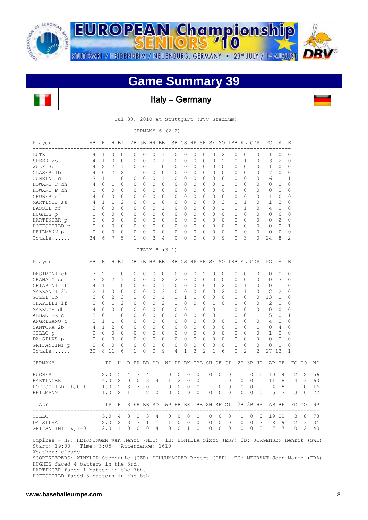

**EUROPEAN Championship** STUTTGART / HEIDENHEIM / NEUENBURG, GERMANY · 23<sup>rd</sup> JULY / 1st AUGUST

## **Game Summary 39**

Italy **–** Germany

Jul 30, 2010 at Stuttgart (TVC Stadium)

GERMANY 6 (2-2)

| Player                                                                                                                                                                     | AВ                                                             | R              |                                         | H BI           |                |                |                   | 2B 3B HR BB    |                                                |                |                     |                |             |                                     |                | SB CS HP SH SF SO IBB KL GDP |                                     |              |                | PO                                      | Α              | $-E$                                               |                |               |
|----------------------------------------------------------------------------------------------------------------------------------------------------------------------------|----------------------------------------------------------------|----------------|-----------------------------------------|----------------|----------------|----------------|-------------------|----------------|------------------------------------------------|----------------|---------------------|----------------|-------------|-------------------------------------|----------------|------------------------------|-------------------------------------|--------------|----------------|-----------------------------------------|----------------|----------------------------------------------------|----------------|---------------|
| LUTZ lf                                                                                                                                                                    |                                                                | 4 1            | $\circ$                                 | $\Omega$       |                | $\circ$        | $\circ$           | $\circ$        | 1                                              | 0              | $\circ$             | $\mathbf{0}$   | 0           | $\circ$                             | 2              |                              | 0<br>$\overline{0}$                 |              | 0              | 1                                       | 0              | 0                                                  |                |               |
| SPEER 2b                                                                                                                                                                   | $\overline{4}$                                                 | $\mathbf{1}$   | $\Omega$                                | $\Omega$       | $\Omega$       |                | $\Omega$          | $\Omega$       | 1                                              | $\Omega$       | $\Omega$            | $\Omega$       | $\Omega$    | $\Omega$                            | $\mathfrak{D}$ |                              | $\Omega$                            | $\mathbf{1}$ | $\Omega$       | 3                                       | $\mathfrak{D}$ | $\Omega$                                           |                |               |
| WULF 3b                                                                                                                                                                    | $\overline{4}$                                                 | 2              | 2                                       | $\mathbf{1}$   |                | $\circ$        | $\circ$           | $\mathbf{1}$   | 0                                              | $\circ$        | $\Omega$            | $\Omega$       | 0           | $\Omega$                            | $\Omega$       |                              | $\Omega$<br>$\circ$                 |              | 0              | 1                                       | $\circ$        | $\mathbf{0}$                                       |                |               |
| GLASER 1b                                                                                                                                                                  |                                                                |                | 4 0 2                                   | 2              |                | $\mathbf{1}$   | $\circ$           | $\circ$        | $\overline{0}$                                 | $\circ$        | $\overline{0}$      | $\overline{0}$ | $\circ$     | $\overline{0}$                      | $\bigcap$      |                              | $\overline{0}$<br>$\circ$           |              | 0              | 7                                       | $\overline{0}$ | $\circ$                                            |                |               |
| GUHRING C                                                                                                                                                                  |                                                                | $3 \quad 1$    |                                         | 1 0            |                | $\circ$        | $\Omega$          | $\bigcirc$     | $\mathbf{1}$                                   | $\Omega$       | $\bigcirc$          | $\bigcirc$     | $\Omega$    | $\bigcirc$                          | $\Omega$       |                              | $\Omega$<br>$\overline{0}$          |              | 0              | 6 1                                     |                | $\mathbf{1}$                                       |                |               |
| HOWARD C dh                                                                                                                                                                |                                                                |                | 4 0 1                                   | $\Omega$       |                | $\Omega$       | $\Omega$          | $\Omega$       | $\Omega$                                       | $\circ$        | $\bigcirc$          | $\Omega$       | $\Omega$    | $\bigcirc$                          | $\mathbf{1}$   |                              | $\Omega$<br>$\overline{0}$          |              | 0              | $\Omega$                                | $\circ$        | $\Omega$                                           |                |               |
| HOWARD P dh                                                                                                                                                                | $\circ$                                                        |                | $\begin{matrix} 0 & 0 \end{matrix}$     | $\Omega$       |                | $\Omega$       | $\Omega$          | $\Omega$       | $\Omega$                                       | $\circ$        | $\Omega$            | $\Omega$       | $\Omega$    | $\bigcirc$                          | $\Omega$       |                              | $\Omega$<br>$\Omega$                |              | 0              | $0\quad 0$                              |                | $\Omega$                                           |                |               |
| GRUBER rf                                                                                                                                                                  |                                                                |                | 4 0 0                                   | $\circ$        |                | $\circ$        | $\circ$           | $\circ$        | $\mathbf{0}$                                   | $\circ$        | $\overline{0}$      | $\mathbf{0}$   |             | $0\quad 0$                          | $\circ$        |                              | $\circ$<br>$\overline{0}$           |              | 0              | $1 \quad 0$                             |                | $\circ$                                            |                |               |
| MARTINEZ ss                                                                                                                                                                |                                                                |                | $4 \t1 \t1$                             | $\mathfrak{D}$ | $\Omega$       |                | $\Omega$          | $\mathbf{1}$   | $\Omega$                                       | $\Omega$       | $\bigcirc$          | $\Omega$       | $\Omega$    | $\bigcirc$                          | 3              |                              | $\Omega$<br>$\overline{1}$          |              | $\Omega$       | 1                                       | 3              | $\Omega$                                           |                |               |
| BASSEL cf                                                                                                                                                                  |                                                                |                | 3 0 0                                   | $\Omega$       |                | $\circ$        | $\Omega$          | $\Omega$       | $\mathbf{1}$                                   | $\circ$        | $\bigcirc$          | $\Omega$       |             | $0 \quad 0$                         | $\mathbf{1}$   |                              | $0\quad1$                           |              | $\circ$        | 4 0                                     |                | $\mathbf{0}$                                       |                |               |
| HUGHES p                                                                                                                                                                   | $\begin{array}{ccccccccc}\n0 & 0 & 0 & 0\n\end{array}$         |                |                                         |                |                | $\Omega$       | $\Omega$          | $\bigcirc$     | $\Omega$                                       |                | $0 \quad 0$         | $\Omega$       |             | $0 \quad 0$                         | $\Omega$       |                              | $0 \quad 0$                         |              | $\Omega$       | $\begin{matrix}0&0\end{matrix}$         |                | $\Omega$                                           |                |               |
| HARTINGER p                                                                                                                                                                | $\begin{array}{ccccccccccccc}\n0 & 0 & 0 & 0 & 0\n\end{array}$ |                |                                         |                |                | $\overline{0}$ | $\circ$           | $\overline{0}$ | $\overline{0}$                                 | $\circ$        | $\overline{0}$      | $\overline{0}$ |             | $0\quad 0$                          | $\Omega$       |                              | $0\quad 0$                          |              | $\circ$        | $0 \t2$                                 |                | $\mathbf{0}$                                       |                |               |
| HOFFSCHILD p                                                                                                                                                               |                                                                |                | $0\qquad 0\qquad 0\qquad 0$             |                | $\circ$        |                | $\circ$           | $\overline{0}$ | $\overline{0}$                                 | $\circ$        | $\overline{0}$      | $\mathbf{0}$   |             | $0\quad 0$                          | 0              |                              | $0\quad 0$                          |              |                | $\begin{matrix} 0 & 0 & 0 \end{matrix}$ |                | 1                                                  |                |               |
| HEILMANN p                                                                                                                                                                 | $\overline{0}$                                                 |                | $\begin{matrix} 0 & 0 & 0 \end{matrix}$ |                | $\circ$        |                | $\circ$           | $\circ$        | $\bigcirc$                                     | $\circ$        | $\Omega$            | $\circ$        | $\circ$     | $\mathbf{0}$                        | $\Omega$       |                              | $\overline{0}$<br>0                 |              | $\circ$        | $\overline{0}$                          | 0              | $\mathbf 0$                                        |                |               |
| Totals                                                                                                                                                                     | 34                                                             | 6              | 7                                       | 5              |                | $\mathbf{1}$   | $\circ$           | 2              | 4                                              | $\Omega$       | $\Omega$            | $\Omega$       | $\Omega$    | $\Omega$                            | 9              |                              | $\Omega$<br>$\overline{\mathbf{3}}$ |              | $\Omega$       | 24                                      | 8              | 2                                                  |                |               |
|                                                                                                                                                                            |                                                                |                |                                         |                |                |                |                   |                | ITALY 8 $(3-1)$                                |                |                     |                |             |                                     |                |                              |                                     |              |                |                                         |                |                                                    |                |               |
| Player                                                                                                                                                                     | AB                                                             | R              |                                         | H BI           |                |                | 2B 3B HR BB       |                |                                                |                |                     |                |             |                                     |                | SB CS HP SH SF SO IBB KL GDP |                                     |              |                | PO.                                     | Α              | - E                                                |                |               |
| DESIMONI cf                                                                                                                                                                | $\mathbf{3}$                                                   | -2             |                                         | $1 \quad 0$    |                | $\circ$        | $\circ$           | $\circ$        | $\overline{0}$                                 | 0              | $\overline{0}$      | $\overline{0}$ | 2           | $\overline{0}$                      | $\overline{0}$ |                              | 0<br>$\overline{0}$                 |              | 0              | $\circ$                                 | 0              | $\circ$                                            |                |               |
| GRANATO SS                                                                                                                                                                 |                                                                | $3 \quad 2$    | 2                                       | $\mathbf{1}$   | $\circ$        |                | 0                 | $\circ$        | $\overline{c}$                                 | 2              | $\circ$             | $\circ$        | 0           | $\mathbf{0}$                        | $\circ$        |                              | $\circ$<br>0                        |              | $\circ$        | $\circ$                                 | 3              | $\mathbf{0}$                                       |                |               |
| CHIARINI rf                                                                                                                                                                |                                                                |                | 4 1 1 0                                 |                |                | $0\quad 0$     |                   | $\bigcirc$     | $\overline{1}$                                 |                | $0\quad 0\quad 0$   |                |             | $0\quad 0$                          | 2              |                              | $0\quad1$                           |              | $\circ$        | $0\quad1$                               |                | $\Omega$                                           |                |               |
| MAZZANTI 3b                                                                                                                                                                |                                                                |                | 2 1 0 0                                 |                |                |                | $0\quad 0\quad 0$ |                | 3                                              |                | $0\quad 0\quad 0$   |                |             | $0\quad 0$                          | $\overline{2}$ |                              | $0\quad 1$                          |              | $\circ$        | $2 \quad 2$                             |                | $\mathbf{0}$                                       |                |               |
| GIZZI 1b                                                                                                                                                                   |                                                                |                | 3023                                    |                |                | 1              | $0\qquad 0$       |                | $\overline{1}$                                 |                | $1 \quad 1$         | $\mathbf{1}$   |             | $0\quad 0$                          | $\Omega$       |                              | $0\quad 0$                          |              |                | $0 \t13 \t1$                            |                | 0                                                  |                |               |
| CHAPELLI 1f                                                                                                                                                                |                                                                |                | $2 \t 0 \t 1$                           | 2              |                | $\circ$        | $\Omega$          | $\bigcirc$     | 2                                              |                | $1 \quad 0$         | $\bigcirc$     |             | $0\quad 1$                          | $\Omega$       |                              | $0 \quad 0$                         |              |                | $0 \quad 2 \quad 0$                     |                | $\Omega$                                           |                |               |
| MAZZUCA dh                                                                                                                                                                 |                                                                |                | 4 0 0 0                                 |                |                | $\Omega$       | $\Omega$          | $\bigcirc$     | $\bigcirc$                                     |                | $0 \quad 0$         | $\mathbf{1}$   |             | $0 \quad 0$                         | $\mathbf{1}$   |                              | $0 \quad 0$                         |              |                | $\begin{matrix} 0 & 0 & 0 \end{matrix}$ |                | $\Omega$                                           |                |               |
| ALBANESE C                                                                                                                                                                 |                                                                |                | 3 0 1 0                                 |                |                | $\circ$        | $\Omega$          | $\bigcirc$     | $\Omega$                                       |                | $0 \quad 0$         | $\bigcirc$     |             | $0 \quad 0$                         | $\mathbf{1}$   |                              | $0 \quad 0$                         |              |                | $1 \quad 5 \quad 0$                     |                | $\mathbf{1}$                                       |                |               |
| ANGRISANO C                                                                                                                                                                | $2 \t1 \t1$                                                    |                |                                         | $\circ$        |                | $\overline{0}$ | $\circ$           | $\overline{0}$ | $\mathbf{0}$                                   |                | $0\quad 0\quad 0$   |                |             | $0\quad 0$                          | $\circ$        |                              | $0\quad 0$                          |              |                | $0 \qquad 4 \qquad 0$                   |                | $\circ$                                            |                |               |
| SANTORA 2b                                                                                                                                                                 | 4 1 2 0                                                        |                |                                         |                |                | $0\quad 0$     |                   | $\bigcirc$     | $\bigcirc$                                     | $\Omega$       | $\bigcirc$          | $\bigcirc$     |             | $\begin{matrix} 0 & 0 \end{matrix}$ | $\bigcirc$     |                              | $0\quad 0$                          |              |                | $1 \t 0 \t 4$                           |                | $\mathbf{0}$                                       |                |               |
| CILLO p                                                                                                                                                                    | $\begin{matrix} 0 & 0 & 0 & 0 \end{matrix}$                    |                |                                         |                |                | $\circ$        | $\overline{0}$    | $\overline{0}$ | $\overline{0}$                                 |                | $0\quad 0\quad 0$   |                |             | $0\quad 0$                          | $\circ$        |                              | $0\quad 0$                          |              |                | $0 \quad 1 \quad 0$                     |                | 0                                                  |                |               |
| DA SILVA p                                                                                                                                                                 |                                                                |                | $0\quad 0\quad 0$                       | $\bigcirc$     |                | $0\quad 0$     |                   | $\bigcirc$     | $\bigcirc$                                     |                | $0 \quad 0 \quad 0$ |                |             | $0 \quad 0$                         | $\Omega$       |                              | $\Omega$<br>$\bigcirc$              |              | $\Omega$       | $\Omega$                                | $\Omega$       | $\Omega$                                           |                |               |
| GRIFANTINI p                                                                                                                                                               | $\circ$                                                        | $\overline{0}$ | $\circ$                                 | $\circ$        | $\circ$        |                | $\circ$           | $\circ$        | $\overline{0}$                                 | $\circ$        | $\circ$             | $\circ$        | $\mathbb O$ | $\circ$                             | $\circ$        |                              | $\mathbf{0}$<br>0                   |              | 0              | $\circ$                                 | 1              | 0                                                  |                |               |
| Totals                                                                                                                                                                     | 30                                                             | 8 1 1          |                                         | 6              |                | $\mathbf{1}$   | $\circ$           | $\Omega$       | 9                                              | $\overline{4}$ | $\mathbf{1}$        | 2              | 2           | $\mathbf{1}$                        | 6              |                              | $\Omega$                            | 2            | $\overline{2}$ | 27 12                                   |                | $\mathbf{1}$                                       |                |               |
| GERMANY                                                                                                                                                                    |                                                                |                |                                         |                |                |                |                   |                | IP H R ER BB SO WP HB BK IBB SH SF CI 2B 3B HR |                |                     |                |             |                                     |                |                              |                                     |              |                | AB BF                                   |                |                                                    | FO GO NP       |               |
| ________________________<br>HUGHES                                                                                                                                         |                                                                | 2.0            |                                         | 5              | 4              | 3              | 4                 | 1              | 0                                              | $\circ$        | 0                   |                | 0           | 0                                   | 0              | $\circ$                      | 1                                   | 0            | $\overline{0}$ |                                         | 10 14          | 2                                                  | $\overline{2}$ | 56            |
| HARTINGER                                                                                                                                                                  |                                                                | 4.0            |                                         | $\overline{2}$ | $\circ$        | $\circ$        | 3                 | $\overline{4}$ | $\mathbf{1}$                                   | 2              | 0                   |                | $\circ$     | $\mathbf{1}$                        | 1              | $\circ$                      | 0                                   | 0            | $\overline{0}$ |                                         | 11 18          |                                                    | 4 3            | 63            |
| HOFFSCHILD L, 0-1                                                                                                                                                          |                                                                |                | $1.0 \t2$                               |                | $3 \quad 3$    |                | $\circ$           | $\overline{1}$ | $\circ$                                        | $\mathbf{0}$   |                     | $\overline{0}$ | $\circ$     | 1                                   | 0              | $\circ$                      | 0                                   | 0            | $\overline{0}$ | 4                                       | $-5$           | $\mathbf{1}$                                       | $\bigcirc$     | 16            |
| HEILMANN                                                                                                                                                                   |                                                                |                | 1.0                                     | 2              | $\mathbf{1}$   | $\mathbf{1}$   | 2                 | $\bigcirc$     | $\Omega$                                       | $\Omega$       | $\Omega$            |                | $\Omega$    | $\Omega$                            | $\Omega$       | $\Omega$                     | $\Omega$                            | $\Omega$     | $\Omega$       | 5                                       | 7              | 3                                                  | $\bigcap$      | 2.2           |
| ITALY                                                                                                                                                                      |                                                                |                |                                         |                |                |                |                   |                | IP H R ER BB SO WP HB BK IBB SH SF CI          |                |                     |                |             |                                     |                |                              |                                     |              |                | 2B 3B HR AB BF                          |                | FO GO                                              |                | <b>NP</b>     |
| CILLO                                                                                                                                                                      |                                                                |                | 5.0                                     | $\sim$ 4       | 3 <sup>2</sup> |                | 3                 | $\sim$ 4       | $- - - - - -$<br>0                             | 0              | 0                   |                | 0           | 0                                   | 0              | $\circ$                      | $\mathbf{1}$                        | 0            | $\circ$        |                                         | 19 22          | -----------<br>3                                   | - 8            | $- - -$<br>73 |
| DA SILVA                                                                                                                                                                   |                                                                |                | $2.0$ 2                                 |                | 3              | 3              | $\mathbf{1}$      | 1              | $\mathbf{1}$                                   | 0              | 0                   |                | $\circ$     | 0                                   | 0              | $\circ$                      | 0                                   | $\circ$      | $\overline{2}$ | 8                                       | 9              | $\mathbf{2}^{\prime}$                              | 3              | 34            |
| GRIFANTINI W, 1-0                                                                                                                                                          |                                                                | 2.0            |                                         | 1 0 0 0 4      |                |                |                   |                | $\circ$                                        | $\overline{0}$ |                     | 1 0            |             | 0                                   | $\circ$        | $\mathbf{0}$                 | $\circ$                             | $\circ$      | $\circ$        |                                         | 7 7            |                                                    | $0\quad 2$     | 40            |
|                                                                                                                                                                            |                                                                |                |                                         |                |                |                |                   |                |                                                |                |                     |                |             |                                     |                |                              |                                     |              |                |                                         |                |                                                    |                |               |
| Umpires - HP: HEIJNINGEN van Henri (NED)<br>Start: 19:00<br>Weather: cloudy<br>SCOREKEEPERS: WINKLER Stephanie (GER) SCHUHMACHER Robert (GER) TC: MEURANT Jean Marie (FRA) |                                                                |                |                                         |                |                |                |                   |                | Time: 3:05 Attendance: 1610                    |                |                     |                |             |                                     |                |                              |                                     |              |                |                                         |                | 1B: BONILLA Sixto (ESP) 3B: JORGENSEN Henrik (SWE) |                |               |

HUGHES faced 4 batters in the 3rd.

HARTINGER faced 1 batter in the 7th.

HOFFSCHILD faced 3 batters in the 8th.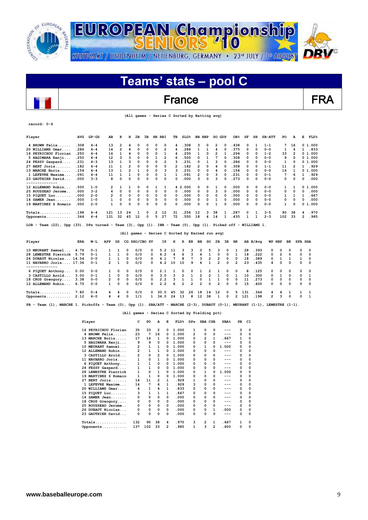

## France FRA

 **(All games - Series C Sorted by Batting avg)**

| record: 0-4                                                                                                                 |            |         |                |                |                |               |    |          |                |                                                 |                                               |                |                         |                         |                |              |                 |              |              |          |                         |                |                |                  |
|-----------------------------------------------------------------------------------------------------------------------------|------------|---------|----------------|----------------|----------------|---------------|----|----------|----------------|-------------------------------------------------|-----------------------------------------------|----------------|-------------------------|-------------------------|----------------|--------------|-----------------|--------------|--------------|----------|-------------------------|----------------|----------------|------------------|
| Player                                                                                                                      | <b>AVG</b> | $GP-GS$ | AВ             | R              | н              | 2B            | ЗВ | HR RBI   |                | TВ                                              | SLG <sup>8</sup>                              |                | <b>BB HBP</b>           |                         | SO GDP         |              | OB <sub>8</sub> | SF           | SH           | $SB-ATT$ | PO.                     | A              | Е              | $\texttt{FLD\$}$ |
| 4 BROWN Felix                                                                                                               | .308       | $4 - 4$ | 13             | $\overline{2}$ | 4              | 0             | 0  | $\Omega$ | $\Omega$       | 4                                               | .308                                          |                | 3                       | $\Omega$                | 2              | 0            | .438            | 0            | 1            | $1 - 1$  | 7                       | 16             |                | 0, 1, 000        |
| 20 WILLIAMS Omar                                                                                                            | .286       | $4 - 4$ | 14             | 2              | 4              | 0             | 0  | 0        | $\overline{2}$ | 4                                               | .286                                          |                | 1                       | 1                       | 4              | 0            | .375            | 0            | 0            | $0 - 0$  | 1                       | 4              | 1              | .833             |
| 16 PEYRICHOU Florian                                                                                                        | .250       | $4 - 4$ | 16             | 1              | 4              | 0             | 0  | 0        | 1              | 4                                               | .250                                          |                | 1                       | $\Omega$                | $\overline{2}$ | $\mathbf{1}$ | .294            | 0            | 0            | $1 - 2$  | 33                      | $\overline{2}$ |                | 01.000           |
| 5 HAGIWARA Kenji                                                                                                            | .250       | $4 - 4$ | 12             | 3              | 3              | 0             | 0  | 1        | 2              | 6                                               | .500                                          |                | 0                       | $\mathbf{1}$            | 7              | $\Omega$     | .308            | 0            | $\Omega$     | $0 - 0$  | 9                       | 0              |                | 01.000           |
| 24 FESSY Gaspard                                                                                                            | .231       | $4 - 3$ | 13             | 1              | 3              | 0             | 0  | 0        | $\overline{2}$ | 3                                               | .231                                          |                | 0                       | 1                       | 3              | $\Omega$     | .286            | 0            | 0            | $0 - 0$  | 1                       | 0              |                | 01.000           |
| 27 BERT Joris                                                                                                               | .182       | $4 - 4$ | 11             | 1              | 2              | 0             | 0  | $\Omega$ | 0              | $\mathcal{P}$                                   | .182                                          |                | 2                       | 0                       | 4              | 0            | .308            | 0            | 0            | $1 - 1$  | 11                      | 2              | $\mathbf{1}$   | .929             |
| 13 MARCHE Boris                                                                                                             | .154       | $4 - 4$ | 13             | $\mathbf{1}$   | $\overline{2}$ | $\mathbf{1}$  | 0  | 0        | 3              | 3                                               | .231                                          |                | 0                       | $\Omega$                | 4              | $\Omega$     | .154            | 0            | $\Omega$     | $0 - 0$  | 16                      | $\mathbf{1}$   |                | 0, 1, 000        |
| 1 LEFEVRE Maxime                                                                                                            | .091       | $4 - 4$ | 11             | 1              | $\mathbf{1}$   | 0             | 0  | $\Omega$ | $\mathbf{1}$   | 1                                               | .091                                          |                | $\overline{\mathbf{c}}$ | 0                       | 3              | $\Omega$     | .231            | 0            | $\Omega$     | $0 - 1$  | 7                       | 6              | 1              | .929             |
| 23 GAUTHIER David                                                                                                           | .000       | $3 - 3$ | 8              | 0              | 0              | 0             | 0  | 0        | 0              | 0                                               | .000                                          |                | з                       | 0                       | з              | $\Omega$     | .273            | 0            | 0            | $0 - 0$  | 0                       | 0              | 0              | .000             |
| 12 ALLEMAND Robin                                                                                                           | . 500      | $1 - 0$ | 2              | 1              | 1              | 0             | 0  | 1        | $\mathbf{1}$   |                                                 | 4 2.000                                       |                | 0                       | 0                       | 1              | 0            | .500            | 0            | $\Omega$     | $0 - 0$  | 1                       | 1              |                | 0, 1, 000        |
| 25 ROUSSEAU Jerome                                                                                                          | .000       | $3 - 2$ | 4              | 0              | 0              | 0             | 0  | 0        | 0              | 0                                               | .000                                          |                | O                       | $\Omega$                | 3              | $\Omega$     | .000            | 0            | $\Omega$     | $0 - 0$  | 0                       | 0              | 0              | .000             |
| 15 PIOUET Luc                                                                                                               | .000       | $2 - 0$ | 2              | 0              | 0              | $\mathbf 0$   | 0  | 0        | 0              | 0                                               | .000                                          |                | 0                       | 0                       | 0              | $\Omega$     | .000            | 0            | 0            | $0 - 0$  | 1                       | 1              | 1              | .667             |
| 14 SAMER Jean                                                                                                               | .000       | $1 - 0$ | 1              | 0              | 0              | 0             | 0  | 0        | 0              | 0                                               | .000                                          |                | 0                       | 0                       | 1              | $\Omega$     | .000            | 0            | $\Omega$     | $0 - 0$  | 0                       | 0              | 0              | .000             |
| 19 MARTINEZ S Romain                                                                                                        | . 000      | $2 - 0$ | $\mathbf{1}$   | 0              | $\Omega$       | 0             | 0  | $\Omega$ | $\Omega$       | 0                                               | .000                                          |                | 0                       | $\Omega$                | $\mathbf{1}$   | $\Omega$     | .000            | 0            | $\Omega$     | $0 - 0$  | 1                       | 0              |                | 01.000           |
| $\verb Totals $                                                                                                             | .198       | $4 - 4$ | 121            | 13             | 24             | 1             | 0  | 2        | 12             | 31                                              | .256                                          |                | 12                      | з                       | 38             | 1            | .287            | 0            | 1            | $3 - 5$  | 90                      | 38             | 4              | .970             |
| Opponents                                                                                                                   | .344       | $4 - 4$ | 131            | 32             | 45             | 12            | 0  | 5        | 27             | 72                                              | .550                                          |                | 18                      | 4                       | 14             | 1            | .435            | $\mathbf{1}$ | $\mathbf{1}$ | $2 - 3$  | 102                     | 33             | $\overline{2}$ | .985             |
| LOB – Team (22), Opp (33). DPs turned – Team (3), Opp (1). IBB – Team (0), Opp (1). Picked off – WILLIAMS 1.                |            |         |                |                |                |               |    |          |                |                                                 |                                               |                |                         |                         |                |              |                 |              |              |          |                         |                |                |                  |
|                                                                                                                             |            |         |                |                |                |               |    |          |                | (All games - Series C Sorted by Earned run avg) |                                               |                |                         |                         |                |              |                 |              |              |          |                         |                |                |                  |
| Player                                                                                                                      | ERA        | W−L     | APP            | GS             |                | CG SHO/CBO SV |    |          | ΙP             | н                                               | R                                             | ER             | BB                      | so                      | 2в             | 3B           | HR              |              | AB B/Ava     | WP HBP   |                         | вĸ             | <b>SFA SHA</b> |                  |
| 10 MEURANT Samuel                                                                                                           | 4.76       | $0 - 1$ | 1              | 1              | $\Omega$       | 0/0           |    | 0        | 5.2            | 11                                              | з                                             | з              | 0                       | 5                       | з              | 0            | 1               | 28           | .393         | 0        | 0                       | 0              | 0              | 0                |
| 28 LEMESTRE Pierrick                                                                                                        | 5.79       | $0 - 1$ | 1              | $\mathbf{1}$   | 0              | 0/0           |    | 0        | 4.2            | 4                                               | 6                                             | 3              | 4                       | 1                       | 0              | 0            | $\mathbf{1}$    | 18           | .222         | 0        | $\overline{\mathbf{2}}$ | $\Omega$       | 0              | $\Omega$         |
| 26 DUBAUT Nicolas 14.54                                                                                                     |            | $0 - 0$ | 1              | $\mathbf{1}$   | $\Omega$       | 0/0           |    | 0        | 4.1            | 7                                               | 8                                             | 7              | 3                       | $\overline{2}$          | 2              | $\mathbf 0$  | 0               | 18           | .389         | 0        | 1                       | 1              | 1              | $\Omega$         |
| 11 NAVARRO Joris 17.36<br>--------------                                                                                    |            | $0 - 1$ | $\overline{2}$ | $\mathbf{1}$   | 0              | 0/0           |    | $\Omega$ | 4.2            | 10                                              | 10                                            | 9              | 6                       | 1                       | $\overline{2}$ | 0            | $\overline{2}$  | 23           | .435         | 4        | 0                       | 0              | 0              | $\Omega$         |
| 6 PIQUET Anthony                                                                                                            | 0.00       | $0 - 0$ | 1              | 0              | 0              | 0/0           |    | 0        | 2.1            | 1                                               | 0                                             | 0              | 1                       | $\overline{\mathbf{2}}$ | 1              | 0            | 0               | 8            | .125         | 0        | 0                       | 0              | 0              | 0                |
| 3 CASTILLO Arold                                                                                                            | 3.00       | $0 - 1$ | 1              | 0              | $\Omega$       | 0/0           |    | 0        | 3.0            | 3                                               | 2                                             | $\mathbf{1}$   | $\overline{\mathbf{2}}$ | $\overline{2}$          | 1              | $\mathbf 0$  | $\mathbf{1}$    | 10           | .300         | 0        | 1                       | $\Omega$       | 0              | $\mathbf{1}$     |
| 18 CROS Greogory                                                                                                            | 3.38       | $0 - 0$ | 2              | 0              | 0              | 0/0           |    | 0        | 2.2            | 3                                               | 1                                             | 1              | 0                       | 1                       | 1              | 0            | 0               | 11           | .273         | 0        | 0                       | 0              | 0              | $\Omega$         |
| 12 ALLEMAND Robin                                                                                                           | 6.75       | $0 - 0$ | $\mathbf{1}$   | 0              | $\Omega$       | 0/0           |    | $\Omega$ | 2.2            | 6                                               | 2                                             | $\overline{2}$ | $\overline{2}$          | $\Omega$                | $\overline{2}$ | $\Omega$     | 0               | 15           | .400         | 0        | 0                       | $\Omega$       | 0              | $\Omega$         |
| Totals                                                                                                                      | 7.80       | $0 - 4$ | 4              | 4              | 0              | 0/0           |    | 0        | 30.0           | 45                                              | 32                                            | 26             | 18                      | 14                      | 12             | 0            | 5               | 131          | .344         | 4        | 4                       | 1              | 1              | 1                |
| Opponents                                                                                                                   | 2.12       | $4 - 0$ | 4              | 4              | $\Omega$       | 1/1           |    | 1        | 34.0           | 24                                              | 13                                            | 8              | 12                      | 38                      | 1              | 0            | 2               | 121          | .198         | 2        | 3                       | $\Omega$       | 0              | $\mathbf{1}$     |
| PB - Team (1), MARCHE 1. Pickoffs - Team (0), Opp (1). SBA/ATT - MARCHE (2-3), DUBAUT (0-1), MEURANT (1-1), LEMESTRE (1-1). |            |         |                |                |                |               |    |          |                |                                                 |                                               |                |                         |                         |                |              |                 |              |              |          |                         |                |                |                  |
|                                                                                                                             |            |         |                |                |                |               |    |          |                |                                                 | (All games - Series C Sorted by Fielding pct) |                |                         |                         |                |              |                 |              |              |          |                         |                |                |                  |

| Player               | c   | PO           | А              | Е        | FLD <sup>8</sup> | <b>DPs</b>   | SBA CSB        |   | SBA <sup>8</sup> | PB       | CI       |
|----------------------|-----|--------------|----------------|----------|------------------|--------------|----------------|---|------------------|----------|----------|
| 16 PEYRICHOU Florian | 35  | 33           | 2              | $\Omega$ | 1.000            | 1            | 0              | 0 | ---              | $\Omega$ | 0        |
| 4 BROWN Felix        | 23  | 7            | 16             | 0        | 1.000            | 2            | 0              | 0 | ---              | 0        | 0        |
| 13 MARCHE Boris      | 17  | 16           | 1              | $\Omega$ | 1.000            | 0            | $\overline{2}$ | 1 | . 667            | 1        | 0        |
| 5 HAGIWARA Kenji     | 9   | 9            | 0              | 0        | 1.000            | 0            | 0              | 0 | ---              | 0        | 0        |
| 10 MEURANT Samuel    | 2   | $\mathbf{1}$ | 1              | 0        | 1.000            | 0            | 1              | O | 1.000            | 0        | 0        |
| 12 ALLEMAND Robin    | 2   | $\mathbf{1}$ | 1              | 0        | 1.000            | 0            | 0              | O | ---              | 0        | 0        |
| 3 CASTILLO Arold     | 2   | 0            | $\overline{2}$ | 0        | 1.000            | 0            | 0              | 0 | ---              | 0        | $\Omega$ |
| 11 NAVARRO Joris     | 1   | 0            | 1              | 0        | 1.000            | <sup>0</sup> | $\Omega$       | 0 | ---              | $\Omega$ | $\Omega$ |
| 6 PIQUET Anthony     | 1   | $\mathbf{1}$ | 0              | 0        | 1.000            | 0            | 0              | 0 | ---              | 0        | 0        |
| 24 FESSY Gaspard     | 1   | $\mathbf{1}$ | 0              | 0        | 1.000            | 0            | 0              | 0 | ---              | $\Omega$ | $\Omega$ |
| 28 LEMESTRE Pierrick |     | 0            | 1              | 0        | 1.000            | 0            |                | 0 | 1.000            | 0        | 0        |
| 19 MARTINEZ S Romain | 1   | 1            | 0              | 0        | 1.000            | 0            | 0              | 0 | ---              | 0        | 0        |
| $27$ BERT Joris      | 14  | 11           | 2              | 1        | .929             | 1            | 0              | 0 | ---              | 0        | 0        |
| 1 LEFEVRE Maxime     | 14  | 7            | 6              | 1        | .929             | 3            | 0              | 0 | ---              | $\Omega$ | 0        |
| 20 WILLIAMS Omar     | 6   | 1            | 4              | 1        | .833             | 0            | 0              | 0 | ---              | 0        | 0        |
| 15 PIQUET Luc        | з   | $\mathbf{1}$ | 1              | 1        | .667             | 0            | 0              | 0 | ---              | $\Omega$ | 0        |
| 14 SAMER Jean        | 0   | 0            | 0              | 0        | .000             | 0            | 0              | 0 | ---              | 0        | 0        |
| 18 CROS Greogory     | 0   | 0            | 0              | 0        | .000             | 0            | 0              | 0 | ---              | 0        | 0        |
| 25 ROUSSEAU Jerome   | 0   | 0            | 0              | 0        | .000             | 0            | 0              | 0 | ---              | $\Omega$ | 0        |
| 26 DUBAUT Nicolas    | 0   | 0            | 0              | 0        | .000             | 0            | 0              | 1 | .000             | 0        | 0        |
| 23 GAUTHIER David    | 0   | 0            | 0              | 0        | .000             | 0            | 0              | 0 | ---              | $\Omega$ | $\Omega$ |
| $Totals$             | 132 | 90           | 38             | 4        | .970             | з            | 2              | 1 | . 667            | 1        | 0        |
| Opponents            | 137 | 102          | 33             | 2        | .985             | 1            | 3              | 2 | .600             | 0        | 0        |

 $\overline{\phantom{a}}$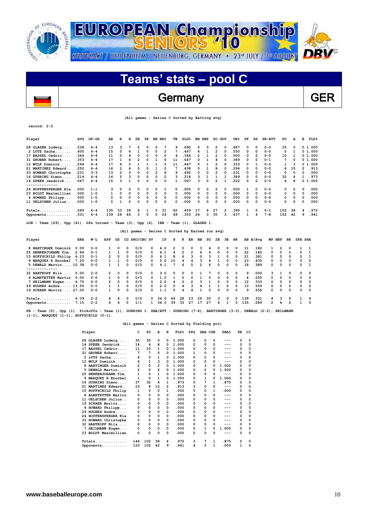



## Germany GER

|  | (All games - Series C Sorted by Batting avg) |  |  |
|--|----------------------------------------------|--|--|
|  |                                              |  |  |

| Player                                                                                                                                                                       | <b>AVG</b>                                                                                                                                                                                                                                                                                                                                                                                                                                                                                                                                                                                                                                                                                                                                 | $GP - GS$ | AB             | $\mathbf R$    | H            | 2B                                            | 3в       |                | HR RBI                  | TВ           |    | SLG <sup>8</sup> | <b>BB HBP</b> |              | SO GDP   |              | OB <sub>8</sub> | SF  | SH             | SB-ATT         | PO  | A              | E            | FLD <sup>8</sup> |
|------------------------------------------------------------------------------------------------------------------------------------------------------------------------------|--------------------------------------------------------------------------------------------------------------------------------------------------------------------------------------------------------------------------------------------------------------------------------------------------------------------------------------------------------------------------------------------------------------------------------------------------------------------------------------------------------------------------------------------------------------------------------------------------------------------------------------------------------------------------------------------------------------------------------------------|-----------|----------------|----------------|--------------|-----------------------------------------------|----------|----------------|-------------------------|--------------|----|------------------|---------------|--------------|----------|--------------|-----------------|-----|----------------|----------------|-----|----------------|--------------|------------------|
| 28 GLASER Ludwig                                                                                                                                                             | .538                                                                                                                                                                                                                                                                                                                                                                                                                                                                                                                                                                                                                                                                                                                                       | $4 - 4$   | 13             | з              | 7            | $\overline{\mathbf{2}}$                       | 0        | $\Omega$       | 7                       | 9            |    | .692             | 5             | 0            | 2        | 0            | .667            | 0   | $\Omega$       | $0 - 0$        | 35  | O              |              | 01.000           |
| 2 LUTZ Sacha                                                                                                                                                                 | .400                                                                                                                                                                                                                                                                                                                                                                                                                                                                                                                                                                                                                                                                                                                                       | $4 - 4$   | 15             | 5              | 6            | $\mathbf{1}$                                  | 0        | $\Omega$       | $\overline{2}$          | 7            |    | .467             | 4             | $\mathbf{1}$ | 2        | 0            | .550            | 0   | $\Omega$       | $0 - 0$        | 5   | 1              |              | 0, 1, 000        |
| 17 BASSEL Cedric                                                                                                                                                             | .364                                                                                                                                                                                                                                                                                                                                                                                                                                                                                                                                                                                                                                                                                                                                       | $4 - 4$   | 11             | 5              | 4            | 0                                             | 0        | $\Omega$       | 0                       | 4            |    | .364             | 2             | 1            | 2        | 0            | .500            | 0   | 2              | $0 - 0$        | 10  | 1              |              | 0, 1, 000        |
| 31 GRUBER Robert                                                                                                                                                             | .353                                                                                                                                                                                                                                                                                                                                                                                                                                                                                                                                                                                                                                                                                                                                       | $4 - 4$   | 17             | 1              | 6            | $\overline{\mathbf{2}}$                       | 0        | $\mathbf{1}$   | 6                       | 11           |    | .647             | 0             | 1            | 4        | 0            | .389            | 0   | 0              | $0 - 1$        | 7   | O              |              | 01.000           |
| 12 WULF Dominik                                                                                                                                                              | .294                                                                                                                                                                                                                                                                                                                                                                                                                                                                                                                                                                                                                                                                                                                                       | $4 - 4$   | 17             | 6              | 5            | 1                                             | 1        | 1              | 5                       | 11           |    | .647             | 0             | $\mathbf{1}$ | 2        | 0            | .333            | 0   | $\mathbf{1}$   | $0 - 0$        | 1   | 3              | 0            | 1.000            |
| 21 MARTINEZ Edward                                                                                                                                                           | .250                                                                                                                                                                                                                                                                                                                                                                                                                                                                                                                                                                                                                                                                                                                                       | $4 - 4$   | 16             | $\overline{2}$ | 4            | $\Omega$                                      | 0        | $\mathbf{1}$   | $\overline{2}$          | 7            |    | .438             | 0             | 1            | 8        | O            | .294            | 0   | $\Omega$       | $0 - 0$        | 6   | 15             | 2            | .913             |
| 33 HOWARD Christophe                                                                                                                                                         | .231                                                                                                                                                                                                                                                                                                                                                                                                                                                                                                                                                                                                                                                                                                                                       | $3 - 3$   | 13             | $\overline{2}$ | 3            | $\Omega$                                      | 0        | $\overline{2}$ | 6                       | 9            |    | .692             | 0             | 0            | 2        | 0            | .231            | 0   | 0              | $0 - 0$        | 0   | O              | 0            | .000             |
| 16 GUHRING Simon                                                                                                                                                             | .214                                                                                                                                                                                                                                                                                                                                                                                                                                                                                                                                                                                                                                                                                                                                       | $4 - 4$   | 14             | 5              | 3            | $\mathbf 0$                                   | $\Omega$ | $\mathbf 0$    | $\overline{\mathbf{c}}$ | 3            |    | .214             | 3             | 1            | 1        | $\mathbf{1}$ | .389            | 0   | $\Omega$       | $0 - 0$        | 32  | 4              | $\mathbf{1}$ | .973             |
| 14 SPEER Jendrick<br>--------------                                                                                                                                          | .067                                                                                                                                                                                                                                                                                                                                                                                                                                                                                                                                                                                                                                                                                                                                       | 4-4       | 15             | 3              | $\mathbf{1}$ | $\Omega$                                      | 0        | 0              | 0                       | $\mathbf{1}$ |    | .067             | 3             | 0            | 2        | $\mathbf{1}$ | . 222           | 0   | $\overline{2}$ | $0 - 0$        | 6   | 8              |              | 01.000           |
| 24 HOPFENSPERGER Kla                                                                                                                                                         | .000                                                                                                                                                                                                                                                                                                                                                                                                                                                                                                                                                                                                                                                                                                                                       | $1 - 1$   | з              | 0              | 0            | 0                                             | 0        | 0              | 1                       | 0            |    | .000             | 0             | 0            | 2        | 0            | .000            | 1   | $\Omega$       | $0 - 0$        | O   | 0              | $\Omega$     | . 000            |
| 23 BOLDT Maximillian                                                                                                                                                         | .000                                                                                                                                                                                                                                                                                                                                                                                                                                                                                                                                                                                                                                                                                                                                       | $1 - 0$   | 1              | $\Omega$       | 0            | $\Omega$                                      | 0        | 0              | 0                       | 0            |    | .000             | 0             | 0            | 0        | 0            | .000            | 0   | 0              | $0 - 0$        | 0   | 0              | $\Omega$     | .000             |
| 4 HOWARD Philipp                                                                                                                                                             | .000                                                                                                                                                                                                                                                                                                                                                                                                                                                                                                                                                                                                                                                                                                                                       | $1 - 0$   | O              | $\Omega$       |              | 0                                             | 0        | $\mathbf 0$    | 0                       | 0            |    |                  | 0             | 0            | 0        | 0            | .000            | 0   | $\Omega$       | $0 - 0$        | 0   | 0              | $\Omega$     | .000             |
| 11 UELSCHEN Julius                                                                                                                                                           | .000                                                                                                                                                                                                                                                                                                                                                                                                                                                                                                                                                                                                                                                                                                                                       | $1 - 0$   | 0              | $\mathbf{1}$   |              | $\mathbf 0$                                   | 0        | 0              | 0                       | O            |    |                  | 0             | 0            | 0        | 0            | .000            | 0   | $\Omega$       | $0 - 0$        | 0   | 0              | $\Omega$     | .000             |
| Totals                                                                                                                                                                       | .289                                                                                                                                                                                                                                                                                                                                                                                                                                                                                                                                                                                                                                                                                                                                       | $4 - 4$   | 135            | 33             |              | 6                                             | 1        | 5              | 31                      |              |    |                  | 17            | 6            | 27       | 2            | .390            | 1   | 5              | $0 - 1$        | 102 | 38             | 4            | .972             |
| Opponents                                                                                                                                                                    | .331                                                                                                                                                                                                                                                                                                                                                                                                                                                                                                                                                                                                                                                                                                                                       | $4 - 4$   | 139            | 28             |              | 3                                             | 0        | 0              | 24                      | 49           |    |                  | 24            | 3            | 30       | 3            | . 437           | 1   | 4              | $7 - 8$        | 102 | 42             | 9            | .941             |
|                                                                                                                                                                              |                                                                                                                                                                                                                                                                                                                                                                                                                                                                                                                                                                                                                                                                                                                                            |           |                |                |              |                                               |          |                |                         |              |    |                  |               |              |          |              |                 |     |                |                |     |                |              |                  |
|                                                                                                                                                                              | .000<br>0<br>0<br>.000<br>62<br>39<br>.459<br>46<br>.353<br>LOB - Team (29), Opp (41). DPs turned - Team (3), Opp (4). IBB - Team (1), GLASER 1.<br>(All games - Series C Sorted by Earned run avg)<br><b>SFA SHA</b><br>ERA<br>GS<br>CG SHO/CBO SV<br>н<br>2B<br>Зв<br><b>HR</b><br>AB B/Avq<br>WP HBP<br>BK<br>W-L<br>APP<br>ΙP<br>R<br>ER<br>ВB<br>so<br>$\mathbf 0$<br>0/0<br>$\overline{2}$<br>3<br>.182<br>$\overline{2}$<br>$\mathbf{1}$<br>0.00<br>$0 - 0$<br>1<br>0<br>0<br>4.0<br>0<br>0<br>0<br>$\Omega$<br>0<br>11<br>0<br>1<br>4<br>1<br>1<br>2<br>2<br>6<br>1<br>0<br>$\mathbf 0$<br>$\mathbf 0$<br>$\Omega$<br>$\Omega$<br>22<br>.182<br>0<br>0<br>0<br>$\Omega$<br>$\mathbf{1}$<br>2.84<br>$0 - 1$<br>0/0<br>6.1<br>4<br>4 |           |                |                |              |                                               |          |                |                         |              |    |                  |               |              |          |              |                 |     |                |                |     |                |              |                  |
| Player                                                                                                                                                                       |                                                                                                                                                                                                                                                                                                                                                                                                                                                                                                                                                                                                                                                                                                                                            |           |                |                |              |                                               |          |                |                         |              |    |                  |               |              |          |              |                 |     |                |                |     |                |              |                  |
| 8 HARTINGER Dominik                                                                                                                                                          |                                                                                                                                                                                                                                                                                                                                                                                                                                                                                                                                                                                                                                                                                                                                            |           |                |                |              |                                               |          |                |                         |              |    |                  |               |              |          |              |                 |     |                |                |     |                |              |                  |
| 25 HENKENJOHANN Tim.                                                                                                                                                         |                                                                                                                                                                                                                                                                                                                                                                                                                                                                                                                                                                                                                                                                                                                                            |           |                |                |              |                                               |          |                |                         |              |    |                  |               |              |          |              |                 |     |                |                |     |                |              |                  |
| 15 HOFFSCHILD Philip                                                                                                                                                         | 6.23                                                                                                                                                                                                                                                                                                                                                                                                                                                                                                                                                                                                                                                                                                                                       | $0 - 1$   | 2              | 0              | 0            | 0/0                                           |          | 0              | 4.1                     | 8            | 6  | 3                | 0             | 3            | 1        | 0            | 0               | 21  | .381           | 0              | 0   | 0              | 0            | 1                |
| 9 MAROUEZ R Enorbel                                                                                                                                                          | 7.20                                                                                                                                                                                                                                                                                                                                                                                                                                                                                                                                                                                                                                                                                                                                       | 0-0       | $\mathbf{1}$   | 1              | 0            | 0/0                                           |          | $\Omega$       | 5.0                     | 10           | 4  | 4                | 3             | 4            | 1        | 0            | $\Omega$        | 23  | .435           | 0              | 0   | 0              | $\Omega$     | 0                |
| 5 DEWALD Martin 10.38<br>---------                                                                                                                                           |                                                                                                                                                                                                                                                                                                                                                                                                                                                                                                                                                                                                                                                                                                                                            | $0 - 0$   | $\mathbf{1}$   | 1              | 0            | 0/0                                           |          | 0              | 4.1                     | 7            | 6  | 5                | 2             | 6            | $\Omega$ | 0            | $\Omega$        | 18  | .389           | $\Omega$       | 0   | 0              | 0            | 1                |
| 32 HARTKOPF Nils                                                                                                                                                             | 0.00                                                                                                                                                                                                                                                                                                                                                                                                                                                                                                                                                                                                                                                                                                                                       | $2 - 0$   | 2              | 0              | 0            | 0/0                                           |          | 0              | 3.0                     | 0            | 0  | 0                | 1             | 7            | 0        | 0            | 0               | 9   | .000           | 3              | 1   | 0              | 0            | 0                |
| 6 ALMSTETTER Martin                                                                                                                                                          | 0.00                                                                                                                                                                                                                                                                                                                                                                                                                                                                                                                                                                                                                                                                                                                                       | 0-0       | $\mathbf{1}$   | $\mathbf 0$    | $\Omega$     | 0/0                                           |          | O              | 1.0                     | 1            | O  | 0                | 1             | 0            | O        | 0            | $\Omega$        | 4   | .250           | 0              | 0   | 0              | O            | 0                |
| 7 HEILMANN Eugen                                                                                                                                                             | 6.75                                                                                                                                                                                                                                                                                                                                                                                                                                                                                                                                                                                                                                                                                                                                       | $0 - 0$   | $\overline{2}$ | 0              | 0            | 0/0                                           |          | $\Omega$       | 2.2                     | 4            | 2  | $\overline{2}$   | 3             | $\mathbf{1}$ | $\Omega$ | 0            | $\Omega$        | 12  | . 333          | 0              | 0   | 0              | $\Omega$     | O                |
| 29 HUGHES Andre 13.50                                                                                                                                                        |                                                                                                                                                                                                                                                                                                                                                                                                                                                                                                                                                                                                                                                                                                                                            | $0 - 0$   | 1              | 1              | 0            | 0/0                                           |          | 0              | 2.0                     | 5            | 4  | 3                | 4             | 1            | 1        | 0            | $\mathbf 0$     | 10  | .500           | 0              | 0   | 0              | 0            | 0                |
| 19 SCKAER Moritz 27.00                                                                                                                                                       |                                                                                                                                                                                                                                                                                                                                                                                                                                                                                                                                                                                                                                                                                                                                            | $0 - 0$   | 1              | $\mathbf 0$    | $\Omega$     | 0/0                                           |          | 0              | 1.1                     | 5            | 4  | 4                | 1             | 0            | $\Omega$ | 0            | $\Omega$        | 9   | .556           | 0              | 0   | 0              | $\Omega$     | O                |
| Totals                                                                                                                                                                       | 6.09                                                                                                                                                                                                                                                                                                                                                                                                                                                                                                                                                                                                                                                                                                                                       | $2 - 2$   | 4              | 4              | $\Omega$     | 0/0                                           |          | 0              | 34.0                    | 46           | 28 | 23               | 24            | 30           | 3        | 0            | 0               | 139 | . 331          | 4              | 3   | 0              | 1            | 4                |
| Opponents                                                                                                                                                                    | 7.15                                                                                                                                                                                                                                                                                                                                                                                                                                                                                                                                                                                                                                                                                                                                       | $2 - 2$   | 4              | 4              | $\Omega$     | 1/1                                           |          | $\mathbf{1}$   | 34.0                    | 39           | 33 | 27               | 17            | 27           | 6        | 1            | 5               | 135 | .289           | $\overline{2}$ | 6   | $\overline{2}$ | $\mathbf{1}$ | 5                |
| PB - Team (0), Opp (1). Pickoffs - Team (1), GUHRING 1. SBA/ATT - GUHRING (7-8), HARTINGER (3-3), DEWALD (2-2), HEILMANN<br>$(1-1)$ , MARQUEZ $(1-1)$ , HOFFSCHILD $(0-1)$ . |                                                                                                                                                                                                                                                                                                                                                                                                                                                                                                                                                                                                                                                                                                                                            |           |                |                |              | (All games - Series C Sorted by Fielding pct) |          |                |                         |              |    |                  |               |              |          |              |                 |     |                |                |     |                |              |                  |

|   | Player               | c   | PO           | A              | Е | FLD <sup>8</sup> | <b>DPs</b> | SBA CSB |          | SBA <sup>8</sup> | PB | CI       |
|---|----------------------|-----|--------------|----------------|---|------------------|------------|---------|----------|------------------|----|----------|
|   | 28 GLASER Ludwig     | 35  | 35           | 0              | 0 | 1.000            | 2          | 0       | 0        | ---              | 0  | 0        |
|   | 14 SPEER Jendrick    | 14  | 6            | 8              | 0 | 1.000            | 2          | 0       | 0        |                  | 0  | 0        |
|   | 17 BASSEL Cedric     | 11  | 10           | 1              | 0 | 1.000            | 0          | 0       | 0        | ---              | 0  | 0        |
|   | 31 GRUBER Robert     | 7   | 7            | 0              | 0 | 1.000            | 1          | 0       | 0        | ---              | 0  | 0        |
|   | 2 LUTZ Sacha         | 6   | 5            | 1              | 0 | 1.000            | 0          | 0       | 0        |                  | 0  | 0        |
|   | 12 WULF Dominik      | 4   | $\mathbf{1}$ | 3              | 0 | 1.000            | 0          | 0       | 0        | ---              | 0  | 0        |
| 8 | HARTINGER Dominik    | 2   | 0            | 2              | 0 | 1.000            | 0          | з       | 0        | 1.000            | 0  | 0        |
|   | 5 DEWALD Martin      | 2   | 0            | $\overline{2}$ | 0 | 1.000            | O          | 2       | O        | 1.000            | 0  | 0        |
|   | 25 HENKENJOHANN Tim. | 1   | $\Omega$     | 1              | 0 | 1.000            | 0          | 0       | 0        | $---$            | 0  | 0        |
|   | 9 MAROUEZ R Enorbel  | 1   | 0            | 1              | 0 | 1.000            | 0          | 1       | O        | 1.000            | 0  | 0        |
|   | 16 GUHRING Simon     | 37  | 32           | 4              | 1 | .973             | 0          | 7       | 1        | .875             | 0  | 0        |
|   | 21 MARTINEZ Edward   | 23  | 6            | 15             | 2 | .913             | 3          | 0       | 0        | ---              | 0  | 0        |
|   | 15 HOFFSCHILD Philip | 1   | 0            | 0              | 1 | .000             | 0          | 0       | 1        | .000             | 0  | 0        |
|   | 6 ALMSTETTER Martin  | 0   | 0            | 0              | 0 | .000             | 0          | 0       | 0        | ---              | 0  | 0        |
|   | 11 UELSCHEN Julius   | 0   | 0            | 0              | 0 | .000             | 0          | 0       | 0        | ---              | 0  | $\Omega$ |
|   | 19 SCKAER Moritz     | 0   | 0            | 0              | 0 | .000             | 0          | 0       | 0        | ---              | 0  | 0        |
|   | 4 HOWARD Philipp     | 0   | 0            | 0              | 0 | .000             | 0          | 0       | 0        | ---              | 0  | 0        |
|   | 29 HUGHES Andre      | 0   | 0            | 0              | 0 | .000             | 0          | 0       | 0        | ---              | 0  | 0        |
|   | 24 HOPFENSPERGER Kla | 0   | 0            | 0              | 0 | .000             | 0          | 0       | 0        | ---              | 0  | 0        |
|   | 33 HOWARD Christophe | 0   | 0            | 0              | 0 | .000             | 0          | 0       | 0        |                  | 0  | 0        |
|   | 32 HARTKOPF Nils     | 0   | 0            | 0              | 0 | .000             | 0          | 0       | 0        | ---              | 0  | 0        |
|   | 7 HEILMANN Eugen     | 0   | 0            | 0              | 0 | .000             | 0          | 1       | $\Omega$ | 1.000            | 0  | 0        |
|   | 23 BOLDT Maximillian | 0   | 0            | 0              | 0 | .000             | 0          | 0       | $\Omega$ | ---              | 0  | 0        |
|   | $Totals$             | 144 | 102          | 38             | 4 | .972             | 3          | 7       | 1        | .875             | 0  | 0        |
|   | Opponents            | 153 | 102          | 42             | 9 | .941             | 4          | 0       | 1        | .000             | 1  | 0        |

 $\overline{\phantom{a}}$ 

**record: 2-2**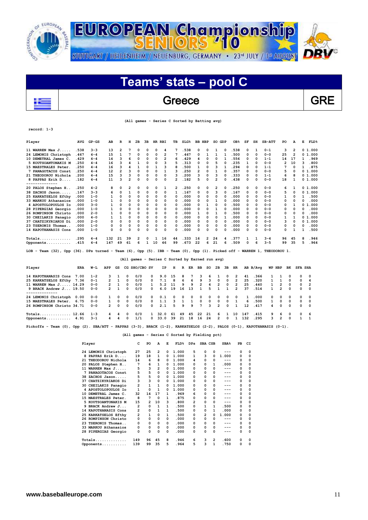

## Greece Reserve GRE

 **(All games - Series C Sorted by Batting avg)**

**record: 1-3**

 $\overline{\phantom{a}}$ 

| Player                                                                                                                                                                                                                                                                      | <b>AVG</b> | $GP - GS$ | AB  | R              | н        | 2в       | 3B | HR RBI |    | TВ             | SLG <sup>8</sup> | BB           | HBP            | so | GDP      | OB <sub>8</sub> | SF               | SH | $SB-ATT$                       | PO | A  | Е | FLD    |
|-----------------------------------------------------------------------------------------------------------------------------------------------------------------------------------------------------------------------------------------------------------------------------|------------|-----------|-----|----------------|----------|----------|----|--------|----|----------------|------------------|--------------|----------------|----|----------|-----------------|------------------|----|--------------------------------|----|----|---|--------|
| 11 WARREN Max $J$                                                                                                                                                                                                                                                           | .538       | $3 - 3$   | 13  | $\overline{2}$ |          | 0        | 0  | 0      | 4  | 7              | .538             | 0            | 0              |    | 0        | 538             | 0                | 1  | $0 - 1$                        | 3  | 2  |   | 01.000 |
| 24 LEMONIS Christoph                                                                                                                                                                                                                                                        | .467       | $4 - 4$   | 15  |                |          | $\Omega$ | 0  | 0      | 2  | 7              | .467             | 0            |                |    |          | 500             | 0                | 0  | $0 - 0$                        | 25 | 2  | 0 | 1.000  |
| 10 DEMETRAL James C.                                                                                                                                                                                                                                                        | .429       | $4 - 4$   | 14  | ٩              | 6        | 0        | 0  | 0      | 2  | 6              | .429             |              | n              | O  |          | 556             | 0                | 0  | $1 - 1$                        | 14 | 17 |   | .969   |
| 5 KOUTSOANTONAKIS M                                                                                                                                                                                                                                                         | .250       | $4 - 4$   | 16  | в              |          |          |    | 0      |    | 5              | .313             |              | $\Omega$       |    | O        | 235             |                  | 0  | $0 - 0$                        |    | 10 | ٩ | .800   |
| 15 MAESTRALES Peter                                                                                                                                                                                                                                                         | .250       | $4 - 4$   | 16  | ٦              |          |          | O  |        | ٩  | я              | .500             |              | n              |    |          | 294             | 0                | 0  | $1 - 1$                        |    | O  |   | .875   |
| 7 PANAGOTACOS Const                                                                                                                                                                                                                                                         | .250       | $4 - 4$   | 12  |                |          | $\Omega$ |    | 0      |    | 3              | .250             |              | 0              |    | O        | 357             | 0                | 0  | $0 - 0$                        | 5  | O  |   | 01.000 |
| 21 THEODOROU Nichola                                                                                                                                                                                                                                                        | .200       | $4 - 4$   | 15  |                |          | 0        |    | 0      | 0  | ٩              | .200             |              | 0              | ٩  | $\Omega$ | . 333           | 0                | 0  | $1 - 1$                        | 6  | я  |   | 01.000 |
| 8 PAPPAS Erik D                                                                                                                                                                                                                                                             | .182       | $4 - 4$   | 11  | ٩              | 2        | 0        | 0  | 0      | 0  | 2              | .182             |              | 0              | 2  |          | .438            | 0                | 0  | $0 - 0$                        | 18 |    |   | 01.000 |
| ----------                                                                                                                                                                                                                                                                  |            |           |     |                |          |          |    |        |    |                |                  |              |                |    |          |                 |                  |    |                                |    |    |   |        |
| 20 PALOS Stephen H                                                                                                                                                                                                                                                          | . 250      | $4 - 2$   | 8   | 0              | 2        | 0        | 0  | 0      |    | $\overline{2}$ | .250             | 0            | 0              | 2  | n        | . 250           | 0                | 0  | $0 - 0$                        | 6  |    |   | 01.000 |
| 38 ZACHOS Jason                                                                                                                                                                                                                                                             | .167       | $3 - 3$   | 6   | 0              |          | $\Omega$ | 0  | O      | 0  | 1              | .167             | 0            | $\Omega$       | ٩  | O        | .167            | 0                | 0  | $0 - 0$                        | 5  | O  | 0 | 1.000  |
| 25 KARKATSELOS Efthy                                                                                                                                                                                                                                                        | .000       | $1 - 0$   |     | 0              | 0        | 0        | 0  | 0      | 0  | 0              | .000             | n            | 0              | O  | O        | .000            | 0                | 0  | $0 - 0$                        |    | O  |   | .500   |
| 33 MARKOU Athanasios                                                                                                                                                                                                                                                        | .000       | $1 - 0$   |     | O              |          | $\Omega$ |    | O      | n  | <sup>0</sup>   | .000             |              | n              |    |          | .000            | 0                | 0  | $0 - 0$                        |    | O  |   | .000   |
| 4 APOSTOLOPOULOS IO                                                                                                                                                                                                                                                         | .000       | $3 - 0$   |     | 0              | 0        | $\Omega$ |    | 0      | 0  | 0              | .000             | O            |                | O  | O        | 500             | 0                | 0  | $0 - 0$                        | 0  |    | 0 | 1.000  |
| 28 PIPERGIAS Georgio                                                                                                                                                                                                                                                        | .000       | $1 - 0$   |     | O              |          | $\Omega$ |    | 0      | 0  | 0              | .000             |              | $\Omega$       |    | O        | .000            | 0                | 0  | $0 - 0$                        | 0  | O  |   | .000   |
| 26 ROMPINSON Christo                                                                                                                                                                                                                                                        | .000       | $2 - 0$   |     | O              | O        | $\Omega$ |    | O      | 0  | 0              | .000             |              | 0              |    |          | .500            | 0                | 0  | $0 - 0$                        | n  | O  |   | . 000  |
| 30 CHEILAKIS Panagio                                                                                                                                                                                                                                                        | .000       | $4 - 0$   |     |                | $\Omega$ | $\Omega$ |    | 0      | 0  | $\Omega$       | .000             |              | 0              | 0  |          | . 000           | 0                | 0  | $0 - 0$                        |    |    | 0 | 1.000  |
| 37 CHATZIKYRIAKOS Di                                                                                                                                                                                                                                                        | . 000      | $2 - 0$   | 0   | 0              | O        | $\Omega$ |    | 0      | 0  | 0              | .000             |              | 0              | O  | O        | .000            | 0                | 0  | $0 - 0$                        | 3  | O  | 0 | 1.000  |
| 23 TSERONIS Thomas.                                                                                                                                                                                                                                                         | .000       | $1 - 0$   |     | 0              |          | 0        |    | 0      | 0  | 0              | .000             |              | 0              |    | O        | . 000           | 0                | 0  | $0 - 0$                        | 0  | O  |   | .000   |
| 14 KAPOTHANASIS Cons                                                                                                                                                                                                                                                        | .000       | $1 - 0$   | 0   | 0              | 0        | $\Omega$ | 0  | 0      | 0  | 0              | .000             | <sup>0</sup> | 0              | 0  |          | .000            | 0                | 0  | $0 - 0$                        | 0  |    |   | .500   |
| $Totals$                                                                                                                                                                                                                                                                    | .295       | $4 - 4$   | 132 | 21             | 39       | 2        | 0  | 1      | 16 | 44             | .333             | 16           | $\overline{2}$ | 24 | 4        | 377             | 1                | 1  | $3 - 4$                        | 96 | 45 | 8 | 946    |
| Opponents                                                                                                                                                                                                                                                                   | .415       | $4 - 4$   | 147 | 49             | 61       | 6        |    | 10     | 46 | 99             | .673             | 22           | 6              | 21 | 6        | .509            | 0                | 6  | $3 - 5$                        | 99 | 35 | 5 | .964   |
| $\tau$ on $m_{1,2}$ , $m_{2,1}$ , $m_{1,2}$ , $m_{2,1}$ , $m_{1,2}$ , $m_{2,1}$ , $m_{1,2}$ , $m_{1,2}$ , $m_{1,2}$ , $m_{1,2}$ , $m_{1,2}$ , $m_{1,2}$ , $m_{1,2}$ , $m_{1,2}$ , $m_{1,2}$ , $m_{1,2}$ , $m_{1,2}$ , $m_{1,2}$ , $m_{1,2}$ , $m_{1,2}$ , $m_{1,2}$ , $m_{$ |            |           |     |                |          |          |    |        |    |                |                  |              |                |    |          |                 | <b>ELEMENT 1</b> |    | $m \times m \times n \times n$ |    |    |   |        |

**LOB - Team (32), Opp (36). DPs turned - Team (6), Opp (5). IBB - Team (0), Opp (1). Picked off - WARREN 1, THEODOROU 1.** 

|                            | (All games - Series C Sorted by Earned run avg) |         |                |          |            |               |              |        |          |          |          |               |          |               |              |                |                 |          |            |               |              |                |            |
|----------------------------|-------------------------------------------------|---------|----------------|----------|------------|---------------|--------------|--------|----------|----------|----------|---------------|----------|---------------|--------------|----------------|-----------------|----------|------------|---------------|--------------|----------------|------------|
| Player                     | ERA                                             | W-L     | APP            | GS       |            | CG SHO/CBO SV |              | IP.    | н        | R        | ER BB    |               | so       | 2B            | 3B           | HR             |                 | AB B/Avq |            | WP HBP        | вк           | <b>SFA SHA</b> |            |
| 14 KAPOTHANASIS Cons       | 7.00                                            | $1 - 2$ | $\mathbf{R}$   | п.       | $^{\circ}$ | 0/0           | $^{\circ}$   | 9.0    | 15       | 8        | 7        | 3.            | 6        |               | $\Omega$     | $\overline{2}$ | 41              | .366     |            |               | 0            | $^{\circ}$     | $\Omega$   |
| 25 KARKATSELOS Efthy 7.36  |                                                 | $0 - 1$ | 2              | 1        | $\Omega$   | 0/0           | $^{\circ}$   | 7.1    | -8       | -6       | 6        | 9             | 3.       | $\Omega$      | $\Omega$     | $\overline{2}$ | 25              | .320     |            |               | $^{\circ}$   | $^{\circ}$     | 4          |
| 11 WARREN Max J 14.29      |                                                 | $0 - 0$ | $\mathcal{P}$  |          | $\Omega$   | 0/0           | $\mathbf{1}$ | 5.2    | 11       | 9        | 9        | $\mathcal{P}$ | 4        | $\mathcal{P}$ | $\Omega$     | $\mathcal{P}$  | 25              | .440     |            | $\mathcal{P}$ | $^{\circ}$   | $\Omega$       | 2          |
| 9 BRACK Andrew J 19.50     |                                                 | $0 - 0$ | $\sim$         |          | $\Omega$   | 0/0           | $^{\circ}$   | 6.0    | 19       | 16       | 13       |               | 5        |               |              | $\overline{2}$ | 37              | .514     |            | $\mathcal{P}$ | $^{\circ}$   | $^{\circ}$     | $\Omega$   |
| -------------              |                                                 |         |                |          |            |               |              |        |          |          |          |               |          |               |              |                |                 |          |            |               |              |                |            |
| 24 LEMONIS Christoph       | 0.00                                            | $0 - 0$ |                | 0        | $^{\circ}$ | 0/0           | $^{\circ}$   | 0.1    | $\Omega$ | $\Omega$ | $\Omega$ | 0             | 0        | $\Omega$      | $\Omega$     | $\Omega$       | 1               | .000     | $^{\circ}$ | 0             | 0            | $\Omega$       | $\Omega$   |
| 15 MAESTRALES Peter. 6.75  |                                                 | $0 - 0$ |                | $\Omega$ | $\Omega$   | 0/0           | 0            | 1.1    | 3        |          |          | $\Omega$      | $\Omega$ | $\Omega$      | $\Omega$     |                | 6               | .500     |            | 0             | $^{\circ}$   | $^{\circ}$     | $^{\circ}$ |
| 26 ROMPINSON Christo 34.71 |                                                 | $0 - 0$ | $\overline{2}$ | 0        | $\Omega$   | 0/0           | 0            | 2.1    | 5.       | ٩        | ۹        | 7             | ٦        | $\mathcal{P}$ | <sup>n</sup> |                | 12 <sup>2</sup> | .417     | 4          | <sup>o</sup>  | <sup>o</sup> | $\Omega$       | $\Omega$   |
| Totals 12.66               |                                                 | $1 - 3$ | $\sim$         | 4        | $\Omega$   | 0/0           |              | 1 32.0 | 61       | 49       | 45       | 22            | 21       | 6             |              | 10             | 147             | .415     | 9          | -6            | $^{\circ}$   | $^{\circ}$     | -6         |
| Opponents 4.91             |                                                 | $3 - 1$ | 4              | 4        | $\Omega$   | 1/1           | 0            | 33.0   | 39       | 21       | 18       | 16            | 24       | $\mathbf{2}$  | $\Omega$     |                | 132             | .295     | 3          | $\mathcal{P}$ | $\Omega$     |                |            |

**Pickoffs - Team (0), Opp (2). SBA/ATT - PAPPAS (3-3), BRACK (1-2), KARKATSELOS (2-2), PALOS (0-1), KAPOTHANASIS (0-1).** 

## **(All games - Series C Sorted by Fielding pct)**

|     | Player               | c                       | PO             | A                       | Е        | FLD <sup>8</sup> | DPs | SBA CSB |   | SBA <sup>8</sup> | PВ       | CI       |
|-----|----------------------|-------------------------|----------------|-------------------------|----------|------------------|-----|---------|---|------------------|----------|----------|
|     | 24 LEMONIS Christoph | 27                      | 25             | 2                       | 0        | 1.000            | 5   | 0       | 0 | $---$            | 0        | 0        |
| 8   | PAPPAS Erik D        | 19                      | 18             | 1                       | 0        | 1.000            | 1   | з       | 0 | 1.000            | 0        | 0        |
| 21  | THEODOROU Nichola    | 14                      | 6              | 8                       | 0        | 1.000            | 4   | 0       | 0 | ---              | 0        | 0        |
|     | 20 PALOS Stephen H   | 7                       | 6              | 1                       | 0        | 1.000            | 0   | 0       | 1 | .000             | 0        | 0        |
|     | 11 WARREN Max J      | 5                       | 3              | $\overline{\mathbf{c}}$ | 0        | 1.000            | 0   | 0       | 0 | $---$            | 0        | 0        |
|     | PANAGOTACOS Const    | 5                       | 5              | 0                       | 0        | 1.000            | 0   | 0       | 0 | $---$            | $\Omega$ | 0        |
| 38  | ZACHOS Jason         | 5                       | 5              | 0                       | 0        | 1.000            | 0   | 0       | 0 | ---              | 0        | 0        |
| 37  | CHATZIKYRIAKOS Di    | 3                       | 3              | 0                       | 0        | 1.000            | 0   | 0       | 0 | ---              | 0        | 0        |
|     | 30 CHEILAKIS Panagio | $\overline{\mathbf{2}}$ | $\mathbf{1}$   | 1                       | 0        | 1.000            | 0   | 0       | 0 | ---              | 0        | 0        |
|     | 4 APOSTOLOPOULOS IO  | 1                       | 0              | 1                       | 0        | 1.000            | 0   | 0       | 0 | $---$            | 0        | 0        |
| 10  | DEMETRAL James C.    | 32                      | 14             | 17                      | 1        | .969             | 6   | 0       | 0 | ---              | 0        | 0        |
|     | 15 MAESTRALES Peter. | 8                       | 7              | 0                       | 1        | .875             | 0   | 0       | 0 | ---              | 0        | 0        |
|     | 5 KOUTSOANTONAKIS M  | 15                      | $\overline{2}$ | 10                      | 3        | .800             | 2   | 0       | 0 | ---              | 0        | 0        |
|     | 9 BRACK Andrew J     | 2                       | 0              | 1                       | 1        | .500             | 0   | 1       | 1 | .500             | 0        | 0        |
|     | 14 KAPOTHANASIS Cons | 2                       | 0              | 1                       | 1        | .500             | 0   | 0       | 1 | .000             | 0        | 0        |
|     | 25 KARKATSELOS Efthy | $\overline{2}$          | $\mathbf{1}$   | 0                       | 1        | .500             | 0   | 2       | 0 | 1.000            | 0        | 0        |
|     | 26 ROMPINSON Christo | 0                       | 0              | 0                       | 0        | .000             | 0   | 0       | 0 | $---$            | $\Omega$ | 0        |
| 23. | TSERONIS Thomas      | 0                       | 0              | 0                       | $\Omega$ | .000             | 0   | 0       | 0 | ---              | $\Omega$ | 0        |
|     | 33 MARKOU Athanasios | 0                       | 0              | 0                       | 0        | .000             | 0   | 0       | 0 |                  | $\Omega$ | 0        |
|     | 28 PIPERGIAS Georgio | 0                       | 0              | 0                       | $\Omega$ | .000             | 0   | O       | 0 | ---              | 0        | 0        |
|     | $Totals$             | 149                     | 96             | 45                      | 8        | .946             | 6   | з       | 2 | .600             | 0        | 0        |
|     | Opponents            | 139                     | 99             | 35                      | 5        | . 964            | 5   | 3       | 1 | .750             | 0        | $\Omega$ |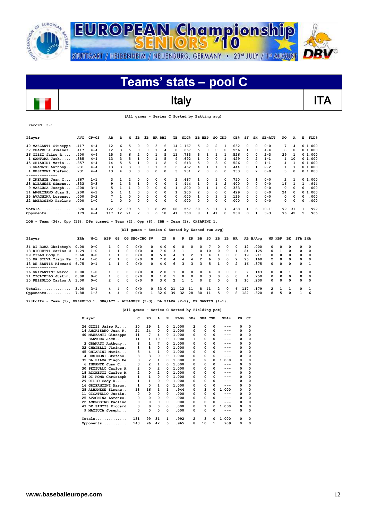



| Player                                                                                                   | AVG        | $GP - GS$ | AB             | R            | н              | 2в             | 3B            |              | HR RBI         | TВ                                              |              | SLG <sup>8</sup> | <b>BB HBP</b>           |                | SO GDP         |                | OB <sub>8</sub> | SF  | SH             | SB-ATT    | PO     |          | А            | E              | FLD <sup>8</sup> |
|----------------------------------------------------------------------------------------------------------|------------|-----------|----------------|--------------|----------------|----------------|---------------|--------------|----------------|-------------------------------------------------|--------------|------------------|-------------------------|----------------|----------------|----------------|-----------------|-----|----------------|-----------|--------|----------|--------------|----------------|------------------|
| 40 MAZZANTI Giuseppe                                                                                     | .417       | $4 - 4$   | 12             | 6            | 5              | O              | O             | з            | 6              |                                                 | 14 1.167     |                  | 5                       | 2              | 2              | 1              | .632            | 0   | 0              | $0 - 0$   |        | 7        | 4            |                | 01.000           |
| 32 CHAPELLI Jiminez                                                                                      | .417       | $4 - 4$   | 12             | з            | 5              | O              | $\Omega$      | 1            | 4              | 8                                               |              | .667             | 5                       | 0              | 0              |                | .556            | 1   | 0              | $4 - 4$   |        | 8        | 0            |                | 01.000           |
| 26 GIZZI Jairo R                                                                                         | .400       | $4 - 4$   | 15             | 3            | 6              | $\overline{2}$ | 0             | 1            | 5              | 11                                              |              | .733             | з                       | 1              | 1              | 1              | .526            | 0   | 0              | $2 - 3$   | 29     |          | 1            |                | 01.000           |
| 1 SANTORA Jack                                                                                           | .385       | $4 - 4$   | 13             | 3            | 5              | 1              | O             | 1            | 5              | 9                                               |              | .692             | 1                       | 0              | $\Omega$       | 1              | .429            | 0   | 2              | $1 - 1$   |        | 1        | 10           |                | 01.000           |
| 45 CHIARINI Mario                                                                                        | .357       | $4 - 4$   | 14             | 5            | 5              | $\mathbf{1}$   | 0             | 1            | $\overline{2}$ | 9                                               |              | .643             | 5                       | 0              | 3              | n              | .526            | 0   | 0              | $1 - 1$   |        | 4        | 1            |                | 01.000           |
| 3 GRANATO Anthony                                                                                        | .231       | $4 - 4$   | 13             | 3            | 3              | $\Omega$       | $\Omega$      | $\mathbf{1}$ | 3              | 6                                               |              | .462             | 4                       |                | $\mathbf{1}$   |                | .444            | 0   | $\mathbf{1}$   | $2 - 2$   |        | 1        | 7            |                | 01.000           |
| 4 DESIMONI Stefano.                                                                                      | .231       | $4 - 4$   | 13             |              | 3              | O              | $\Omega$      | $\Omega$     | $\Omega$       | 3                                               |              | .231             | $\overline{2}$          | O              | $\Omega$       | $\Omega$       | .333            | 0   | $\overline{2}$ | $0 - 0$   |        | 3        | 0            |                | 01.000           |
| --------------                                                                                           |            |           |                |              |                |                |               |              |                |                                                 |              |                  |                         |                |                |                |                 |     |                |           |        |          |              |                |                  |
| 6 INFANTE Juan C                                                                                         | .667       | $1 - 1$   | 3              | 1            | $\overline{2}$ | 0              | 0             | 0            | 0              | 2                                               |              | 667              | 1                       | O              | 1              | 0              | .750            | 0   | 1              | $0 - 0$   |        | 2        | 1            |                | 0 1.000          |
| 28 ALBANESE Simone                                                                                       | .333       | $3 - 3$   | q              | $\mathbf{1}$ | 3              | $\mathbf{1}$   | O             | $\Omega$     | 0              | 4                                               |              | 444              | $\mathbf{1}$            | 0              | $\mathbf{1}$   | $\overline{2}$ | .400            | 0   | 0              | $0 - 0$   | 16     |          | 1            | $\mathbf{1}$   | .944             |
| 9 MAZZUCA Joseph                                                                                         | .200       | $3 - 1$   | 5              | 1            | 1              | 0              | 0             | 0            | 0              | 1                                               |              | .200             | 0                       | 1              | 1              | 0              | .333            | 0   | 0              | $0 - 0$   |        | 0        | 0            | 0              | .000             |
| 14 ANGRISANO Juan P.                                                                                     | .200       | $4 - 1$   | 5              | $\mathbf{1}$ | 1              | 0              | 0             | $\Omega$     | 0              | 1                                               |              | .200             | $\overline{2}$          | 0              | 0              | 0              | .429            | 0   | 0              | $0 - 0$   | 24     |          | 0            | 0              | 1.000            |
| 25 AVAGNINA Lorenzo                                                                                      | .000       | $3 - 2$   |                | $\mathbf{1}$ | $\Omega$       | $\mathbf 0$    | $\Omega$      | $\Omega$     | 0              | 0                                               |              | .000             | $\mathbf{1}$            | O              | 1              |                | .125            | 0   | 0              | $0 - 0$   |        | $\Omega$ | 0            | $\Omega$       | .000             |
| 22 AMBROSINO Paolino                                                                                     | .000       | $1 - 0$   | 1              | 0            | $\mathbf 0$    | 0              | $\Omega$      | $\Omega$     | 0              | 0                                               |              | .000             | $\Omega$                | 0              | $\Omega$       |                | .000            | 0   | 0              | $0 - 0$   |        | $\Omega$ | 0            | 0              | .000             |
|                                                                                                          |            |           |                |              |                |                |               |              |                |                                                 |              |                  |                         |                |                |                |                 |     |                |           |        |          |              |                |                  |
| $Totals$                                                                                                 | .320       | $4 - 4$   | 122            | 32           | 39             | 5              | 0             | 8            | 25             | 68                                              |              | .557             | 30                      | 5              | 11             |                | .468            | 1   | 6              | $10 - 11$ | 99     |          | 31           | 1              | .992             |
| Opponents                                                                                                | .179       | $4 - 4$   | 117            | 12           | 21             | 2              | 0             | 6            | 10             | 41                                              |              | .350             | 8                       | 1              | 41             | $\Omega$       | .238            | 0   | 1              | $3 - 3$   | 96     |          | 42           | 5              | .965             |
|                                                                                                          |            |           |                |              |                |                |               |              |                |                                                 |              |                  |                         |                |                |                |                 |     |                |           |        |          |              |                |                  |
| Team $(36)$ , Opp $(16)$ . DPs turned - Team $(2)$ , Opp $(8)$ . IBB - Team $(1)$ , CHIARINI 1.<br>LOB - |            |           |                |              |                |                |               |              |                |                                                 |              |                  |                         |                |                |                |                 |     |                |           |        |          |              |                |                  |
|                                                                                                          |            |           |                |              |                |                |               |              |                | (All games - Series C Sorted by Earned run avg) |              |                  |                         |                |                |                |                 |     |                |           |        |          |              |                |                  |
|                                                                                                          |            |           |                |              |                |                |               |              |                |                                                 |              |                  |                         |                |                |                |                 |     |                |           |        |          |              |                |                  |
| Player                                                                                                   | <b>ERA</b> | W−L       | APP            | GS           |                |                | CG SHO/CBO SV |              | IP             | H                                               | R            | ER               | BB                      | so             | 2в             | Зв             | HR              |     | AB B/Avq       |           | WP HBP | BK       |              | <b>SFA SHA</b> |                  |
| 34 DI ROMA Christoph                                                                                     | 0.00       | $0 - 0$   | 1              | 0            | 0              | 0/0            |               | 0            | 4.0            | 0                                               | $\Omega$     | 0                | $\Omega$                | 7              | $\Omega$       | $\Omega$       | 0               | 12  | .000           | 0         | 0      | 0        | 0            |                | 0                |
| 18 RICHETTI Carlos M                                                                                     | 1.29       | $1 - 0$   | 1              | 1            | 0              | 0/0            |               | 0            | 7.0            | 3                                               | 1            | 1                | 0                       | 10             | $\circ$        | 0              | 1               | 24  | .125           | 0         | 1      | O        | O            |                | 0                |
| 29 CILLO Cody D                                                                                          | 3.60       | $0 - 0$   | 1              | 1            | 0              | 0/0            |               | 0            | 5.0            | 4                                               | 3            | $\overline{2}$   | 3                       | 4              | 1              | 0              | 0               | 19  | .211           | 0         | 0      | 0        | 0            |                | 0                |
| 35 DA SILVA Tiago Fe                                                                                     | 5.14       | $1 - 0$   | 2              | 1            | 0              | 0/0            |               | 0            | 7.0            | 4                                               | 4            | 4                | $\overline{\mathbf{2}}$ | 6              | $\mathbf 0$    | 0              | $\overline{2}$  | 25  | .160           | 2         | 0      | 0        | 0            | 0              |                  |
| 43 DE SANTIS Riccard                                                                                     | 6.75       | $0 - 1$   | $\mathbf{1}$   | $\mathbf{1}$ | 0              | 0/0            |               | 0            | 4.0            | 6                                               | 3            | 3                | 3                       | 5              | $\mathbf{1}$   | 0              | $\overline{2}$  | 16  | .375           | 0         | 0      | 0        | $\Omega$     | 1              |                  |
| --------------                                                                                           |            |           |                |              |                |                |               |              |                |                                                 |              |                  |                         |                |                |                |                 |     |                |           |        |          |              |                |                  |
| 16 GRIFANTINI Marco                                                                                      | 0.00       | $1 - 0$   | 1              | 0            | 0              | 0/0            |               | 0            | 2.0            | 1                                               | $\Omega$     | 0                | $\Omega$                | 4              | 0              | 0              | 0               | 7   | .143           | 0         | 0      | 1        | 0            |                | 0                |
| 11 CICATELLO Justin                                                                                      | 0.00       | $0 - 0$   | 1              | 0            | 0              | 0/0            |               | 0            | 1.0            | 1                                               | $\Omega$     | 0                | 0                       | 3              | 0              | 0              | $\Omega$        | 4   | .250           | 0         | 0      | 0        | 0            | 0              |                  |
| 30 PEZZULLO Carlos A                                                                                     | 3.00       | $0 - 0$   | $\overline{2}$ | 0            | 0              | 0/0            |               | 0            | 3.0            | $\overline{\mathbf{2}}$                         | $\mathbf{1}$ | 1                | $\mathbf 0$             | $\overline{2}$ | $\mathbf 0$    | $\mathbf 0$    | $\mathbf{1}$    | 10  | .200           | 0         | 0      | 0        | $\Omega$     | 0              |                  |
| $\texttt{Totals} \dots \dots \dots \dots \dots$                                                          | 3.00       | $3 - 1$   | 4              | 4            | 0              | 0/0            |               | 0            | 33.0           | 21                                              | 12           | 11               | 8                       | 41             | $\overline{2}$ | 0              | 6               | 117 | . 179          | 2         | 1      | 1        | 0            |                | 1                |
| Opponents                                                                                                | 7.88       | $1 - 3$   | 4              | 4            | O              | 0/0            |               | 1            | 32.0           | 39                                              | 32           | 28               | 30                      | 11             | 5              | O              | я               | 122 | .320           | я         | 5      | O        | $\mathbf{1}$ |                | 6                |

**Pickoffs - Team (1), PEZZULLO 1. SBA/ATT - ALBANESE (3-3), DA SILVA (2-2), DE SANTIS (1-1).** 

#### **(All games - Series C Sorted by Fielding pct)**

| Player               | c   | PO           | А              | E | FLD <sup>8</sup> | <b>DPs</b> | SBA CSB |              | SBA <sup>8</sup> | PB       | CI       |
|----------------------|-----|--------------|----------------|---|------------------|------------|---------|--------------|------------------|----------|----------|
| 26 GIZZI Jairo R     | 30  | 29           | 1              | 0 | 1.000            | 2          | 0       | 0            | ---              | $\Omega$ | 0        |
| 14 ANGRISANO Juan P. | 24  | 24           | 0              | 0 | 1.000            | 0          | 0       | 0            | ---              | 0        | 0        |
| 40 MAZZANTI Giuseppe | 11  | 7            | 4              | 0 | 1.000            | 0          | 0       | 0            |                  | 0        | 0        |
| 1 SANTORA Jack       | 11  | 1            | 10             | 0 | 1.000            | 1          | 0       | 0            |                  | 0        | $\Omega$ |
| 3 GRANATO Anthony    | 8   | 1            | 7              | 0 | 1.000            | 0          | 0       | 0            | ---              | $\Omega$ | $\Omega$ |
| 32 CHAPELLI Jiminez. | 8   | 8            | 0              | 0 | 1.000            | 0          | 0       | 0            | ---              | 0        | 0        |
| 45 CHIARINI Mario    | 5   | 4            | 1              | 0 | 1.000            | 0          | 0       | 0            | ---              | 0        | 0        |
| 4 DESIMONI Stefano.  | 3   | 3            | 0              | 0 | 1.000            | 0          | 0       | 0            | ---              | 0        | 0        |
| 35 DA SILVA Tiago Fe | 3   | 2            | 1              | 0 | 1.000            | 0          | 2       | O            | 1.000            | 0        | 0        |
| 6 INFANTE Juan C     | 3   | 2            | 1              | 0 | 1.000            | 0          | 0       | 0            | ---              | 0        | 0        |
| 30 PEZZULLO Carlos A | 2   | 0            | $\overline{2}$ | 0 | 1.000            | 0          | 0       | 0            | ---              | 0        | $\Omega$ |
| 18 RICHETTI Carlos M | 2   | 0            | 2              | 0 | 1.000            | 0          | 0       | 0            | ---              | $\Omega$ | 0        |
| 34 DI ROMA Christoph | 1   | 1            | 0              | 0 | 1.000            | 0          | 0       | 0            |                  | 0        | 0        |
| 29 CILLO Cody D      | 1   | $\mathbf{1}$ | 0              | 0 | 1.000            | 0          | 0       | 0            | ---              | 0        | 0        |
| 16 GRIFANTINI Marco. | 1   | 0            | 1              | 0 | 1.000            | 0          | 0       | 0            | ---              | 0        | 0        |
| 28 ALBANESE Simone   | 18  | 16           | 1              | 1 | .944             | 0          | 3       | 0            | 1.000            | 0        | 0        |
| 11 CICATELLO Justin. | 0   | 0            | 0              | 0 | .000             | 0          | 0       | 0            | ---              | 0        | 0        |
| 25 AVAGNINA Lorenzo. | 0   | 0            | 0              | 0 | .000             | 0          | 0       | O            | ---              | 0        | 0        |
| 22 AMBROSINO Paolino | 0   | 0            | 0              | 0 | .000             | 0          | 0       | 0            |                  | 0        | $\Omega$ |
| 43 DE SANTIS Riccard | 0   | 0            | 0              | 0 | .000             | 0          | 1       | 0            | 1.000            | 0        | 0        |
| 9 MAZZUCA Joseph     | 0   | 0            | 0              | 0 | .000             | 0          | 0       | 0            | ---              | 0        | $\Omega$ |
| $Totals$             | 131 | 99           | 31             | 1 | . 992            | 2          | 3       | <sup>0</sup> | 1.000            | 0        | 0        |
| Opponents            | 143 | 96           | 42             | 5 | .965             | 8          | 10      | 1            | . 909            | 0        | 0        |

**record: 3-1**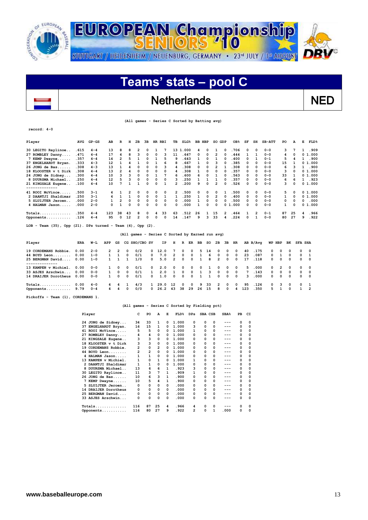

## Netherlands NED

 **(All games - Series C Sorted by Batting avg)**

**record: 4-0**

 $\overline{\phantom{a}}$ 

| Player                                                            | AVG   | $GP - GS$ | AB  | R  | н        | 2B       | 3B       |         | HR RBI | TВ           | $SLG\$   |    | BB HBP   | SO | GDP           | OB <sub>8</sub> | SF           | SH       | <b>SB-ATT</b> | PO | A        | Е | $FLD$ $%$ |
|-------------------------------------------------------------------|-------|-----------|-----|----|----------|----------|----------|---------|--------|--------------|----------|----|----------|----|---------------|-----------------|--------------|----------|---------------|----|----------|---|-----------|
| 30 LEGITO Raylinoe                                                | .615  | $4 - 4$   | 13  | 8  | 8        | 2        | 0        |         |        |              | 13 1.000 | 4  | 0        |    | $\Omega$      | . 706           | 0            | $\Omega$ | $0 - 0$       | 3  |          |   | .909      |
| 27 ROMBLEY Danny                                                  | .471  | $4 - 4$   | 17  | 4  | 8        | 3        | 0        | 0       | 3      | 11           | .647     | 0  | 0        | 2  | 0             | .444            |              |          | $0 - 0$       | 4  | 0        |   | 01.000    |
| 7 KEMP Dwayne                                                     | .357  | $4 - 4$   | 14  | 2  |          |          | 0        |         | 5      | 9            | .643     |    | 0        |    | 0             | .400            |              |          | $0 - 1$       | 5  |          |   | 1.900     |
| 37 ENGELHARDT Bryan.                                              | .333  | $4 - 3$   | 12  |    |          |          | 0        |         | 6      | 8            | .667     |    | 0        | ٩  | O             | .385            | 0            | 0        | $0 - 0$       | 15 |          |   | 01.000    |
| 26 JONG de Bas                                                    | .308  | $4 - 3$   | 13  |    |          | 0        | 0        | 0       | ٩      | 4            | .308     | 0  | $\Omega$ | 2  |               | .308            | 0            | $\Omega$ | $0 - 0$       | 6  |          |   | .900      |
| 18 KLOOSTER v t Dirk                                              | .308  | $4 - 4$   | 13  | 2  |          | 0        | 0        | 0       | 0      | 4            | .308     |    | 0        | 0  | 0             | .357            | 0            | 0        | $0 - 0$       | 3  | $\Omega$ |   | 01.000    |
| 24 JONG de Sidney                                                 | .300  | $4 - 4$   | 10  |    |          | $\Omega$ | 0        |         |        | 6            | .600     | 6  | $\Omega$ |    | 0             | .563            | 0            | $\Omega$ | $0 - 0$       | 33 |          |   | 01.000    |
| 8 DUURSMA Michael.                                                | . 250 | $4 - 4$   | 12  | 5  |          | 0        | 0        | 0       | 0      | 3            | .250     |    |          |    | O             | .357            | 0            | 0        | $0 - 0$       | 6  | 6        |   | .923      |
| 21 KINGSALE Eugene                                                | .100  | $4 - 4$   | 10  |    |          |          | 0        | 0       |        | 2            | .200     | ۹  | 0        | 2  | 0             | .526            |              | 0        | $0 - 0$       | 3  | 0        |   | 01.000    |
| --------------                                                    |       |           |     |    |          |          |          |         |        |              |          |    |          |    |               |                 |              |          |               |    |          |   |           |
| 41 ROOI McVince                                                   | .500  | $3 - 1$   |     |    | 2        | $\Omega$ | 0        | 0       | 0      | $\mathbf{2}$ | .500     | 0  | 0        | 0  |               | .500            | 0            | $\Omega$ | $0 - 0$       | 5  | $\Omega$ |   | 01.000    |
| 2 DAANTJI Shaldimar                                               | . 250 | 3-1       |     |    |          | 0        | $\Omega$ | 0       |        |              | .250     |    | $\Omega$ | 2  | 0             | .400            | 0            | 0        | $0 - 0$       | 1  | 0        |   | 01.000    |
| 5 SLUIJTER Jeroen                                                 | .000  | $2 - 0$   |     |    | $\Omega$ | $\Omega$ | 0        | 0       | 0      | 0            | .000     |    | $\Omega$ | 0  | n             | .500            | 0            | $\Omega$ | $0 - 0$       | 0  | $\Omega$ | 0 | .000      |
| 4 HALMAN Jason                                                    | .000  | $2 - 0$   |     |    | 0        | 0        | 0        | 0       | 0      | 0            | .000     |    | 0        | 0  |               | 01.000          | 0            | 0        | $0 - 0$       |    | 0        |   | 01.000    |
| $Totals$                                                          | .350  | $4 - 4$   | 123 | 38 | 43       | 8        | 0        | 4       | 33     | 63           | .512     | 26 |          | 15 | $\mathcal{P}$ | . 464           |              | 2        | $0 - 1$       | 87 | 25       | 4 | . 966     |
| Opponents                                                         | .126  | $4 - 4$   | 95  | 0  | 12       | 2        | $\Omega$ | 0       | 0      | 14           | .147     | 9  | 3        | 33 |               | .224            | <sup>o</sup> |          | $0 - 0$       | 80 | 27       | 9 | .922      |
| Team $(35)$ , Opp $(21)$ . DPs turned - Team $(4)$ , Opp<br>LOB - |       |           |     |    |          |          |          | $(2)$ . |        |              |          |    |          |    |               |                 |              |          |               |    |          |   |           |

 **(All games - Series C Sorted by Earned run avg)**

| Player               | ERA  | W-L     | APP          |            |              | GS CG SHO/CBO SV |              | IP.                   | H                       | $\mathbb{R}$ |          |          | ER BB SO 2B |                |            | 3B HR                   |     | AB B/Avq |            | WP HBP                  |            | BK SFA SHA |            |
|----------------------|------|---------|--------------|------------|--------------|------------------|--------------|-----------------------|-------------------------|--------------|----------|----------|-------------|----------------|------------|-------------------------|-----|----------|------------|-------------------------|------------|------------|------------|
| 19 CORDEMANS Robbie. | 0.00 | $2 - 0$ | $\mathbf{2}$ | -2         | $\Omega$     | 0/2              | $^{\circ}$   | 12.0                  | $7\overline{ }$         | $^{\circ}$   | $\Omega$ | 5.       | 14          | $\Omega$       | $^{\circ}$ | $\Omega$                | 40  | .175     | $\Omega$   | $\Omega$                | $\Omega$   |            | $0\quad 0$ |
| 44 BOYD Leon         | 0.00 | $1 - 0$ | $\mathbf{1}$ |            | 0            | 0/1              | $^{\circ}$   | 7.0                   | $\overline{2}$          | $^{\circ}$   | $\Omega$ |          | 6           | $\Omega$       | $^{\circ}$ | $\Omega$                | 23  | .087     | $^{\circ}$ |                         | $^{\circ}$ |            | $0\quad 1$ |
| 25 BERGMAN David     | 0.00 | $1 - 0$ | $\mathbf{1}$ |            |              | 1/0              | $^{\circ}$   | 5.0                   | 2                       | $\Omega$     | $\Omega$ |          | 8           | $\overline{2}$ | $\Omega$   | $^{\circ}$              | 17  | .118     | $\Omega$   | $\Omega$                | $\Omega$   |            | $0\quad 0$ |
|                      |      |         |              |            |              |                  |              |                       |                         |              |          |          |             |                |            |                         |     |          |            |                         |            |            |            |
| 13 KAMPEN v Michiel. | 0.00 | $0 - 0$ | 1            | $\Omega$   | $\Omega$     | 0/1              | $^{\circ}$   | 2.0                   | $\overline{\mathbf{0}}$ | $\Omega$     | $\Omega$ | $\Omega$ |             | $^{\circ}$     | $\Omega$   | $^{\circ}$              | 5.  | .000     | $^{\circ}$ | $\overline{2}$          | $^{\circ}$ |            | $0\quad 0$ |
| 33 ASJES Arschwin    | 0.00 | $0 - 0$ | 1            | $\Omega$   | $\Omega$     | 0/1              | $\mathbf{1}$ | 2.0                   |                         | $\Omega$     | $\Omega$ |          | 3           | $\Omega$       | $\Omega$   | $\overline{\mathbf{0}}$ |     | 7, 143   | $\Omega$   | $\Omega$                | - 0        |            | $0\quad 0$ |
| 14 DRAIJER Dorotheus | 0.00 | $0 - 0$ | $\mathbf{1}$ | $^{\circ}$ | $\Omega$     | 0/1              | $^{\circ}$   | 1.0                   | $\Omega$                | $\Omega$     | $\Omega$ |          |             | $\Omega$       | $^{\circ}$ | $^{\circ}$              | 3   | .000     | $^{\circ}$ | $^{\circ}$              | $^{\circ}$ |            | $0\quad 0$ |
| $Totals$             | 0.00 | $4 - 0$ |              | 4 4        | $\mathbf{1}$ | 4/3              |              | 1, 29.0               | 12                      | $\Omega$     | $\Omega$ | 9        | -33         | $\overline{2}$ | $\Omega$   | $\Omega$                | 95  | .126     | $^{\circ}$ | $\overline{\mathbf{3}}$ | $\Omega$   |            | $0\quad 1$ |
| Opponents            | 9.79 | $0 - 4$ | $\sim$       | 4          | $\Omega$     | 0/0              |              | $0\quad 26.2\quad 43$ |                         | 38           | 29       | 26       | 15          | 8              | $\Omega$   | 4                       | 123 | .350     | 5.         |                         | $\Omega$   |            | $1\quad 2$ |

**Pickoffs - Team (1), CORDEMANS 1.** 

#### **(All games - Series C Sorted by Fielding pct)**

|    | Player               | C              | PO             | A  | Е        | FLD <sup>8</sup> | <b>DPs</b> |   | SBA CSB | SBA <sub>8</sub> | PB | CI       |
|----|----------------------|----------------|----------------|----|----------|------------------|------------|---|---------|------------------|----|----------|
|    | 24 JONG de Sidney    | 34             | 33             | 1  | 0        | 1.000            | 0          | 0 | 0       | ---              | 0  | 0        |
|    | 37 ENGELHARDT Bryan. | 16             | 15             | 1  | 0        | 1.000            | з          | 0 | 0       | ---              | 0  | 0        |
|    | 41 ROOI McVince      | 5              | 5              | 0  | 0        | 1.000            | 1          | 0 | 0       |                  | 0  | 0        |
|    | 27 ROMBLEY Danny     | 4              | 4              | 0  | 0        | 1.000            | 0          | 0 | 0       | ---              | 0  | 0        |
|    | 21 KINGSALE Eugene   | 3              | 3              | 0  | $\Omega$ | 1.000            | 0          | 0 | 0       | ---              | 0  | 0        |
|    | 18 KLOOSTER v t Dirk | 3              | 3              | 0  | $\Omega$ | 1.000            | 0          | 0 | 0       | ---              | 0  | 0        |
| 19 | CORDEMANS Robbie.    | 2              | 0              | 2  | 0        | 1.000            | 0          | 0 | 0       | ---              | 0  | 0        |
|    | 44 BOYD Leon         | $\overline{2}$ | $\overline{2}$ | 0  | $\Omega$ | 1.000            | 0          | 0 | 0       | ---              | 0  | 0        |
|    | 4 HALMAN Jason       | 1              | 1              | 0  | 0        | 1.000            | 0          | 0 | 0       | ---              | 0  | 0        |
|    | 13 KAMPEN v Michiel. | 1              | 0              | 1  | 0        | 1.000            | 1          | 0 | 0       | ---              | 0  | 0        |
|    | 2 DAANTJI Shaldimar  | 1              | 1              | 0  | 0        | 1.000            | 0          | 0 | 0       | ---              | 0  | 0        |
|    | 8 DUURSMA Michael    | 13             | 6              | 6  | 1        | .923             | 3          | 0 | 0       | ---              | 0  | 0        |
|    | 30 LEGITO Raylinoe   | 11             | 3              | 7  | 1        | .909             | 1          | 0 | 0       | ---              | 0  | 0        |
|    | $26$ JONG de Bas     | 10             | 6              | 3  | 1        | .900             | 0          | 0 | 0       | ---              | 0  | 0        |
|    | 7 KEMP Dwayne        | 10             | 5              | 4  | 1        | .900             | 0          | 0 | 0       | ---              | 0  | 0        |
|    | 5 SLUIJTER Jeroen    | 0              | 0              | 0  | 0        | .000             | 0          | 0 | 0       | ---              | 0  | 0        |
|    | 14 DRAIJER Dorotheus | 0              | 0              | 0  | 0        | .000             | 0          | 0 | 0       | ---              | 0  | 0        |
|    | 25 BERGMAN David     | 0              | 0              | 0  | 0        | .000             | 0          | 0 | 0       | ---              | 0  | 0        |
|    | 33 ASJES Arschwin    | 0              | 0              | 0  | 0        | .000             | 0          | 0 | 0       | ---              | 0  | $\Omega$ |
|    | $Totals$             | 116            | 87             | 25 | 4        | .966             | 4          | 0 | 0       | ---              | 0  | 0        |
|    | Opponents            | 116            | 80             | 27 | 9        | .922             | 2          | 0 | 1       | .000             | 0  | 0        |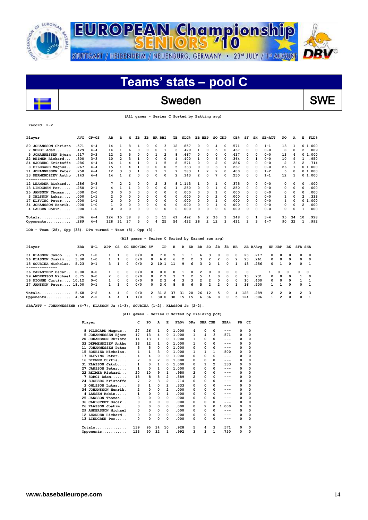

## Sweden SWE

|  |  |  |  |  |  |  |  | (All games - Series C Sorted by Batting avg) |  |
|--|--|--|--|--|--|--|--|----------------------------------------------|--|
|--|--|--|--|--|--|--|--|----------------------------------------------|--|

| Player               | AVG  | $GP - GS$ | AB             | R  | н  | 2в       | 3B | HR | RBI | TВ  | SLG <sub>8</sub> | вв | HBP            | SO | GDP | OB <sub>8</sub> | SF       | SH           | $SB-ATT$ | PO | А            | Е        | FLD <sup>8</sup> |
|----------------------|------|-----------|----------------|----|----|----------|----|----|-----|-----|------------------|----|----------------|----|-----|-----------------|----------|--------------|----------|----|--------------|----------|------------------|
| 20 JOHANSSON Christo | .571 | $4 - 4$   | 14             |    | 8  |          | 0  | 0  | 3   | 12  | . 857            | 0  | 0              | 4  | 0   | . 571           | 0        | $\Omega$     | $1 - 1$  | 13 |              |          | 0 1.000          |
| $7$ SORGI Adam       | .429 | $4 - 4$   | 14             |    | 6  | $\Omega$ | 0  | 0  |     | 6   | 429              |    | 0              | 5  |     | . 467           | 0        | $\Omega$     | $0 - 0$  | 8  |              | 2        | .889             |
| 5 JOHANNESSEN Bjorn  | .417 | $3 - 3$   | 12             | 2  | 5  | $\Omega$ | 0  |    | 2   | я   | 667              | 0  | 0              | 0  |     | 417             | 0        | 0            | $0 - 0$  | 13 |              |          | 01.000           |
| 22 REIMER Rickard    | .300 | $3 - 3$   | 10             | 2  | ٩  |          | 0  | 0  | 0   | 4   | 400              |    | 0              | 6  |     | 364             | 0        |              | $0 - 0$  | 10 |              |          | .950             |
| 24 SJOBERG Kristoffe | .286 | $4 - 4$   | 14             |    |    |          |    |    | 5   | 8   | 571              | O  | 0              | 2  |     | .286            | 0        | 0            | $0 - 0$  | 2  |              |          | .714             |
| 8 PILEGARD Magnus    | .267 | $4 - 4$   | 15             |    |    |          | ٥  | 0  | 0   | 5   | 333              | 0  | 0              | 3  |     | 267             | 0        | 0            | $0 - 0$  | 26 |              |          | 01.000           |
| 11 JOHANNESSEN Peter | .250 | $4 - 4$   | 12             | з  | 3  |          | ٥  |    |     |     | 583              |    | 2              | 2  |     | .400            | 0        | 0            | $1 - 2$  | 5  |              |          | 0 1.000          |
| 33 DERMENDZIEV Antho | .143 | $4 - 4$   | 14             |    | 2  | $\Omega$ | ი  | n  | 0   | 2   | 143              | 2  | O              |    |     | .250            | 0        | <sup>0</sup> | $1 - 1$  | 12 |              |          | 0 1.000          |
| ------------         |      |           |                |    |    |          |    |    |     |     |                  |    |                |    |     |                 |          |              |          |    |              |          |                  |
| 12 LEANDER Rickard   | .286 | $3 - 3$   |                |    |    | 0        | 0  | 2  | 3   | 81. | 143              |    | 0              |    |     | .375            | $\Omega$ | 0            | $0 - 0$  | 0  |              | $\Omega$ | .000             |
| 13 LINDGREN Per.     | .250 | $2 - 1$   |                |    |    | 0        | 0  | 0  | 0   |     | 250              | 0  | 0              |    |     | . 250           | 0        | 0            | $0 - 0$  | 0  | 0            | 0        | .000             |
| 25 JANSSON Thomas    | .000 | $2 - 0$   | 3              |    | O  | 0        | 0  | 0  | 0   | 0   | .000             | 0  | O              |    |     | .000            | 0        | 0            | $0 - 0$  | 0  |              | $\Omega$ | .000             |
| 3 OHLSSON Lukas      | .000 | $1 - 1$   | 2              | 0  | 0  | 0        | 0  | 0  | 0   | 0   | .000             | 0  | 0              | 2  |     | .000            | 0        | 0            | $0 - 0$  |    | 0            |          | . 333            |
| 17 ELFVING Peter.    | .000 | $1 - 1$   | $\overline{2}$ | 0  | 0  | 0        | 0  | 0  | 0   | 0   | .000             | 0  | 0              |    |     | .000            | 0        | 0            | $0 - 0$  | 4  |              | 0        | 1.000            |
| 34 JOHANSSON Henrik. | .000 | $1 - 0$   |                | 0  | 0  | $\Omega$ | 0  | 0  | 0   | 0   | .000             | 0  | <sup>0</sup>   |    |     | .000            | 0        | 0            | $0 - 0$  | 0  | <sup>0</sup> | 2        | .000             |
| 4 LAUSEN Robin.      | .000 | $1 - 0$   | 0              | O  | 0  | 0        | ٥  | 0  | 0   | n   | 000              | O  | O              | O  |     | .000            | 0        | 0            | $0 - 0$  | 0  |              |          | .000             |
| $Totals$             | .306 | $4 - 4$   | 124            | 15 | 38 | 8        | 0  | 5  | 15  | 61  | 492              | 6  | $\mathbf{2}$   | 36 |     | .348            | $\Omega$ |              | $3 - 4$  | 95 | 34           | 10       | .928             |
| Opponents            | .289 | $4 - 4$   | 128            | 31 | 37 | 5        | 0  | 4  | 25  | 54  | 422              | 26 | $\overline{2}$ | 12 |     | .411            | 2        | 3            | $4 - 7$  | 90 | 32           |          | .992             |
|                      |      |           |                |    |    |          |    |    |     |     |                  |    |                |    |     |                 |          |              |          |    |              |          |                  |

**LOB - Team (28), Opp (35). DPs turned - Team (5), Opp (3).** 

 $\overline{a}$ 

**record: 2-2**

### **(All games - Series C Sorted by Earned run avg)**

| Player                    | ERA  | W-L     | APP           | GS         |              | CG SHO/CBO SV |                | IP.  | н          | R              | ER             | BB             | so             | 2в             | зв         | HR             |     | AB B/Ava |               | WP HBP        | вк         | <b>SFA SHA</b> |                         |
|---------------------------|------|---------|---------------|------------|--------------|---------------|----------------|------|------------|----------------|----------------|----------------|----------------|----------------|------------|----------------|-----|----------|---------------|---------------|------------|----------------|-------------------------|
| 31 KLASSON Jakob          | 1.29 | $1 - 0$ |               |            | 0            | 0/0           | $^{\circ}$     | 7.0  | 5.         |                |                | -6             | 3.             | $\Omega$       | $^{\circ}$ | $\Omega$       | 23  | .217     | $\Omega$      | റ             | $\Omega$   | n.             | $\overline{\mathbf{0}}$ |
| 26 KLASSON Joakim         | 3.00 | $1 - 0$ |               |            | 0            | 0/0           | $\Omega$       | 6.0  | 6          | $\overline{2}$ | $\overline{2}$ | 3              | $\overline{2}$ | $\overline{2}$ | $^{\circ}$ | $\overline{2}$ | 23  | .261     | $\Omega$      | $\Omega$      | $\Omega$   | <sup>0</sup>   | $\Omega$                |
| 15 SOUBIEA Nicholas.      | 5.23 | $0 - 1$ | 3             |            | 0            | 0/0           | $\overline{2}$ | 10.1 | 11         | 9              | 6              | 3              | $\overline{2}$ |                | $\Omega$   |                | 43  | .256     | $^{\circ}$    |               | $^{\circ}$ | $^{\circ}$     |                         |
|                           |      |         |               |            |              |               |                |      |            |                |                |                |                |                |            |                |     |          |               |               |            |                |                         |
| 36 CARLSTEDT Oscar        | 0.00 | $0 - 0$ |               | $^{\circ}$ | $^{\circ}$   | 0/0           | 0              | 0.0  | $^{\circ}$ |                | 0              | 2              | $\Omega$       | $\Omega$       | 0          | $^{\circ}$     | 0   |          |               | 0             | $^{\circ}$ | 0              | റ                       |
| 29 ANDERSSON Michael 6.75 |      | $0 - 0$ | $\mathcal{P}$ | $\Omega$   | $\Omega$     | 0/0           | $^{\circ}$     | 2.2  | 3          | 7              | $\overline{2}$ | 5.             |                | $\Omega$       | $\Omega$   | $\Omega$       | 13  | .231     | $^{\circ}$    | $\Omega$      | $\Omega$   |                | $\overline{\mathbf{0}}$ |
| 16 DIONNE Curtis 10.12    |      | $0 - 0$ | $\mathbf{1}$  | $\Omega$   | 0            | 0/0           | $^{\circ}$     | 2.2  | 4          | 3              | 3              | $\overline{2}$ | $\overline{2}$ | $\Omega$       | $\Omega$   | $^{\circ}$     | 10  | .400     | $\Omega$      | $\Omega$      | $\Omega$   |                |                         |
| 27 JANSSON Peter 18.00    |      | $0 - 1$ |               |            | <sup>o</sup> | 0/0           | $\Omega$       | 3.0  | 8          | 8              | 6              | 5.             | $\overline{2}$ | $\overline{2}$ | $^{\circ}$ | 1              | 16  | .500     | $\mathbf{1}$  |               | $^{\circ}$ | $\Omega$       | $\mathbf{1}$            |
| $Totals$                  | 5.68 | $2 - 2$ | 4             | 4          | $^{\circ}$   | 0/0           | $\mathbf{2}$   | 31.2 | 37         | 31             | -20            | 26             | 12             | 5.             | $^{\circ}$ | 4              | 128 | .289     | $\mathcal{P}$ | $\mathcal{P}$ | റ          |                | 2 3                     |
| Opponents                 | 4.50 | $2 - 2$ | 4             | 4          |              | 1/0           | $\mathbf{1}$   | 30.0 | 38         | 15             | 15             | 6              | 36             | 8              | $\Omega$   | 5.             | 124 | .306     | $\mathbf{1}$  | $\mathcal{P}$ | $^{\circ}$ |                | $0\quad1$               |
|                           |      |         |               |            |              |               |                |      |            |                |                |                |                |                |            |                |     |          |               |               |            |                |                         |

**SBA/ATT - JOHANNESSENB (4-7), KLASSON Ja (1-3), SOUBIEA (1-2), KLASSON Jo (2-2).** 

## **(All games - Series C Sorted by Fielding pct)**

| Player |                          | C   | PO             | A  | Е              | FLD <sup>8</sup> | DPs | SBA CSB |                | SBA <sup>8</sup> | PB | CI |
|--------|--------------------------|-----|----------------|----|----------------|------------------|-----|---------|----------------|------------------|----|----|
|        | 8 PILEGARD Magnus        | 27  | 26             | 1  | 0              | 1.000            | 4   | 0       | 0              | ---              | 0  | 0  |
|        | 5 JOHANNESSEN Bjorn      | 17  | 13             | 4  | 0              | 1.000            | 1   | 4       | з              | .571             | 0  | 0  |
| 20     | JOHANSSON Christo        | 14  | 13             | 1  | 0              | 1.000            | 1   | 0       | O              | ---              | 0  | 0  |
|        | 33 DERMENDZIEV Antho     | 13  | 12             | 1  | 0              | 1.000            | 1   | 0       | $\Omega$       | ---              | 0  | 0  |
| 11     | <b>JOHANNESSEN Peter</b> | 5   | 5              | 0  | 0              | 1.000            | 0   | 0       | 0              | $---$            | 0  | 0  |
|        | 15 SOUBIEA Nicholas.     | 4   | 1              | 3  | 0              | 1.000            | 1   | 1       | 1              | .500             | 0  | 0  |
|        | 17 ELFVING Peter         | 4   | 4              | 0  | 0              | 1.000            | 0   | 0       | 0              | ---              | 0  | 0  |
|        | 16 DIONNE Curtis         | 2   | 0              | 2  | 0              | 1.000            | 0   | 0       | 0              | $---$            | 0  | 0  |
|        | 31 KLASSON Jakob         | 1   | $\Omega$       | 1  | 0              | 1.000            | 0   | 1       | $\overline{2}$ | .333             | 0  | 0  |
| 27     | JANSSON Peter            | 1   | $\mathbf 0$    | 1  | 0              | 1.000            | 0   | 0       | 0              | ---              | 0  | 0  |
|        | 22 REIMER Rickard        | 20  | 10             | 9  | 1              | .950             | 2   | 0       | 0              | ---              | 0  | 0  |
|        | $7$ SORGI Adam           | 18  | 8              | 8  | 2              | .889             | 2   | 0       | 0              | ---              | 0  | 0  |
|        | 24 SJOBERG Kristoffe     | 7   | $\overline{2}$ | 3  | $\overline{2}$ | .714             | 0   | 0       | 0              | ---              | 0  | 0  |
|        | 3 OHLSSON Lukas          | 3   | $\mathbf{1}$   | 0  | 2              | .333             | 0   | 0       | 0              | ---              | 0  | 0  |
|        | 34 JOHANSSON Henrik.     | 2   | 0              | 0  | $\overline{2}$ | .000             | 0   | 0       | 0              | ---              | 0  | 0  |
|        | 4 LAUSEN Robin           | 1   | $\Omega$       | 0  | 1              | .000             | 0   | 0       | O              | ---              | 0  | 0  |
|        | 25 JANSSON Thomas        | 0   | $\Omega$       | 0  | 0              | .000             | 0   | 0       | O              | ---              | 0  | 0  |
|        | 36 CARLSTEDT Oscar       | 0   | 0              | 0  | $\Omega$       | .000             | 0   | 0       | $\Omega$       | ---              | 0  | 0  |
|        | 26 KLASSON Joakim        | 0   | 0              | 0  | $\Omega$       | .000             | 0   | 2       | $\Omega$       | 1.000            | 0  | 0  |
|        | 29 ANDERSSON Michael     | 0   | 0              | 0  | 0              | .000             | 0   | 0       | 0              | ---              | 0  | 0  |
|        | 12 LEANDER Rickard       | ٥   | 0              | 0  | 0              | .000             | 0   | 0       | 0              | ---              | 0  | 0  |
|        | 13 LINDGREN Per          | ٥   | $\Omega$       | O  | 0              | .000             | 0   | 0       | $\Omega$       | ---              | 0  | 0  |
|        | Totals                   | 139 | 95             | 34 | 10             | .928             | 5   | 4       | з              | .571             | 0  | 0  |
|        | Opponents                | 123 | 90             | 32 | 1              | .992             | 3   | 3       | 1              | .750             | 0  | 0  |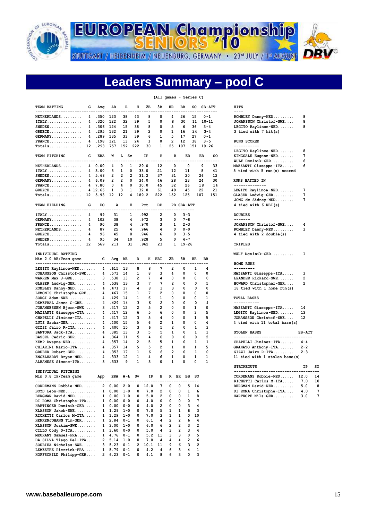

**EUROPEAN Championship 710** 

STUTTGART / HEIDENHEIM / NEUENBURG, GERMANY · 23rd JULY / 1st AUGUST

## **Leaders Summary – pool C**

#### **(All games - Series C) TEAM BATTING G Avg AB R H 2B 3B HR BB SO SB-ATT HITS ------------------------------------------------------------------------------- ---- NETHERLANDS......... 4 .350 123 38 43 8 0 4 26 15 0-1 ROMBLEY Danny-NED......... 8**<br>ITALY............... 4 .320 122 32 39 5 0 8 30 11 10-11 JOHANSSON Christof-SWE.... 8  **ITALY............... 4 .320 122 32 39 5 0 8 30 11 10-11 JOHANSSON Christof-SWE.... 8 SWEDEN............. 4** .306 124 15 38 8 0 5 6 36 3-4 LEGITO Raylinoe-NED.......<br>GREECE............. 4 .295 132 21 39 2 0 1 16 24 3-4 3 tied with 7 hit(s)  **GREECE.............. 4 .295 132 21 39 2 0 1 16 24 3-4 3 tied with 7 hit(s) GERMANY............. 4 .289 135 33 39 6 1 5 17 27 0-1 FRANCE.............. 4 .198 121 13 24 1 0 2 12 38 3-5 RUNS SCORED Totals.............. 12 .293 757 152 222 30 1 25 107 151 19-26 ----------- TEAM PITCHING G ERA W L Sv IP H R ER BB SO KINGSALE Eugene-NED....... 7 -------------------------------------------------------------------------------- WULF Dominik-GER.......... 6 NETHERLANDS........ 4** 0.00  **ITALY............... 4 3.00 3 1 0 33.0 21 12 11 8 41 5 tied with 5 run(s) scored SWEDEN............... 4 5.68 2 2 2 31.2 37 31 20 26 12**<br>**GERMANY............. 4 6.09 2 2 0 34.0 46 28 23 24 30 GERMANY............. 4 6.09 2 2 0 34.0 46 28 23 24 30 RUNS BATTED IN FRANCE.............. 4 7.80 GREECE.............. 4 12.66 1 3 1 32.0 61 49 45 22 21 LEGITO Raylinoe -NED....... 7 Totals.............. 12 5.93 12 12 4 189.2 222 152 125 107 151 GLASER Ludwig -GER......... 7 TEAM FIELDING G PO A E Pct DP PB SBA-ATT 4 tied with 6 RBI(s) --------------------------------------------------------------------- ITALY................. 4 99 31 1 .992 2 0 3-3 DOUBLES**<br>GERMANY 4 102 38 4 972 3 0 7-8 ------ **GERMANY............. 4 102 38 4 .972 3 0 7-8 ------- FRANCE.............. 4 90 38 4 .970 3 1 2-3 JOHANSSON Christof-SWE.... 4 NETHERLANDS......... 4 87 25 4 .966 4 0 0-0** ROMBLEY Danny-NED.......... 3<br>GREECE.............. 4 96 45 8 .946 6 0 3-5 4 tied with 2 double(s)  **GREECE.............. 4 96 45 8 .946 6 0 3-5 4 tied with 2 double(s) SWEDEN.............. 4 95 34 10 .928 5 0 4-7 Totals.............. 12 569 211 31 .962 23 1 19-26 TRIPLES ------- INDIVIDUAL BATTING WULF Dominik-GER.......... 1 Min 2.0 AB/Team game G Avg AB R H RBI 2B 3B HR BB --------------------------------------------------------------------------- HOME RUNS LEGITO Raylinoe-NED....... 4 .615 13 8 8 7 2 0 1 4 ---------**<br>JOHANSSON Christof-SWE.... 4 .571 14 1 8 3 4 0 0 0 0 MAZZANTI Giuseppe-ITA.....  **JOHANSSON Christof-SWE.... 4 .571 14 1 8 3 4 0 0 0 MAZZANTI Giuseppe-ITA..... 3 WARREN Max J-GRE.......... 3 .538 13 2 7 4 0 0 0 0 LEANDER Rickard-SWE....... 2 GLASER Ludwig-GER......... 4 .538 13 3 7 7 2 0 0 5 HOWARD Christopher-GER.... 2 ROMBLEY Danny-NED......... 4 .471 17 4 8 3 3 0 0 0 0 18**<br>LEMONIS Christophe-GRE.... 4 .467 15 1 7 2 0 0 0 0 **LEMONIS Christophe-GRE.... 4 .467<br>SORGI Adam-SWE........... 4 .429 SORGI Adam-SWE............. 4 .429 14 1 6 1 0 0 0 1 1 TOTAL BASES**<br>DEMETRAL James C-GRE...... 4 .429 14 3 6 2 0 0 0 4 -----------**DEMETRAL James C-GRE...... 4 .429 14 3 6**<br>JOHANNESSEN Bjorn-SWE..... 3 .417 12 2 5  **JOHANNESSEN Bjorn-SWE..... 3 .417 12 2 5 2 0 0 1 0 MAZZANTI Giuseppe-ITA..... 4 .417 12 6 5 6 0 0 3 5<br>
CHAPELLI Jiminez-ITA...... 4 .417 12 3 5 4 0 0 1 5<br>
LUTZ Sacha-GER............. 4 .400 15 5 6 2 1 0 0 4 CHAPELLI Jiminez-ITA...... 4 .417 12 3 5 4 0 0 1 5<br>
LUTZ Sacha-GER............ 4 .400 15 5 6 2 1 0 0 4 LUTZ Sacha-GER............. 4 .400 15 5 6 2 1 0 0 4**<br>GIZZI Jairo R-ITA......... 4 .400 15 3 6 5 2 0 1 3  **GIZZI Jairo R-ITA......... 4 .400<br>SANTORA Jack-ITA......... 4 .385 SANTORA Jack-ITA.......... 4 .385 13 3 5 5 1 0 1 1 BASSEL Cedric-GER........ 4 .364 11 5 4 0 0 0 0 2 KEMP Dwayne-NED........... 4 .357 14 2 5 5 1 0 1 1 1**<br>CHIARINI Mario-ITA........ 4 .357 14 5 5 2 1 0 1 5  **CHIARINI Mario-ITA........ 4 .357 14 5 5 2 1 0 1 5<br>GRUBER Robert-GER......... 4 .353 17 1 6 6 2 0 1 0 GRUBER Robert-GER......... 4 .353 17 1 6<br>ENGELHARDT Bryan-NED...... 4 .333 12 1 4 ENGELHARDT Bryan-NED...... 4 .333 12 1 4 6 1 0 1 1 1**<br>ALBANESE Simone-ITA....... 3 .333 9 1 3 0 1 0 0 1  **ALBANESE Simone-ITA....... 3 .333 9 1 3 0 1 0 0 1 STRIKEOUTS** STRIKEOUTS IP SO  **INDIVIDUAL PITCHING ------------------------------------- Min 0.8 IP/Team game App ERA W-L Sv ----------------------------------------------------------------------- RICHETTI Carlos M-ITA..... 7.0 10 CORDEMANS Robbie-NED...... 2 0.00 2-0 0 12.0 7 0 0 5 14 BOYD Leon-NED................. 1 0.00 1-0 0 7.0 2 0 0 1 6<br>
BERGMAN David-NED......... 1 0.00 1-0 0 5.0 2 0 0 1 8<br>
DI ROMA Christophe-ITA.... 1 0.00 0-0 0 4.0 0 0 0 0 7 BERGMAN David-NED......... 1 0.00 1-0 0 5.0 2 0 0 1 8 HARTKOPF Nils-GER......... 3.0 7 DI ROMA Christophe-ITA....** 1 0.00 0-0 0 4.0 0 0 0 0 7<br>**HARTINGER** Dominik-GER..... 1 0.00 0-0 0 4.0 2 0 0 3 4  **HARTINGER Dominik-GER..... 1 0.00 0-0 0 4.0 2 0 0 3 4 KLASSON Jakob-SWE......... 1 1.29 1-0 0 7.0 5 1 1 6 3 RICHETTI Carlos M-ITA..... HENKENJOHANN Tim-GER...... 1 2.84 0-1 0 6.1 4 2 2 6 4 KLASSON Joakim-SWE........ 1 3.00 1-0 0 6.0 6 2 2 3 2 CILLO Cody D-ITA.......... 1 3.60 0-0 0 5.0 4 3 2 3**<br>MEURANT Samuel-FRA........ 1 4.76 0-1 0 5.2 11 3 3 0

 **MEURANT Samuel-FRA........ 1 4.76 0-1 0 5.2 11 3 3 0 5 DA SILVA Tiago Fel-ITA.... 2 5.14 1-0 0 7.0 4 4 4 2 6 SOUBIEA Nicholas-SWE...... 3 5.23 0-1 2 10.1 11 9 6 3 2 LEMESTRE Pierrick-FRA..... 1 5.79 0-1 0 4.2 4 6 3 4 1 HOFFSCHILD Philipp-GER.... 2 6.23 0-1 0 4.1 8 6 3 0 3** 

# **LEGITO Raylinoe-NED....... 8 JONG de Sidney-NED........ 7**

| MAZZANTI Giuseppe-ITA        | 14 |
|------------------------------|----|
| LEGITO Raylinoe-NED          | 13 |
| JOHANSSON Christof-SWE       | 12 |
| 4 tied with 11 total base(s) |    |

| <b>STOLEN BASES</b>                                                                                                                  | $SB-ATT$ |    |  |  |  |  |
|--------------------------------------------------------------------------------------------------------------------------------------|----------|----|--|--|--|--|
| $4 - 4$<br>CHAPELLI Jiminez-ITA<br>$2 - 2$<br>GRANATO Anthony-ITA<br>$2 - 3$<br>$GIZZI$ Jairo R-ITA<br>11 tied with 1 stolen base(s) |          |    |  |  |  |  |
| <b>STRIKEOUTS</b>                                                                                                                    | TP       | sc |  |  |  |  |
| $CORDEMANS$ $Roblie-NED$                                                                                                             | 12.0     | 14 |  |  |  |  |
| RICHETTI Carlos M-ITA                                                                                                                | 7.0      | 1( |  |  |  |  |
| BERGMAN David-NED                                                                                                                    | 5.0      | ٤  |  |  |  |  |
| DI ROMA Christophe-ITA                                                                                                               | 4.0      |    |  |  |  |  |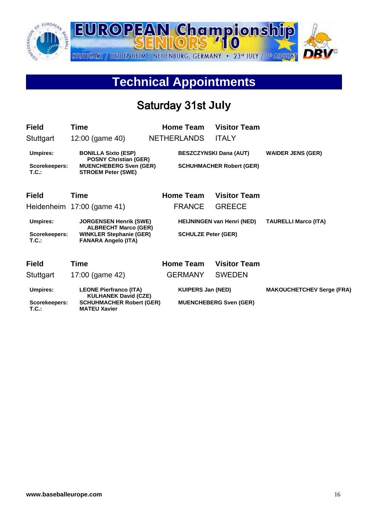

# **Technical Appointments**

## Saturday 31st **July**

| <b>Field</b>              | Time                                                                                       | <b>Home Team</b>           | <b>Visitor Team</b>               |                                  |
|---------------------------|--------------------------------------------------------------------------------------------|----------------------------|-----------------------------------|----------------------------------|
| Stuttgart                 | 12:00 (game 40)                                                                            | <b>NETHERLANDS</b>         | <b>ITALY</b>                      |                                  |
| <b>Umpires:</b>           | <b>BONILLA Sixto (ESP)</b>                                                                 |                            | <b>BESZCZYNSKI Dana (AUT)</b>     | <b>WAIDER JENS (GER)</b>         |
| Scorekeepers:<br>$T.C.$ : | <b>POSNY Christian (GER)</b><br><b>MUENCHEBERG Sven (GER)</b><br><b>STROEM Peter (SWE)</b> |                            | <b>SCHUHMACHER Robert (GER)</b>   |                                  |
| <b>Field</b>              | Time                                                                                       | Home Team                  | <b>Visitor Team</b>               |                                  |
|                           | Heidenheim 17:00 (game 41)                                                                 | <b>FRANCE</b>              | <b>GREECE</b>                     |                                  |
| <b>Umpires:</b>           | <b>JORGENSEN Henrik (SWE)</b><br><b>ALBRECHT Marco (GER)</b>                               |                            | <b>HEIJNINGEN van Henri (NED)</b> | <b>TAURELLI Marco (ITA)</b>      |
| Scorekeepers:<br>T.C.     | <b>WINKLER Stephanie (GER)</b><br><b>FANARA Angelo (ITA)</b>                               | <b>SCHULZE Peter (GER)</b> |                                   |                                  |
| <b>Field</b>              | Time                                                                                       | <b>Home Team</b>           | <b>Visitor Team</b>               |                                  |
| Stuttgart                 | 17:00 (game 42)                                                                            | <b>GERMANY</b>             | <b>SWEDEN</b>                     |                                  |
| <b>Umpires:</b>           | <b>LEONE Pierfranco (ITA)</b><br><b>KULHANEK David (CZE)</b>                               | <b>KUIPERS Jan (NED)</b>   |                                   | <b>MAKOUCHETCHEV Serge (FRA)</b> |
| Scorekeepers:<br>$T.C.$ : | <b>SCHUHMACHER Robert (GER)</b><br><b>MATEU Xavier</b>                                     |                            | <b>MUENCHEBERG Sven (GER)</b>     |                                  |